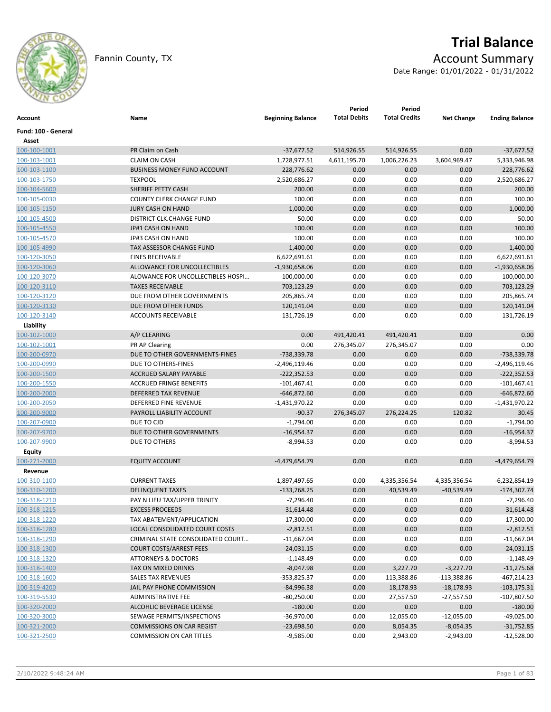

# **Trial Balance** Fannin County, TX **Account Summary**

Date Range: 01/01/2022 - 01/31/2022

| Account                   | Name                               | <b>Beginning Balance</b> | Period<br><b>Total Debits</b> | Period<br><b>Total Credits</b> | <b>Net Change</b> | <b>Ending Balance</b> |
|---------------------------|------------------------------------|--------------------------|-------------------------------|--------------------------------|-------------------|-----------------------|
| Fund: 100 - General       |                                    |                          |                               |                                |                   |                       |
| Asset                     |                                    |                          |                               |                                |                   |                       |
| 100-100-1001              | PR Claim on Cash                   | $-37,677.52$             | 514,926.55                    | 514,926.55                     | 0.00              | $-37,677.52$          |
| 100-103-1001              | <b>CLAIM ON CASH</b>               | 1,728,977.51             | 4,611,195.70                  | 1,006,226.23                   | 3,604,969.47      | 5,333,946.98          |
| 100-103-1100              | <b>BUSINESS MONEY FUND ACCOUNT</b> | 228,776.62               | 0.00                          | 0.00                           | 0.00              | 228,776.62            |
| 100-103-1750              | <b>TEXPOOL</b>                     | 2,520,686.27             | 0.00                          | 0.00                           | 0.00              | 2,520,686.27          |
| 100-104-5600              | SHERIFF PETTY CASH                 | 200.00                   | 0.00                          | 0.00                           | 0.00              | 200.00                |
| 100-105-0030              | <b>COUNTY CLERK CHANGE FUND</b>    | 100.00                   | 0.00                          | 0.00                           | 0.00              | 100.00                |
| 100-105-1150              | <b>JURY CASH ON HAND</b>           | 1,000.00                 | 0.00                          | 0.00                           | 0.00              | 1,000.00              |
| 100-105-4500              | DISTRICT CLK.CHANGE FUND           | 50.00                    | 0.00                          | 0.00                           | 0.00              | 50.00                 |
| 100-105-4550              | JP#1 CASH ON HAND                  | 100.00                   | 0.00                          | 0.00                           | 0.00              | 100.00                |
| 100-105-4570              | JP#3 CASH ON HAND                  | 100.00                   | 0.00                          | 0.00                           | 0.00              | 100.00                |
| 100-105-4990              | TAX ASSESSOR CHANGE FUND           | 1,400.00                 | 0.00                          | 0.00                           | 0.00              | 1,400.00              |
| 100-120-3050              | <b>FINES RECEIVABLE</b>            | 6,622,691.61             | 0.00                          | 0.00                           | 0.00              | 6,622,691.61          |
| 100-120-3060              | ALLOWANCE FOR UNCOLLECTIBLES       | $-1,930,658.06$          | 0.00                          | 0.00                           | 0.00              | $-1,930,658.06$       |
| 100-120-3070              | ALOWANCE FOR UNCOLLECTIBLES HOSPI  | $-100,000.00$            | 0.00                          | 0.00                           | 0.00              | $-100,000.00$         |
| 100-120-3110              | <b>TAXES RECEIVABLE</b>            | 703,123.29               | 0.00                          | 0.00                           | 0.00              | 703,123.29            |
| 100-120-3120              | DUE FROM OTHER GOVERNMENTS         | 205,865.74               | 0.00                          | 0.00                           | 0.00              | 205,865.74            |
| 100-120-3130              | DUE FROM OTHER FUNDS               | 120,141.04               | 0.00                          | 0.00                           | 0.00              | 120,141.04            |
| 100-120-3140              | <b>ACCOUNTS RECEIVABLE</b>         | 131,726.19               | 0.00                          | 0.00                           | 0.00              | 131,726.19            |
|                           |                                    |                          |                               |                                |                   |                       |
| Liability<br>100-102-1000 |                                    | 0.00                     |                               |                                | 0.00              |                       |
|                           | A/P CLEARING                       |                          | 491,420.41<br>276,345.07      | 491,420.41<br>276,345.07       |                   | 0.00                  |
| 100-102-1001              | PR AP Clearing                     | 0.00                     |                               |                                | 0.00              | 0.00                  |
| 100-200-0970              | DUE TO OTHER GOVERNMENTS-FINES     | $-738,339.78$            | 0.00                          | 0.00                           | 0.00              | -738,339.78           |
| 100-200-0990              | DUE TO OTHERS-FINES                | $-2,496,119.46$          | 0.00                          | 0.00                           | 0.00              | $-2,496,119.46$       |
| 100-200-1500              | ACCRUED SALARY PAYABLE             | $-222,352.53$            | 0.00                          | 0.00                           | 0.00              | $-222,352.53$         |
| 100-200-1550              | <b>ACCRUED FRINGE BENEFITS</b>     | $-101,467.41$            | 0.00                          | 0.00                           | 0.00              | $-101,467.41$         |
| 100-200-2000              | DEFERRED TAX REVENUE               | $-646,872.60$            | 0.00                          | 0.00                           | 0.00              | $-646,872.60$         |
| 100-200-2050              | DEFERRED FINE REVENUE              | $-1,431,970.22$          | 0.00                          | 0.00                           | 0.00              | $-1,431,970.22$       |
| 100-200-9000              | PAYROLL LIABILITY ACCOUNT          | $-90.37$                 | 276,345.07                    | 276,224.25                     | 120.82            | 30.45                 |
| 100-207-0900              | DUE TO CJD                         | $-1,794.00$              | 0.00                          | 0.00                           | 0.00              | $-1,794.00$           |
| 100-207-9700              | DUE TO OTHER GOVERNMENTS           | $-16,954.37$             | 0.00                          | 0.00                           | 0.00              | $-16,954.37$          |
| 100-207-9900              | DUE TO OTHERS                      | $-8,994.53$              | 0.00                          | 0.00                           | 0.00              | $-8,994.53$           |
| Equity                    |                                    |                          |                               |                                |                   |                       |
| 100-271-2000              | <b>EQUITY ACCOUNT</b>              | $-4,479,654.79$          | 0.00                          | 0.00                           | 0.00              | $-4,479,654.79$       |
| Revenue                   |                                    |                          |                               |                                |                   |                       |
| 100-310-1100              | <b>CURRENT TAXES</b>               | -1,897,497.65            | 0.00                          | 4,335,356.54                   | -4,335,356.54     | -6,232,854.19         |
| 100-310-1200              | <b>DELINQUENT TAXES</b>            | $-133,768.25$            | 0.00                          | 40,539.49                      | $-40,539.49$      | $-174,307.74$         |
| 100-318-1210              | PAY N LIEU TAX/UPPER TRINITY       | $-7,296.40$              | 0.00                          | 0.00                           | 0.00              | $-7,296.40$           |
| 100-318-1215              | <b>EXCESS PROCEEDS</b>             | $-31,614.48$             | 0.00                          | 0.00                           | 0.00              | $-31,614.48$          |
| 100-318-1220              | TAX ABATEMENT/APPLICATION          | $-17,300.00$             | 0.00                          | 0.00                           | 0.00              | $-17,300.00$          |
| 100-318-1280              | LOCAL CONSOLIDATED COURT COSTS     | $-2,812.51$              | 0.00                          | 0.00                           | 0.00              | $-2,812.51$           |
| 100-318-1290              | CRIMINAL STATE CONSOLIDATED COURT  | $-11,667.04$             | 0.00                          | 0.00                           | 0.00              | $-11,667.04$          |
| 100-318-1300              | <b>COURT COSTS/ARREST FEES</b>     | $-24,031.15$             | 0.00                          | 0.00                           | 0.00              | $-24,031.15$          |
| 100-318-1320              | <b>ATTORNEYS &amp; DOCTORS</b>     | $-1,148.49$              | 0.00                          | 0.00                           | 0.00              | $-1,148.49$           |
| 100-318-1400              | TAX ON MIXED DRINKS                | $-8,047.98$              | 0.00                          | 3,227.70                       | $-3,227.70$       | $-11,275.68$          |
| 100-318-1600              | <b>SALES TAX REVENUES</b>          | $-353,825.37$            | 0.00                          | 113,388.86                     | $-113,388.86$     | $-467,214.23$         |
| 100-319-4200              | JAIL PAY PHONE COMMISSION          | $-84,996.38$             | 0.00                          | 18,178.93                      | $-18,178.93$      | $-103, 175.31$        |
| 100-319-5530              | ADMINISTRATIVE FEE                 | $-80,250.00$             | 0.00                          | 27,557.50                      | $-27,557.50$      | $-107,807.50$         |
| 100-320-2000              | ALCOHLIC BEVERAGE LICENSE          | $-180.00$                | 0.00                          | 0.00                           | 0.00              | $-180.00$             |
| 100-320-3000              | SEWAGE PERMITS/INSPECTIONS         | $-36,970.00$             | 0.00                          | 12,055.00                      | $-12,055.00$      | $-49,025.00$          |
| 100-321-2000              | <b>COMMISSIONS ON CAR REGIST</b>   | $-23,698.50$             | 0.00                          | 8,054.35                       | $-8,054.35$       | $-31,752.85$          |
| 100-321-2500              | <b>COMMISSION ON CAR TITLES</b>    | $-9,585.00$              | 0.00                          | 2,943.00                       | $-2,943.00$       | $-12,528.00$          |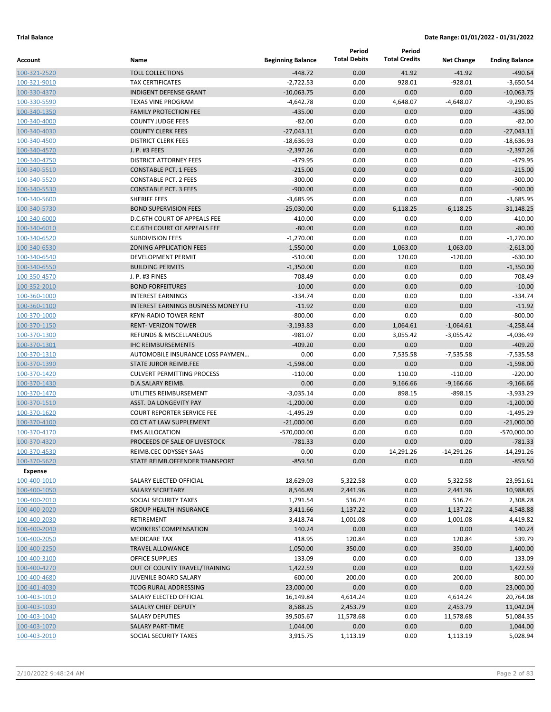|                              |                                                               |                          | Period              | Period               |                     |                            |
|------------------------------|---------------------------------------------------------------|--------------------------|---------------------|----------------------|---------------------|----------------------------|
| Account                      | Name                                                          | <b>Beginning Balance</b> | <b>Total Debits</b> | <b>Total Credits</b> | <b>Net Change</b>   | <b>Ending Balance</b>      |
| 100-321-2520                 | <b>TOLL COLLECTIONS</b>                                       | $-448.72$                | 0.00                | 41.92                | $-41.92$            | $-490.64$                  |
| 100-321-9010                 | <b>TAX CERTIFICATES</b>                                       | $-2,722.53$              | 0.00                | 928.01               | $-928.01$           | $-3,650.54$                |
| 100-330-4370                 | <b>INDIGENT DEFENSE GRANT</b>                                 | $-10,063.75$             | 0.00                | 0.00                 | 0.00                | $-10,063.75$               |
| 100-330-5590                 | <b>TEXAS VINE PROGRAM</b>                                     | $-4,642.78$              | 0.00                | 4,648.07             | $-4,648.07$         | $-9,290.85$                |
| 100-340-1350                 | <b>FAMILY PROTECTION FEE</b>                                  | $-435.00$                | 0.00                | 0.00                 | 0.00                | $-435.00$                  |
| 100-340-4000                 | <b>COUNTY JUDGE FEES</b>                                      | $-82.00$                 | 0.00                | 0.00                 | 0.00                | $-82.00$                   |
| 100-340-4030                 | <b>COUNTY CLERK FEES</b>                                      | $-27,043.11$             | 0.00                | 0.00                 | 0.00                | $-27,043.11$               |
| 100-340-4500                 | <b>DISTRICT CLERK FEES</b>                                    | $-18,636.93$             | 0.00                | 0.00                 | 0.00                | $-18.636.93$               |
| 100-340-4570                 | J. P. #3 FEES                                                 | $-2,397.26$              | 0.00                | 0.00                 | 0.00                | $-2,397.26$                |
| 100-340-4750                 | <b>DISTRICT ATTORNEY FEES</b>                                 | $-479.95$                | 0.00                | 0.00                 | 0.00                | $-479.95$                  |
| 100-340-5510                 | <b>CONSTABLE PCT. 1 FEES</b>                                  | $-215.00$                | 0.00                | 0.00                 | 0.00                | $-215.00$                  |
| 100-340-5520                 | <b>CONSTABLE PCT. 2 FEES</b>                                  | $-300.00$                | 0.00                | 0.00                 | 0.00                | $-300.00$                  |
| 100-340-5530                 | <b>CONSTABLE PCT. 3 FEES</b>                                  | $-900.00$                | 0.00                | 0.00                 | 0.00                | $-900.00$                  |
| 100-340-5600                 | SHERIFF FEES                                                  | $-3,685.95$              | 0.00                | 0.00                 | 0.00                | $-3,685.95$                |
| 100-340-5730                 | <b>BOND SUPERVISION FEES</b>                                  | $-25,030.00$             | 0.00                | 6,118.25             | $-6,118.25$         | $-31,148.25$               |
| 100-340-6000                 | D.C.6TH COURT OF APPEALS FEE                                  | $-410.00$                | 0.00                | 0.00                 | 0.00                | $-410.00$                  |
| 100-340-6010                 | <b>C.C.6TH COURT OF APPEALS FEE</b>                           | $-80.00$                 | 0.00                | 0.00                 | 0.00                | $-80.00$                   |
| 100-340-6520                 | <b>SUBDIVISION FEES</b>                                       | $-1,270.00$              | 0.00                | 0.00                 | 0.00                | $-1,270.00$                |
| 100-340-6530                 | <b>ZONING APPLICATION FEES</b>                                | $-1,550.00$              | 0.00                | 1,063.00             | $-1,063.00$         | $-2,613.00$                |
| 100-340-6540                 | <b>DEVELOPMENT PERMIT</b>                                     | $-510.00$                | 0.00                | 120.00               | $-120.00$           | $-630.00$                  |
| 100-340-6550                 | <b>BUILDING PERMITS</b>                                       | $-1,350.00$              | 0.00                | 0.00                 | 0.00                | $-1,350.00$                |
| 100-350-4570                 | J. P. #3 FINES                                                | $-708.49$                | 0.00                | 0.00                 | 0.00                | $-708.49$                  |
| 100-352-2010                 | <b>BOND FORFEITURES</b>                                       | $-10.00$                 | 0.00                | 0.00                 | 0.00                | $-10.00$                   |
| 100-360-1000                 | <b>INTEREST EARNINGS</b>                                      | $-334.74$                | 0.00                | 0.00                 | 0.00                | $-334.74$                  |
| 100-360-1100                 | <b>INTEREST EARNINGS BUSINESS MONEY FU</b>                    | $-11.92$                 | 0.00                | 0.00                 | 0.00                | $-11.92$                   |
| 100-370-1000                 | <b>KFYN-RADIO TOWER RENT</b>                                  | $-800.00$                | 0.00                | 0.00                 | 0.00                | $-800.00$                  |
| 100-370-1150                 | <b>RENT- VERIZON TOWER</b>                                    | $-3,193.83$              | 0.00                | 1,064.61             | $-1,064.61$         | $-4,258.44$                |
| 100-370-1300                 | <b>REFUNDS &amp; MISCELLANEOUS</b>                            | $-981.07$                | 0.00                | 3,055.42             | $-3,055.42$         | $-4,036.49$                |
| 100-370-1301                 | <b>IHC REIMBURSEMENTS</b><br>AUTOMOBILE INSURANCE LOSS PAYMEN | $-409.20$<br>0.00        | 0.00<br>0.00        | 0.00                 | 0.00                | $-409.20$                  |
| 100-370-1310                 | <b>STATE JUROR REIMB.FEE</b>                                  |                          | 0.00                | 7,535.58<br>0.00     | $-7,535.58$<br>0.00 | $-7,535.58$<br>$-1,598.00$ |
| 100-370-1390                 | <b>CULVERT PERMITTING PROCESS</b>                             | $-1,598.00$<br>$-110.00$ | 0.00                | 110.00               | $-110.00$           | $-220.00$                  |
| 100-370-1420<br>100-370-1430 | D.A.SALARY REIMB.                                             | 0.00                     | 0.00                | 9,166.66             | $-9,166.66$         | $-9,166.66$                |
| 100-370-1470                 | UTILITIES REIMBURSEMENT                                       | $-3,035.14$              | 0.00                | 898.15               | $-898.15$           | $-3,933.29$                |
| 100-370-1510                 | <b>ASST. DA LONGEVITY PAY</b>                                 | $-1,200.00$              | 0.00                | 0.00                 | 0.00                | $-1,200.00$                |
| 100-370-1620                 | <b>COURT REPORTER SERVICE FEE</b>                             | $-1,495.29$              | 0.00                | 0.00                 | 0.00                | $-1,495.29$                |
| 100-370-4100                 | CO CT AT LAW SUPPLEMENT                                       | $-21,000.00$             | 0.00                | 0.00                 | 0.00                | $-21,000.00$               |
| 100-370-4170                 | <b>EMS ALLOCATION</b>                                         | -570,000.00              | 0.00                | 0.00                 | 0.00                | -570,000.00                |
| 100-370-4320                 | PROCEEDS OF SALE OF LIVESTOCK                                 | $-781.33$                | 0.00                | 0.00                 | 0.00                | $-781.33$                  |
| 100-370-4530                 | REIMB.CEC ODYSSEY SAAS                                        | 0.00                     | 0.00                | 14,291.26            | $-14,291.26$        | $-14,291.26$               |
| 100-370-5620                 | STATE REIMB.OFFENDER TRANSPORT                                | $-859.50$                | 0.00                | 0.00                 | 0.00                | $-859.50$                  |
| Expense                      |                                                               |                          |                     |                      |                     |                            |
| 100-400-1010                 | SALARY ELECTED OFFICIAL                                       | 18,629.03                | 5,322.58            | 0.00                 | 5,322.58            | 23,951.61                  |
| 100-400-1050                 | <b>SALARY SECRETARY</b>                                       | 8,546.89                 | 2,441.96            | 0.00                 | 2,441.96            | 10,988.85                  |
| 100-400-2010                 | SOCIAL SECURITY TAXES                                         | 1,791.54                 | 516.74              | 0.00                 | 516.74              | 2,308.28                   |
| 100-400-2020                 | <b>GROUP HEALTH INSURANCE</b>                                 | 3,411.66                 | 1,137.22            | 0.00                 | 1,137.22            | 4,548.88                   |
| 100-400-2030                 | RETIREMENT                                                    | 3,418.74                 | 1,001.08            | 0.00                 | 1,001.08            | 4,419.82                   |
| 100-400-2040                 | <b>WORKERS' COMPENSATION</b>                                  | 140.24                   | 0.00                | 0.00                 | 0.00                | 140.24                     |
| 100-400-2050                 | <b>MEDICARE TAX</b>                                           | 418.95                   | 120.84              | 0.00                 | 120.84              | 539.79                     |
| 100-400-2250                 | <b>TRAVEL ALLOWANCE</b>                                       | 1,050.00                 | 350.00              | 0.00                 | 350.00              | 1,400.00                   |
| 100-400-3100                 | OFFICE SUPPLIES                                               | 133.09                   | 0.00                | 0.00                 | 0.00                | 133.09                     |
| 100-400-4270                 | OUT OF COUNTY TRAVEL/TRAINING                                 | 1,422.59                 | 0.00                | 0.00                 | 0.00                | 1,422.59                   |
| 100-400-4680                 | JUVENILE BOARD SALARY                                         | 600.00                   | 200.00              | 0.00                 | 200.00              | 800.00                     |
| 100-401-4030                 | <b>TCOG RURAL ADDRESSING</b>                                  | 23,000.00                | 0.00                | 0.00                 | 0.00                | 23,000.00                  |
| 100-403-1010                 | SALARY ELECTED OFFICIAL                                       | 16,149.84                | 4,614.24            | 0.00                 | 4,614.24            | 20,764.08                  |
| 100-403-1030                 | SALALRY CHIEF DEPUTY                                          | 8,588.25                 | 2,453.79            | 0.00                 | 2,453.79            | 11,042.04                  |
| 100-403-1040                 | <b>SALARY DEPUTIES</b>                                        | 39,505.67                | 11,578.68           | 0.00                 | 11,578.68           | 51,084.35                  |
| 100-403-1070                 | <b>SALARY PART-TIME</b>                                       | 1,044.00                 | 0.00                | 0.00                 | 0.00                | 1,044.00                   |
| 100-403-2010                 | SOCIAL SECURITY TAXES                                         | 3,915.75                 | 1,113.19            | 0.00                 | 1,113.19            | 5,028.94                   |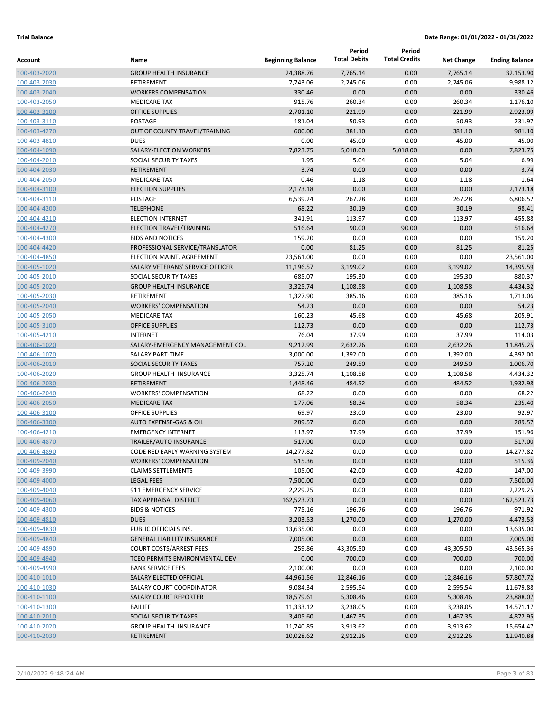|                              |                                                     |                          | Period              | Period               |                   |                       |
|------------------------------|-----------------------------------------------------|--------------------------|---------------------|----------------------|-------------------|-----------------------|
| Account                      | Name                                                | <b>Beginning Balance</b> | <b>Total Debits</b> | <b>Total Credits</b> | <b>Net Change</b> | <b>Ending Balance</b> |
| 100-403-2020                 | <b>GROUP HEALTH INSURANCE</b>                       | 24,388.76                | 7.765.14            | 0.00                 | 7,765.14          | 32.153.90             |
| 100-403-2030                 | RETIREMENT                                          | 7,743.06                 | 2,245.06            | 0.00                 | 2,245.06          | 9,988.12              |
| 100-403-2040                 | <b>WORKERS COMPENSATION</b>                         | 330.46                   | 0.00                | 0.00                 | 0.00              | 330.46                |
| 100-403-2050                 | <b>MEDICARE TAX</b>                                 | 915.76                   | 260.34              | 0.00                 | 260.34            | 1,176.10              |
| 100-403-3100                 | <b>OFFICE SUPPLIES</b>                              | 2,701.10                 | 221.99              | 0.00                 | 221.99            | 2,923.09              |
| 100-403-3110                 | POSTAGE                                             | 181.04                   | 50.93               | 0.00                 | 50.93             | 231.97                |
| 100-403-4270                 | OUT OF COUNTY TRAVEL/TRAINING                       | 600.00                   | 381.10              | 0.00                 | 381.10            | 981.10                |
| 100-403-4810                 | <b>DUES</b>                                         | 0.00                     | 45.00               | 0.00                 | 45.00             | 45.00                 |
| 100-404-1090                 | SALARY-ELECTION WORKERS                             | 7,823.75                 | 5,018.00            | 5,018.00             | 0.00              | 7,823.75              |
| 100-404-2010                 | SOCIAL SECURITY TAXES                               | 1.95                     | 5.04                | 0.00                 | 5.04              | 6.99                  |
| 100-404-2030                 | <b>RETIREMENT</b>                                   | 3.74                     | 0.00                | 0.00                 | 0.00              | 3.74                  |
| 100-404-2050                 | <b>MEDICARE TAX</b>                                 | 0.46                     | 1.18                | 0.00                 | 1.18              | 1.64                  |
| 100-404-3100                 | <b>ELECTION SUPPLIES</b>                            | 2,173.18                 | 0.00                | 0.00                 | 0.00              | 2,173.18              |
| 100-404-3110                 | POSTAGE                                             | 6,539.24                 | 267.28              | 0.00                 | 267.28            | 6,806.52              |
| 100-404-4200                 | <b>TELEPHONE</b>                                    | 68.22                    | 30.19               | 0.00                 | 30.19             | 98.41                 |
| 100-404-4210                 | <b>ELECTION INTERNET</b>                            | 341.91                   | 113.97              | 0.00                 | 113.97            | 455.88                |
| 100-404-4270                 | <b>ELECTION TRAVEL/TRAINING</b>                     | 516.64                   | 90.00               | 90.00                | 0.00              | 516.64                |
| 100-404-4300                 | <b>BIDS AND NOTICES</b>                             | 159.20                   | 0.00                | 0.00                 | 0.00              | 159.20                |
| 100-404-4420                 | PROFESSIONAL SERVICE/TRANSLATOR                     | 0.00                     | 81.25               | 0.00                 | 81.25             | 81.25                 |
| 100-404-4850                 | ELECTION MAINT. AGREEMENT                           | 23,561.00                | 0.00                | 0.00                 | 0.00              | 23,561.00             |
| 100-405-1020                 | SALARY VETERANS' SERVICE OFFICER                    | 11,196.57                | 3,199.02            | 0.00                 | 3,199.02          | 14,395.59             |
| 100-405-2010                 | SOCIAL SECURITY TAXES                               | 685.07                   | 195.30              | 0.00                 | 195.30            | 880.37                |
| 100-405-2020                 | <b>GROUP HEALTH INSURANCE</b>                       | 3,325.74                 | 1,108.58            | 0.00                 | 1,108.58          | 4,434.32              |
| 100-405-2030                 | <b>RETIREMENT</b>                                   | 1,327.90                 | 385.16              | 0.00                 | 385.16            | 1,713.06              |
| 100-405-2040                 | <b>WORKERS' COMPENSATION</b>                        | 54.23                    | 0.00                | 0.00                 | 0.00              | 54.23                 |
| 100-405-2050                 | <b>MEDICARE TAX</b>                                 | 160.23                   | 45.68               | 0.00                 | 45.68             | 205.91                |
| 100-405-3100                 | <b>OFFICE SUPPLIES</b>                              | 112.73                   | 0.00                | 0.00                 | 0.00              | 112.73                |
| 100-405-4210                 | <b>INTERNET</b>                                     | 76.04                    | 37.99               | 0.00                 | 37.99             | 114.03                |
| 100-406-1020                 | SALARY-EMERGENCY MANAGEMENT CO                      | 9,212.99                 | 2,632.26            | 0.00                 | 2,632.26          | 11,845.25             |
| 100-406-1070                 | <b>SALARY PART-TIME</b>                             | 3,000.00                 | 1,392.00            | 0.00                 | 1,392.00          | 4,392.00              |
| 100-406-2010                 | SOCIAL SECURITY TAXES                               | 757.20                   | 249.50              | 0.00                 | 249.50            | 1,006.70              |
| 100-406-2020                 | <b>GROUP HEALTH INSURANCE</b>                       | 3,325.74                 | 1,108.58            | 0.00                 | 1,108.58          | 4,434.32              |
| 100-406-2030                 | <b>RETIREMENT</b>                                   | 1,448.46                 | 484.52              | 0.00                 | 484.52            | 1,932.98              |
| 100-406-2040                 | <b>WORKERS' COMPENSATION</b>                        | 68.22                    | 0.00                | 0.00                 | 0.00              | 68.22                 |
| 100-406-2050                 | <b>MEDICARE TAX</b>                                 | 177.06                   | 58.34               | 0.00                 | 58.34             | 235.40                |
| 100-406-3100                 | <b>OFFICE SUPPLIES</b>                              | 69.97                    | 23.00               | 0.00                 | 23.00             | 92.97                 |
| 100-406-3300                 | AUTO EXPENSE-GAS & OIL                              | 289.57                   | 0.00                | 0.00                 | 0.00              | 289.57                |
| 100-406-4210<br>100-406-4870 | <b>EMERGENCY INTERNET</b><br>TRAILER/AUTO INSURANCE | 113.97<br>517.00         | 37.99<br>0.00       | 0.00<br>0.00         | 37.99<br>0.00     | 151.96<br>517.00      |
| 100-406-4890                 | CODE RED EARLY WARNING SYSTEM                       | 14,277.82                | 0.00                | 0.00                 | 0.00              | 14,277.82             |
| 100-409-2040                 | <b>WORKERS' COMPENSATION</b>                        | 515.36                   | 0.00                | 0.00                 | 0.00              | 515.36                |
| 100-409-3990                 | <b>CLAIMS SETTLEMENTS</b>                           | 105.00                   | 42.00               | 0.00                 | 42.00             | 147.00                |
| 100-409-4000                 | <b>LEGAL FEES</b>                                   | 7,500.00                 | 0.00                | 0.00                 | 0.00              | 7,500.00              |
| 100-409-4040                 | 911 EMERGENCY SERVICE                               | 2,229.25                 | 0.00                | 0.00                 | 0.00              | 2,229.25              |
| 100-409-4060                 | TAX APPRAISAL DISTRICT                              | 162,523.73               | 0.00                | 0.00                 | 0.00              | 162,523.73            |
| 100-409-4300                 | <b>BIDS &amp; NOTICES</b>                           | 775.16                   | 196.76              | 0.00                 | 196.76            | 971.92                |
| 100-409-4810                 | <b>DUES</b>                                         | 3,203.53                 | 1,270.00            | 0.00                 | 1,270.00          | 4,473.53              |
| 100-409-4830                 | PUBLIC OFFICIALS INS.                               | 13,635.00                | 0.00                | 0.00                 | 0.00              | 13,635.00             |
| 100-409-4840                 | <b>GENERAL LIABILITY INSURANCE</b>                  | 7,005.00                 | 0.00                | 0.00                 | 0.00              | 7,005.00              |
| 100-409-4890                 | <b>COURT COSTS/ARREST FEES</b>                      | 259.86                   | 43,305.50           | 0.00                 | 43,305.50         | 43,565.36             |
| 100-409-4940                 | TCEQ PERMITS ENVIRONMENTAL DEV                      | 0.00                     | 700.00              | 0.00                 | 700.00            | 700.00                |
| 100-409-4990                 | <b>BANK SERVICE FEES</b>                            | 2,100.00                 | 0.00                | 0.00                 | 0.00              | 2,100.00              |
| 100-410-1010                 | SALARY ELECTED OFFICIAL                             | 44,961.56                | 12,846.16           | 0.00                 | 12,846.16         | 57,807.72             |
| 100-410-1030                 | SALARY COURT COORDINATOR                            | 9,084.34                 | 2,595.54            | 0.00                 | 2,595.54          | 11,679.88             |
| 100-410-1100                 | SALARY COURT REPORTER                               | 18,579.61                | 5,308.46            | 0.00                 | 5,308.46          | 23,888.07             |
| 100-410-1300                 | <b>BAILIFF</b>                                      | 11,333.12                | 3,238.05            | 0.00                 | 3,238.05          | 14,571.17             |
| 100-410-2010                 | SOCIAL SECURITY TAXES                               | 3,405.60                 | 1,467.35            | 0.00                 | 1,467.35          | 4,872.95              |
| 100-410-2020                 | GROUP HEALTH INSURANCE                              | 11,740.85                | 3,913.62            | 0.00                 | 3,913.62          | 15,654.47             |
| 100-410-2030                 | <b>RETIREMENT</b>                                   | 10,028.62                | 2,912.26            | 0.00                 | 2,912.26          | 12,940.88             |
|                              |                                                     |                          |                     |                      |                   |                       |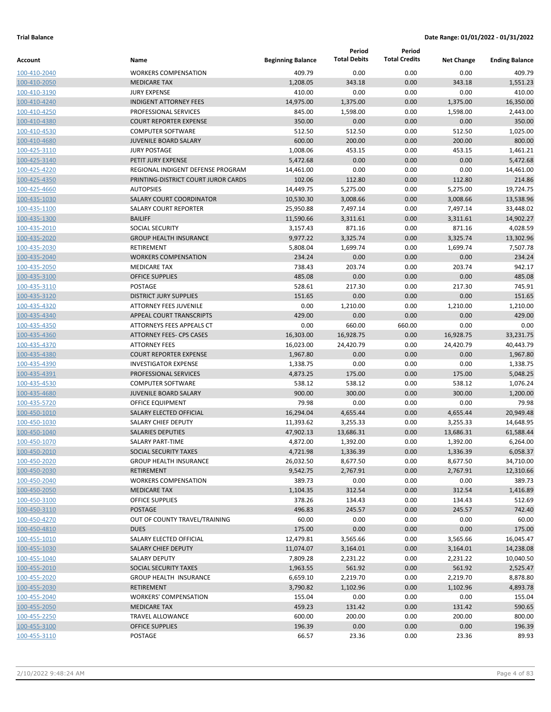|                              |                                              |                          | Period                | Period               |                       |                       |
|------------------------------|----------------------------------------------|--------------------------|-----------------------|----------------------|-----------------------|-----------------------|
| Account                      | Name                                         | <b>Beginning Balance</b> | <b>Total Debits</b>   | <b>Total Credits</b> | <b>Net Change</b>     | <b>Ending Balance</b> |
| 100-410-2040                 | <b>WORKERS COMPENSATION</b>                  | 409.79                   | 0.00                  | 0.00                 | 0.00                  | 409.79                |
| 100-410-2050                 | <b>MEDICARE TAX</b>                          | 1,208.05                 | 343.18                | 0.00                 | 343.18                | 1,551.23              |
| 100-410-3190                 | <b>JURY EXPENSE</b>                          | 410.00                   | 0.00                  | 0.00                 | 0.00                  | 410.00                |
| 100-410-4240                 | <b>INDIGENT ATTORNEY FEES</b>                | 14,975.00                | 1,375.00              | 0.00                 | 1,375.00              | 16,350.00             |
| 100-410-4250                 | PROFESSIONAL SERVICES                        | 845.00                   | 1,598.00              | 0.00                 | 1,598.00              | 2,443.00              |
| 100-410-4380                 | <b>COURT REPORTER EXPENSE</b>                | 350.00                   | 0.00                  | 0.00                 | 0.00                  | 350.00                |
| 100-410-4530                 | <b>COMPUTER SOFTWARE</b>                     | 512.50                   | 512.50                | 0.00                 | 512.50                | 1,025.00              |
| 100-410-4680                 | <b>JUVENILE BOARD SALARY</b>                 | 600.00                   | 200.00                | 0.00                 | 200.00                | 800.00                |
| 100-425-3110                 | <b>JURY POSTAGE</b>                          | 1,008.06                 | 453.15                | 0.00                 | 453.15                | 1,461.21              |
| 100-425-3140                 | PETIT JURY EXPENSE                           | 5,472.68                 | 0.00                  | 0.00                 | 0.00                  | 5,472.68              |
| 100-425-4220                 | REGIONAL INDIGENT DEFENSE PROGRAM            | 14,461.00                | 0.00                  | 0.00                 | 0.00                  | 14,461.00             |
| 100-425-4350                 | PRINTING-DISTRICT COURT JUROR CARDS          | 102.06                   | 112.80                | 0.00                 | 112.80                | 214.86                |
| 100-425-4660                 | <b>AUTOPSIES</b>                             | 14,449.75                | 5,275.00              | 0.00                 | 5,275.00              | 19,724.75             |
| 100-435-1030                 | <b>SALARY COURT COORDINATOR</b>              | 10,530.30                | 3,008.66              | 0.00                 | 3,008.66              | 13,538.96             |
| 100-435-1100                 | SALARY COURT REPORTER                        | 25,950.88                | 7,497.14              | 0.00                 | 7,497.14              | 33,448.02             |
| 100-435-1300                 | <b>BAILIFF</b>                               | 11,590.66                | 3,311.61              | 0.00                 | 3,311.61              | 14,902.27             |
| 100-435-2010                 | <b>SOCIAL SECURITY</b>                       | 3,157.43                 | 871.16                | 0.00                 | 871.16                | 4,028.59              |
| 100-435-2020                 | <b>GROUP HEALTH INSURANCE</b>                | 9,977.22                 | 3,325.74              | 0.00                 | 3,325.74              | 13,302.96             |
| 100-435-2030                 | <b>RETIREMENT</b>                            | 5,808.04                 | 1,699.74              | 0.00                 | 1,699.74              | 7,507.78              |
| 100-435-2040                 | <b>WORKERS COMPENSATION</b>                  | 234.24                   | 0.00                  | 0.00                 | 0.00                  | 234.24                |
| 100-435-2050                 | <b>MEDICARE TAX</b>                          | 738.43                   | 203.74                | 0.00                 | 203.74                | 942.17                |
| 100-435-3100                 | <b>OFFICE SUPPLIES</b>                       | 485.08                   | 0.00                  | 0.00                 | 0.00                  | 485.08                |
| 100-435-3110                 | <b>POSTAGE</b>                               | 528.61                   | 217.30                | 0.00                 | 217.30                | 745.91                |
| 100-435-3120                 | <b>DISTRICT JURY SUPPLIES</b>                | 151.65                   | 0.00                  | 0.00                 | 0.00                  | 151.65                |
| 100-435-4320                 | <b>ATTORNEY FEES JUVENILE</b>                | 0.00                     | 1,210.00              | 0.00                 | 1,210.00              | 1,210.00              |
| 100-435-4340                 | <b>APPEAL COURT TRANSCRIPTS</b>              | 429.00                   | 0.00                  | 0.00                 | 0.00                  | 429.00                |
| 100-435-4350                 | ATTORNEYS FEES APPEALS CT                    | 0.00                     | 660.00                | 660.00               | 0.00                  | 0.00                  |
| 100-435-4360                 | ATTORNEY FEES- CPS CASES                     | 16,303.00                | 16,928.75             | 0.00                 | 16,928.75             | 33,231.75             |
| 100-435-4370                 | <b>ATTORNEY FEES</b>                         | 16,023.00                | 24,420.79             | 0.00                 | 24,420.79             | 40,443.79             |
| 100-435-4380                 | <b>COURT REPORTER EXPENSE</b>                | 1,967.80                 | 0.00                  | 0.00                 | 0.00                  | 1,967.80              |
| 100-435-4390                 | <b>INVESTIGATOR EXPENSE</b>                  | 1,338.75                 | 0.00                  | 0.00                 | 0.00                  | 1,338.75              |
| 100-435-4391                 | <b>PROFESSIONAL SERVICES</b>                 | 4,873.25                 | 175.00                | 0.00                 | 175.00                | 5,048.25              |
| 100-435-4530                 | <b>COMPUTER SOFTWARE</b>                     | 538.12                   | 538.12                | 0.00                 | 538.12                | 1,076.24              |
| 100-435-4680                 | <b>JUVENILE BOARD SALARY</b>                 | 900.00                   | 300.00                | 0.00                 | 300.00                | 1,200.00              |
| 100-435-5720                 | OFFICE EQUIPMENT                             | 79.98                    | 0.00                  | 0.00                 | 0.00                  | 79.98                 |
| 100-450-1010                 | SALARY ELECTED OFFICIAL                      | 16.294.04                | 4,655.44              | 0.00                 | 4,655.44              | 20.949.48             |
| 100-450-1030                 | <b>SALARY CHIEF DEPUTY</b>                   | 11,393.62                | 3,255.33              | 0.00                 | 3,255.33              | 14,648.95             |
| 100-450-1040                 | <b>SALARIES DEPUTIES</b><br>SALARY PART-TIME | 47,902.13                | 13,686.31<br>1,392.00 | 0.00<br>0.00         | 13,686.31<br>1,392.00 | 61,588.44<br>6,264.00 |
| 100-450-1070                 | SOCIAL SECURITY TAXES                        | 4,872.00                 |                       | 0.00                 |                       |                       |
| 100-450-2010<br>100-450-2020 | <b>GROUP HEALTH INSURANCE</b>                | 4,721.98<br>26,032.50    | 1,336.39<br>8,677.50  | 0.00                 | 1,336.39<br>8,677.50  | 6,058.37<br>34,710.00 |
| 100-450-2030                 | RETIREMENT                                   | 9,542.75                 | 2,767.91              | 0.00                 | 2,767.91              | 12,310.66             |
| 100-450-2040                 | <b>WORKERS COMPENSATION</b>                  | 389.73                   | 0.00                  | 0.00                 | 0.00                  | 389.73                |
| 100-450-2050                 | <b>MEDICARE TAX</b>                          | 1,104.35                 | 312.54                | 0.00                 | 312.54                | 1,416.89              |
| 100-450-3100                 | <b>OFFICE SUPPLIES</b>                       | 378.26                   | 134.43                | 0.00                 | 134.43                | 512.69                |
| 100-450-3110                 | POSTAGE                                      | 496.83                   | 245.57                | 0.00                 | 245.57                | 742.40                |
| 100-450-4270                 | OUT OF COUNTY TRAVEL/TRAINING                | 60.00                    | 0.00                  | 0.00                 | 0.00                  | 60.00                 |
| 100-450-4810                 | <b>DUES</b>                                  | 175.00                   | 0.00                  | 0.00                 | 0.00                  | 175.00                |
| 100-455-1010                 | SALARY ELECTED OFFICIAL                      | 12,479.81                | 3,565.66              | 0.00                 | 3,565.66              | 16,045.47             |
| 100-455-1030                 | SALARY CHIEF DEPUTY                          | 11,074.07                | 3,164.01              | 0.00                 | 3,164.01              | 14,238.08             |
| 100-455-1040                 | SALARY DEPUTY                                | 7,809.28                 | 2,231.22              | 0.00                 | 2,231.22              | 10,040.50             |
| 100-455-2010                 | SOCIAL SECURITY TAXES                        | 1,963.55                 | 561.92                | 0.00                 | 561.92                | 2,525.47              |
| 100-455-2020                 | GROUP HEALTH INSURANCE                       | 6,659.10                 | 2,219.70              | 0.00                 | 2,219.70              | 8,878.80              |
| 100-455-2030                 | RETIREMENT                                   | 3,790.82                 | 1,102.96              | 0.00                 | 1,102.96              | 4,893.78              |
| 100-455-2040                 | <b>WORKERS' COMPENSATION</b>                 | 155.04                   | 0.00                  | 0.00                 | 0.00                  | 155.04                |
| 100-455-2050                 | <b>MEDICARE TAX</b>                          | 459.23                   | 131.42                | 0.00                 | 131.42                | 590.65                |
| 100-455-2250                 | TRAVEL ALLOWANCE                             | 600.00                   | 200.00                | 0.00                 | 200.00                | 800.00                |
| 100-455-3100                 | <b>OFFICE SUPPLIES</b>                       | 196.39                   | 0.00                  | 0.00                 | 0.00                  | 196.39                |
| 100-455-3110                 | POSTAGE                                      | 66.57                    | 23.36                 | 0.00                 | 23.36                 | 89.93                 |
|                              |                                              |                          |                       |                      |                       |                       |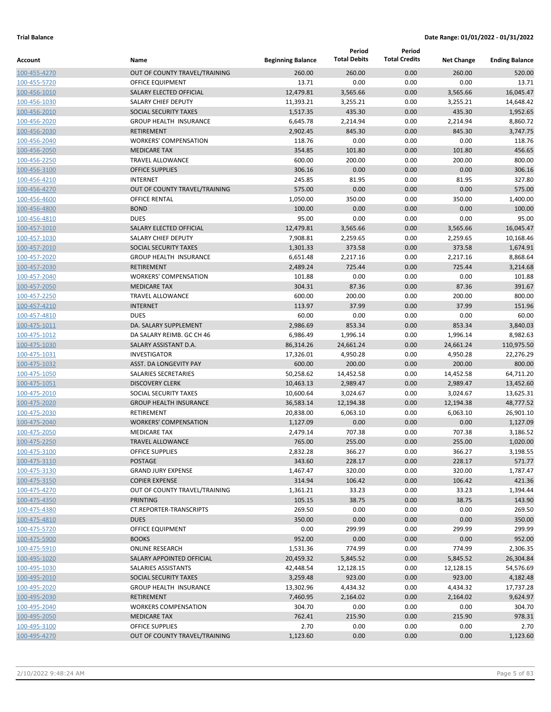| Account                      | Name                                               | <b>Beginning Balance</b> | Period<br><b>Total Debits</b> | Period<br><b>Total Credits</b> | <b>Net Change</b> | <b>Ending Balance</b> |
|------------------------------|----------------------------------------------------|--------------------------|-------------------------------|--------------------------------|-------------------|-----------------------|
|                              |                                                    |                          |                               |                                |                   |                       |
| 100-455-4270                 | OUT OF COUNTY TRAVEL/TRAINING                      | 260.00                   | 260.00                        | 0.00                           | 260.00            | 520.00                |
| 100-455-5720                 | <b>OFFICE EQUIPMENT</b><br>SALARY ELECTED OFFICIAL | 13.71<br>12,479.81       | 0.00<br>3,565.66              | 0.00<br>0.00                   | 0.00<br>3,565.66  | 13.71<br>16,045.47    |
| 100-456-1010<br>100-456-1030 | <b>SALARY CHIEF DEPUTY</b>                         | 11,393.21                | 3,255.21                      | 0.00                           | 3,255.21          | 14,648.42             |
| 100-456-2010                 | <b>SOCIAL SECURITY TAXES</b>                       | 1,517.35                 | 435.30                        | 0.00                           | 435.30            | 1,952.65              |
| 100-456-2020                 | <b>GROUP HEALTH INSURANCE</b>                      | 6,645.78                 | 2,214.94                      | 0.00                           | 2,214.94          | 8,860.72              |
| 100-456-2030                 | <b>RETIREMENT</b>                                  | 2,902.45                 | 845.30                        | 0.00                           | 845.30            | 3,747.75              |
| 100-456-2040                 | <b>WORKERS' COMPENSATION</b>                       | 118.76                   | 0.00                          | 0.00                           | 0.00              | 118.76                |
| 100-456-2050                 | <b>MEDICARE TAX</b>                                | 354.85                   | 101.80                        | 0.00                           | 101.80            | 456.65                |
| 100-456-2250                 | <b>TRAVEL ALLOWANCE</b>                            | 600.00                   | 200.00                        | 0.00                           | 200.00            | 800.00                |
| 100-456-3100                 | <b>OFFICE SUPPLIES</b>                             | 306.16                   | 0.00                          | 0.00                           | 0.00              | 306.16                |
| 100-456-4210                 | <b>INTERNET</b>                                    | 245.85                   | 81.95                         | 0.00                           | 81.95             | 327.80                |
| 100-456-4270                 | OUT OF COUNTY TRAVEL/TRAINING                      | 575.00                   | 0.00                          | 0.00                           | 0.00              | 575.00                |
| 100-456-4600                 | <b>OFFICE RENTAL</b>                               | 1,050.00                 | 350.00                        | 0.00                           | 350.00            | 1,400.00              |
| 100-456-4800                 | <b>BOND</b>                                        | 100.00                   | 0.00                          | 0.00                           | 0.00              | 100.00                |
| 100-456-4810                 | <b>DUES</b>                                        | 95.00                    | 0.00                          | 0.00                           | 0.00              | 95.00                 |
| 100-457-1010                 | SALARY ELECTED OFFICIAL                            | 12,479.81                | 3,565.66                      | 0.00                           | 3,565.66          | 16,045.47             |
| 100-457-1030                 | SALARY CHIEF DEPUTY                                | 7,908.81                 | 2,259.65                      | 0.00                           | 2,259.65          | 10,168.46             |
| 100-457-2010                 | <b>SOCIAL SECURITY TAXES</b>                       | 1,301.33                 | 373.58                        | 0.00                           | 373.58            | 1,674.91              |
| 100-457-2020                 | <b>GROUP HEALTH INSURANCE</b>                      | 6,651.48                 | 2,217.16                      | 0.00                           | 2,217.16          | 8,868.64              |
| 100-457-2030                 | <b>RETIREMENT</b>                                  | 2,489.24                 | 725.44                        | 0.00                           | 725.44            | 3,214.68              |
| 100-457-2040                 | <b>WORKERS' COMPENSATION</b>                       | 101.88                   | 0.00                          | 0.00                           | 0.00              | 101.88                |
| 100-457-2050                 | <b>MEDICARE TAX</b>                                | 304.31                   | 87.36                         | 0.00                           | 87.36             | 391.67                |
| 100-457-2250                 | <b>TRAVEL ALLOWANCE</b>                            | 600.00                   | 200.00                        | 0.00                           | 200.00            | 800.00                |
| 100-457-4210                 | <b>INTERNET</b>                                    | 113.97                   | 37.99                         | 0.00                           | 37.99             | 151.96                |
| 100-457-4810                 | <b>DUES</b>                                        | 60.00                    | 0.00                          | 0.00                           | 0.00              | 60.00                 |
| 100-475-1011                 | DA. SALARY SUPPLEMENT                              | 2,986.69                 | 853.34                        | 0.00                           | 853.34            | 3,840.03              |
| 100-475-1012                 | DA SALARY REIMB. GC CH 46                          | 6,986.49                 | 1,996.14                      | 0.00                           | 1,996.14          | 8,982.63              |
| 100-475-1030                 | SALARY ASSISTANT D.A.                              | 86,314.26                | 24,661.24                     | 0.00                           | 24,661.24         | 110,975.50            |
| 100-475-1031                 | <b>INVESTIGATOR</b>                                | 17,326.01                | 4,950.28                      | 0.00                           | 4,950.28          | 22,276.29             |
| 100-475-1032                 | ASST. DA LONGEVITY PAY                             | 600.00                   | 200.00                        | 0.00                           | 200.00            | 800.00                |
| 100-475-1050                 | SALARIES SECRETARIES                               | 50,258.62                | 14,452.58                     | 0.00                           | 14,452.58         | 64,711.20             |
| 100-475-1051                 | <b>DISCOVERY CLERK</b>                             | 10,463.13                | 2,989.47                      | 0.00                           | 2,989.47          | 13,452.60             |
| 100-475-2010                 | SOCIAL SECURITY TAXES                              | 10,600.64                | 3,024.67                      | 0.00                           | 3,024.67          | 13,625.31             |
| 100-475-2020                 | <b>GROUP HEALTH INSURANCE</b>                      | 36,583.14                | 12,194.38                     | 0.00                           | 12,194.38         | 48,777.52             |
| 100-475-2030                 | RETIREMENT                                         | 20,838.00                | 6,063.10                      | 0.00                           | 6,063.10          | 26,901.10             |
| 100-475-2040                 | <b>WORKERS' COMPENSATION</b>                       | 1,127.09                 | 0.00                          | 0.00                           | 0.00              | 1,127.09              |
| 100-475-2050                 | <b>MEDICARE TAX</b>                                | 2,479.14                 | 707.38                        | 0.00                           | 707.38            | 3,186.52              |
| 100-475-2250                 | <b>TRAVEL ALLOWANCE</b>                            | 765.00                   | 255.00                        | 0.00                           | 255.00            | 1,020.00              |
| 100-475-3100                 | OFFICE SUPPLIES                                    | 2,832.28                 | 366.27                        | 0.00                           | 366.27            | 3,198.55              |
| 100-475-3110                 | <b>POSTAGE</b>                                     | 343.60                   | 228.17                        | 0.00                           | 228.17            | 571.77                |
| 100-475-3130                 | <b>GRAND JURY EXPENSE</b>                          | 1,467.47                 | 320.00                        | 0.00                           | 320.00            | 1,787.47              |
| 100-475-3150                 | <b>COPIER EXPENSE</b>                              | 314.94                   | 106.42                        | 0.00                           | 106.42            | 421.36                |
| 100-475-4270                 | OUT OF COUNTY TRAVEL/TRAINING                      | 1,361.21                 | 33.23                         | 0.00                           | 33.23             | 1,394.44              |
| 100-475-4350                 | <b>PRINTING</b>                                    | 105.15                   | 38.75                         | 0.00                           | 38.75             | 143.90                |
| 100-475-4380                 | CT.REPORTER-TRANSCRIPTS                            | 269.50                   | 0.00                          | 0.00                           | 0.00              | 269.50                |
| 100-475-4810                 | <b>DUES</b>                                        | 350.00                   | 0.00                          | 0.00                           | 0.00              | 350.00                |
| 100-475-5720                 | OFFICE EQUIPMENT                                   | 0.00                     | 299.99                        | 0.00                           | 299.99            | 299.99                |
| 100-475-5900                 | <b>BOOKS</b>                                       | 952.00                   | 0.00                          | 0.00                           | 0.00              | 952.00                |
| 100-475-5910                 | <b>ONLINE RESEARCH</b>                             | 1,531.36                 | 774.99                        | 0.00                           | 774.99            | 2,306.35              |
| 100-495-1020                 | SALARY APPOINTED OFFICIAL                          | 20,459.32                | 5,845.52                      | 0.00                           | 5,845.52          | 26,304.84             |
| 100-495-1030                 | SALARIES ASSISTANTS                                | 42,448.54                | 12,128.15                     | 0.00                           | 12,128.15         | 54,576.69             |
| 100-495-2010                 | SOCIAL SECURITY TAXES                              | 3,259.48                 | 923.00                        | 0.00                           | 923.00            | 4,182.48              |
| 100-495-2020                 | <b>GROUP HEALTH INSURANCE</b>                      | 13,302.96                | 4,434.32                      | 0.00                           | 4,434.32          | 17,737.28             |
| 100-495-2030                 | RETIREMENT                                         | 7,460.95                 | 2,164.02                      | 0.00                           | 2,164.02          | 9,624.97              |
| 100-495-2040                 | <b>WORKERS COMPENSATION</b>                        | 304.70                   | 0.00                          | 0.00                           | 0.00              | 304.70                |
| 100-495-2050                 | <b>MEDICARE TAX</b>                                | 762.41                   | 215.90                        | 0.00                           | 215.90            | 978.31                |
| 100-495-3100                 | <b>OFFICE SUPPLIES</b>                             | 2.70                     | 0.00                          | 0.00                           | 0.00              | 2.70                  |
| 100-495-4270                 | OUT OF COUNTY TRAVEL/TRAINING                      | 1,123.60                 | 0.00                          | 0.00                           | 0.00              | 1,123.60              |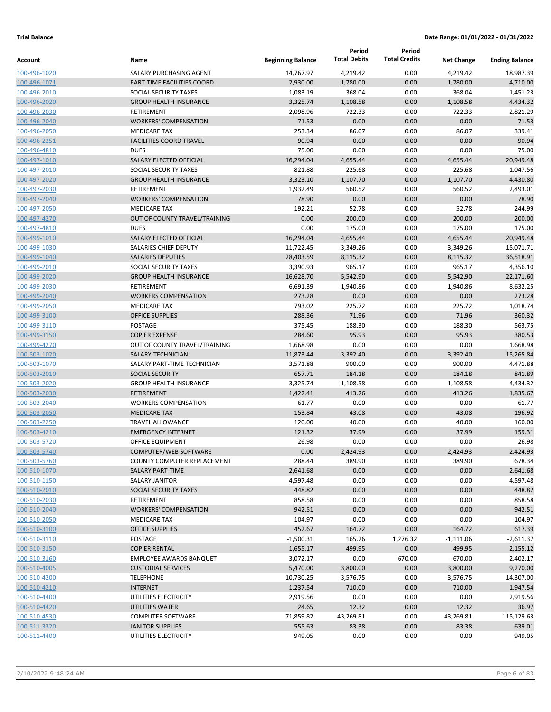| Account                      | Name                                                 | <b>Beginning Balance</b> | Period<br><b>Total Debits</b> | Period<br><b>Total Credits</b> | <b>Net Change</b>  | <b>Ending Balance</b> |
|------------------------------|------------------------------------------------------|--------------------------|-------------------------------|--------------------------------|--------------------|-----------------------|
|                              |                                                      |                          |                               |                                |                    |                       |
| 100-496-1020                 | SALARY PURCHASING AGENT                              | 14,767.97                | 4,219.42                      | 0.00                           | 4,219.42           | 18,987.39             |
| 100-496-1071<br>100-496-2010 | PART-TIME FACILITIES COORD.<br>SOCIAL SECURITY TAXES | 2,930.00<br>1,083.19     | 1,780.00<br>368.04            | 0.00<br>0.00                   | 1,780.00<br>368.04 | 4,710.00<br>1,451.23  |
| 100-496-2020                 | <b>GROUP HEALTH INSURANCE</b>                        | 3,325.74                 | 1,108.58                      | 0.00                           | 1,108.58           | 4,434.32              |
| 100-496-2030                 | <b>RETIREMENT</b>                                    | 2,098.96                 | 722.33                        | 0.00                           | 722.33             | 2,821.29              |
| 100-496-2040                 | <b>WORKERS' COMPENSATION</b>                         | 71.53                    | 0.00                          | 0.00                           | 0.00               | 71.53                 |
| 100-496-2050                 | <b>MEDICARE TAX</b>                                  | 253.34                   | 86.07                         | 0.00                           | 86.07              | 339.41                |
| 100-496-2251                 | <b>FACILITIES COORD TRAVEL</b>                       | 90.94                    | 0.00                          | 0.00                           | 0.00               | 90.94                 |
| 100-496-4810                 | <b>DUES</b>                                          | 75.00                    | 0.00                          | 0.00                           | 0.00               | 75.00                 |
| 100-497-1010                 | SALARY ELECTED OFFICIAL                              | 16,294.04                | 4,655.44                      | 0.00                           | 4,655.44           | 20,949.48             |
| 100-497-2010                 | SOCIAL SECURITY TAXES                                | 821.88                   | 225.68                        | 0.00                           | 225.68             | 1,047.56              |
| 100-497-2020                 | <b>GROUP HEALTH INSURANCE</b>                        | 3,323.10                 | 1,107.70                      | 0.00                           | 1,107.70           | 4,430.80              |
| 100-497-2030                 | RETIREMENT                                           | 1,932.49                 | 560.52                        | 0.00                           | 560.52             | 2,493.01              |
| 100-497-2040                 | <b>WORKERS' COMPENSATION</b>                         | 78.90                    | 0.00                          | 0.00                           | 0.00               | 78.90                 |
| 100-497-2050                 | <b>MEDICARE TAX</b>                                  | 192.21                   | 52.78                         | 0.00                           | 52.78              | 244.99                |
| 100-497-4270                 | OUT OF COUNTY TRAVEL/TRAINING                        | 0.00                     | 200.00                        | 0.00                           | 200.00             | 200.00                |
| 100-497-4810                 | <b>DUES</b>                                          | 0.00                     | 175.00                        | 0.00                           | 175.00             | 175.00                |
| 100-499-1010                 | SALARY ELECTED OFFICIAL                              | 16,294.04                | 4,655.44                      | 0.00                           | 4,655.44           | 20,949.48             |
| 100-499-1030                 | SALARIES CHIEF DEPUTY                                | 11,722.45                | 3,349.26                      | 0.00                           | 3,349.26           | 15,071.71             |
| 100-499-1040                 | <b>SALARIES DEPUTIES</b>                             | 28,403.59                | 8,115.32                      | 0.00                           | 8,115.32           | 36,518.91             |
| 100-499-2010                 | SOCIAL SECURITY TAXES                                | 3,390.93                 | 965.17                        | 0.00                           | 965.17             | 4,356.10              |
| 100-499-2020                 | <b>GROUP HEALTH INSURANCE</b>                        | 16,628.70                | 5,542.90                      | 0.00                           | 5,542.90           | 22,171.60             |
| 100-499-2030                 | RETIREMENT                                           | 6,691.39                 | 1,940.86                      | 0.00                           | 1,940.86           | 8,632.25              |
| 100-499-2040                 | <b>WORKERS COMPENSATION</b>                          | 273.28                   | 0.00                          | 0.00                           | 0.00               | 273.28                |
| 100-499-2050                 | <b>MEDICARE TAX</b>                                  | 793.02                   | 225.72                        | 0.00                           | 225.72             | 1,018.74              |
| 100-499-3100                 | <b>OFFICE SUPPLIES</b>                               | 288.36                   | 71.96                         | 0.00                           | 71.96              | 360.32                |
| 100-499-3110                 | POSTAGE                                              | 375.45                   | 188.30                        | 0.00                           | 188.30             | 563.75                |
| 100-499-3150                 | <b>COPIER EXPENSE</b>                                | 284.60                   | 95.93                         | 0.00                           | 95.93              | 380.53                |
| 100-499-4270                 | OUT OF COUNTY TRAVEL/TRAINING                        | 1,668.98                 | 0.00                          | 0.00                           | 0.00               | 1,668.98              |
| 100-503-1020                 | SALARY-TECHNICIAN                                    | 11,873.44                | 3,392.40                      | 0.00                           | 3,392.40           | 15,265.84             |
| 100-503-1070                 | SALARY PART-TIME TECHNICIAN                          | 3,571.88                 | 900.00                        | 0.00                           | 900.00             | 4,471.88              |
| 100-503-2010                 | <b>SOCIAL SECURITY</b>                               | 657.71                   | 184.18                        | 0.00                           | 184.18             | 841.89                |
| 100-503-2020                 | <b>GROUP HEALTH INSURANCE</b>                        | 3,325.74                 | 1,108.58                      | 0.00                           | 1,108.58           | 4,434.32              |
| 100-503-2030                 | <b>RETIREMENT</b>                                    | 1,422.41                 | 413.26                        | 0.00                           | 413.26             | 1,835.67              |
| 100-503-2040                 | <b>WORKERS COMPENSATION</b>                          | 61.77                    | 0.00                          | 0.00                           | 0.00               | 61.77                 |
| 100-503-2050                 | <b>MEDICARE TAX</b>                                  | 153.84                   | 43.08                         | 0.00                           | 43.08              | 196.92                |
| 100-503-2250                 | <b>TRAVEL ALLOWANCE</b>                              | 120.00                   | 40.00                         | 0.00                           | 40.00              | 160.00                |
| 100-503-4210                 | <b>EMERGENCY INTERNET</b>                            | 121.32                   | 37.99                         | 0.00                           | 37.99              | 159.31                |
| 100-503-5720                 | <b>OFFICE EQUIPMENT</b>                              | 26.98                    | 0.00                          | 0.00                           | 0.00               | 26.98                 |
| 100-503-5740                 | COMPUTER/WEB SOFTWARE                                | 0.00                     | 2,424.93                      | 0.00                           | 2,424.93           | 2,424.93              |
| 100-503-5760                 | COUNTY COMPUTER REPLACEMENT                          | 288.44                   | 389.90                        | 0.00                           | 389.90             | 678.34                |
| 100-510-1070                 | SALARY PART-TIME                                     | 2,641.68                 | 0.00                          | 0.00                           | 0.00               | 2,641.68              |
| 100-510-1150                 | <b>SALARY JANITOR</b>                                | 4,597.48                 | 0.00                          | 0.00                           | 0.00               | 4,597.48              |
| 100-510-2010                 | SOCIAL SECURITY TAXES                                | 448.82                   | 0.00                          | 0.00                           | 0.00               | 448.82                |
| 100-510-2030                 | RETIREMENT                                           | 858.58                   | 0.00                          | 0.00                           | 0.00               | 858.58                |
| 100-510-2040                 | <b>WORKERS' COMPENSATION</b>                         | 942.51                   | 0.00                          | 0.00                           | 0.00               | 942.51                |
| 100-510-2050                 | <b>MEDICARE TAX</b>                                  | 104.97                   | 0.00                          | 0.00                           | 0.00               | 104.97                |
| 100-510-3100                 | <b>OFFICE SUPPLIES</b>                               | 452.67                   | 164.72                        | 0.00                           | 164.72             | 617.39                |
| 100-510-3110                 | POSTAGE                                              | $-1,500.31$              | 165.26                        | 1,276.32                       | $-1,111.06$        | $-2,611.37$           |
| 100-510-3150                 | <b>COPIER RENTAL</b>                                 | 1,655.17                 | 499.95                        | 0.00                           | 499.95             | 2,155.12              |
| 100-510-3160                 | <b>EMPLOYEE AWARDS BANQUET</b>                       | 3,072.17                 | 0.00                          | 670.00                         | $-670.00$          | 2,402.17              |
| 100-510-4005                 | <b>CUSTODIAL SERVICES</b>                            | 5,470.00                 | 3,800.00                      | 0.00                           | 3,800.00           | 9,270.00              |
| 100-510-4200                 | <b>TELEPHONE</b>                                     | 10,730.25                | 3,576.75                      | 0.00                           | 3,576.75           | 14,307.00             |
| 100-510-4210                 | <b>INTERNET</b><br>UTILITIES ELECTRICITY             | 1,237.54<br>2,919.56     | 710.00                        | 0.00                           | 710.00             | 1,947.54<br>2,919.56  |
| 100-510-4400                 | <b>UTILITIES WATER</b>                               |                          | 0.00                          | 0.00                           | 0.00               |                       |
| 100-510-4420                 |                                                      | 24.65                    | 12.32                         | 0.00                           | 12.32              | 36.97                 |
| 100-510-4530                 | <b>COMPUTER SOFTWARE</b>                             | 71,859.82                | 43,269.81                     | 0.00                           | 43,269.81          | 115,129.63            |
| 100-511-3320<br>100-511-4400 | <b>JANITOR SUPPLIES</b><br>UTILITIES ELECTRICITY     | 555.63<br>949.05         | 83.38<br>0.00                 | 0.00<br>0.00                   | 83.38<br>0.00      | 639.01<br>949.05      |
|                              |                                                      |                          |                               |                                |                    |                       |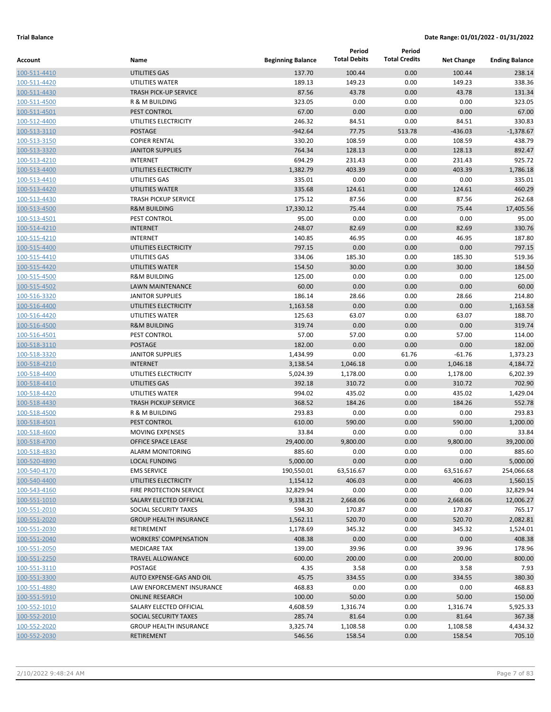|                              |                                            |                          | Period              | Period               |                   |                       |
|------------------------------|--------------------------------------------|--------------------------|---------------------|----------------------|-------------------|-----------------------|
| <b>Account</b>               | Name                                       | <b>Beginning Balance</b> | <b>Total Debits</b> | <b>Total Credits</b> | <b>Net Change</b> | <b>Ending Balance</b> |
| 100-511-4410                 | UTILITIES GAS                              | 137.70                   | 100.44              | 0.00                 | 100.44            | 238.14                |
| 100-511-4420                 | UTILITIES WATER                            | 189.13                   | 149.23              | 0.00                 | 149.23            | 338.36                |
| 100-511-4430                 | <b>TRASH PICK-UP SERVICE</b>               | 87.56                    | 43.78               | 0.00                 | 43.78             | 131.34                |
| 100-511-4500                 | R & M BUILDING                             | 323.05                   | 0.00                | 0.00                 | 0.00              | 323.05                |
| 100-511-4501                 | PEST CONTROL                               | 67.00                    | 0.00                | 0.00                 | 0.00              | 67.00                 |
| 100-512-4400                 | UTILITIES ELECTRICITY                      | 246.32                   | 84.51               | 0.00                 | 84.51             | 330.83                |
| 100-513-3110                 | <b>POSTAGE</b>                             | $-942.64$                | 77.75               | 513.78               | $-436.03$         | $-1,378.67$           |
| 100-513-3150                 | <b>COPIER RENTAL</b>                       | 330.20                   | 108.59              | 0.00                 | 108.59            | 438.79                |
| 100-513-3320                 | <b>JANITOR SUPPLIES</b><br><b>INTERNET</b> | 764.34                   | 128.13              | 0.00                 | 128.13            | 892.47                |
| 100-513-4210                 |                                            | 694.29                   | 231.43              | 0.00                 | 231.43            | 925.72                |
| 100-513-4400                 | UTILITIES ELECTRICITY<br>UTILITIES GAS     | 1,382.79                 | 403.39              | 0.00                 | 403.39            | 1,786.18<br>335.01    |
| 100-513-4410                 | <b>UTILITIES WATER</b>                     | 335.01<br>335.68         | 0.00<br>124.61      | 0.00<br>0.00         | 0.00<br>124.61    | 460.29                |
| 100-513-4420<br>100-513-4430 | <b>TRASH PICKUP SERVICE</b>                | 175.12                   | 87.56               | 0.00                 | 87.56             | 262.68                |
| 100-513-4500                 | <b>R&amp;M BUILDING</b>                    | 17,330.12                | 75.44               | 0.00                 | 75.44             | 17,405.56             |
| 100-513-4501                 | PEST CONTROL                               | 95.00                    | 0.00                | 0.00                 | 0.00              | 95.00                 |
| 100-514-4210                 | <b>INTERNET</b>                            | 248.07                   | 82.69               | 0.00                 | 82.69             | 330.76                |
| 100-515-4210                 | <b>INTERNET</b>                            | 140.85                   | 46.95               | 0.00                 | 46.95             | 187.80                |
| 100-515-4400                 | UTILITIES ELECTRICITY                      | 797.15                   | 0.00                | 0.00                 | 0.00              | 797.15                |
| 100-515-4410                 | UTILITIES GAS                              | 334.06                   | 185.30              | 0.00                 | 185.30            | 519.36                |
| 100-515-4420                 | <b>UTILITIES WATER</b>                     | 154.50                   | 30.00               | 0.00                 | 30.00             | 184.50                |
| 100-515-4500                 | <b>R&amp;M BUILDING</b>                    | 125.00                   | 0.00                | 0.00                 | 0.00              | 125.00                |
| 100-515-4502                 | <b>LAWN MAINTENANCE</b>                    | 60.00                    | 0.00                | 0.00                 | 0.00              | 60.00                 |
| 100-516-3320                 | <b>JANITOR SUPPLIES</b>                    | 186.14                   | 28.66               | 0.00                 | 28.66             | 214.80                |
| 100-516-4400                 | UTILITIES ELECTRICITY                      | 1,163.58                 | 0.00                | 0.00                 | 0.00              | 1,163.58              |
| 100-516-4420                 | UTILITIES WATER                            | 125.63                   | 63.07               | 0.00                 | 63.07             | 188.70                |
| 100-516-4500                 | <b>R&amp;M BUILDING</b>                    | 319.74                   | 0.00                | 0.00                 | 0.00              | 319.74                |
| 100-516-4501                 | PEST CONTROL                               | 57.00                    | 57.00               | 0.00                 | 57.00             | 114.00                |
| 100-518-3110                 | <b>POSTAGE</b>                             | 182.00                   | 0.00                | 0.00                 | 0.00              | 182.00                |
| 100-518-3320                 | <b>JANITOR SUPPLIES</b>                    | 1,434.99                 | 0.00                | 61.76                | $-61.76$          | 1,373.23              |
| 100-518-4210                 | <b>INTERNET</b>                            | 3,138.54                 | 1,046.18            | 0.00                 | 1,046.18          | 4,184.72              |
| 100-518-4400                 | UTILITIES ELECTRICITY                      | 5,024.39                 | 1,178.00            | 0.00                 | 1,178.00          | 6,202.39              |
| 100-518-4410                 | UTILITIES GAS                              | 392.18                   | 310.72              | 0.00                 | 310.72            | 702.90                |
| 100-518-4420                 | UTILITIES WATER                            | 994.02                   | 435.02              | 0.00                 | 435.02            | 1,429.04              |
| 100-518-4430                 | <b>TRASH PICKUP SERVICE</b>                | 368.52                   | 184.26              | 0.00                 | 184.26            | 552.78                |
| 100-518-4500                 | R & M BUILDING                             | 293.83                   | 0.00                | 0.00                 | 0.00              | 293.83                |
| 100-518-4501                 | PEST CONTROL                               | 610.00                   | 590.00              | 0.00                 | 590.00            | 1,200.00              |
| 100-518-4600                 | <b>MOVING EXPENSES</b>                     | 33.84                    | 0.00                | 0.00                 | 0.00              | 33.84                 |
| 100-518-4700                 | <b>OFFICE SPACE LEASE</b>                  | 29,400.00                | 9,800.00            | 0.00                 | 9,800.00          | 39,200.00             |
| 100-518-4830                 | <b>ALARM MONITORING</b>                    | 885.60                   | 0.00                | 0.00                 | 0.00              | 885.60                |
| 100-520-4890                 | <b>LOCAL FUNDING</b>                       | 5,000.00                 | 0.00                | 0.00                 | 0.00              | 5,000.00              |
| 100-540-4170                 | <b>EMS SERVICE</b>                         | 190,550.01               | 63,516.67           | 0.00                 | 63,516.67         | 254,066.68            |
| 100-540-4400                 | UTILITIES ELECTRICITY                      | 1,154.12                 | 406.03              | 0.00                 | 406.03            | 1,560.15              |
| 100-543-4160                 | FIRE PROTECTION SERVICE                    | 32,829.94                | 0.00                | 0.00                 | 0.00              | 32,829.94             |
| 100-551-1010                 | SALARY ELECTED OFFICIAL                    | 9,338.21                 | 2,668.06            | 0.00                 | 2,668.06          | 12,006.27             |
| 100-551-2010                 | SOCIAL SECURITY TAXES                      | 594.30                   | 170.87              | 0.00                 | 170.87            | 765.17                |
| 100-551-2020                 | <b>GROUP HEALTH INSURANCE</b>              | 1,562.11                 | 520.70              | 0.00                 | 520.70            | 2,082.81              |
| 100-551-2030                 | <b>RETIREMENT</b>                          | 1,178.69                 | 345.32              | 0.00                 | 345.32            | 1,524.01              |
| 100-551-2040                 | <b>WORKERS' COMPENSATION</b>               | 408.38                   | 0.00                | 0.00                 | 0.00              | 408.38                |
| 100-551-2050                 | <b>MEDICARE TAX</b>                        | 139.00                   | 39.96               | 0.00                 | 39.96             | 178.96                |
| 100-551-2250                 | <b>TRAVEL ALLOWANCE</b>                    | 600.00                   | 200.00              | 0.00                 | 200.00            | 800.00                |
| 100-551-3110                 | POSTAGE                                    | 4.35                     | 3.58                | 0.00                 | 3.58              | 7.93                  |
| 100-551-3300                 | AUTO EXPENSE-GAS AND OIL                   | 45.75                    | 334.55              | 0.00                 | 334.55            | 380.30                |
| 100-551-4880                 | LAW ENFORCEMENT INSURANCE                  | 468.83                   | 0.00                | 0.00                 | 0.00              | 468.83                |
| 100-551-5910                 | <b>ONLINE RESEARCH</b>                     | 100.00                   | 50.00               | 0.00                 | 50.00             | 150.00                |
| 100-552-1010                 | SALARY ELECTED OFFICIAL                    | 4,608.59                 | 1,316.74            | 0.00                 | 1,316.74          | 5,925.33              |
| 100-552-2010                 | SOCIAL SECURITY TAXES                      | 285.74                   | 81.64               | 0.00                 | 81.64             | 367.38                |
| 100-552-2020                 | <b>GROUP HEALTH INSURANCE</b>              | 3,325.74                 | 1,108.58            | 0.00                 | 1,108.58          | 4,434.32              |
| 100-552-2030                 | RETIREMENT                                 | 546.56                   | 158.54              | 0.00                 | 158.54            | 705.10                |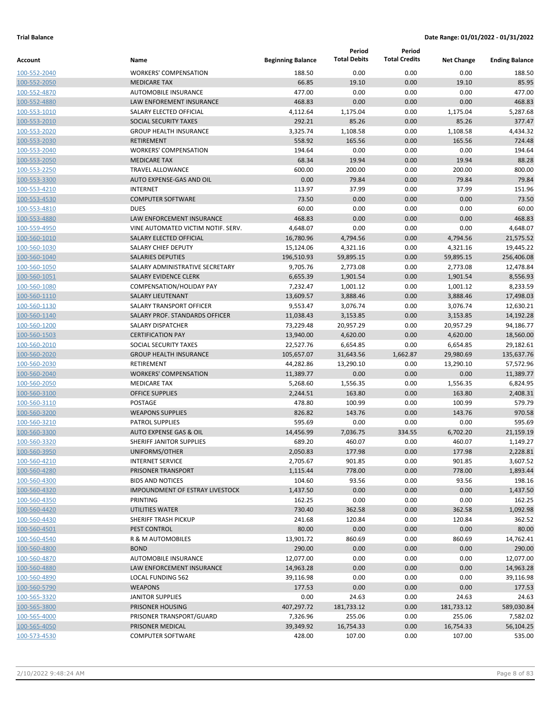|                              |                                                     |                          | Period              | Period               |                    |                       |
|------------------------------|-----------------------------------------------------|--------------------------|---------------------|----------------------|--------------------|-----------------------|
| Account                      | Name                                                | <b>Beginning Balance</b> | <b>Total Debits</b> | <b>Total Credits</b> | <b>Net Change</b>  | <b>Ending Balance</b> |
| 100-552-2040                 | <b>WORKERS' COMPENSATION</b>                        | 188.50                   | 0.00                | 0.00                 | 0.00               | 188.50                |
| 100-552-2050                 | <b>MEDICARE TAX</b>                                 | 66.85                    | 19.10               | 0.00                 | 19.10              | 85.95                 |
| 100-552-4870                 | <b>AUTOMOBILE INSURANCE</b>                         | 477.00                   | 0.00                | 0.00                 | 0.00               | 477.00                |
| 100-552-4880                 | LAW ENFOREMENT INSURANCE                            | 468.83                   | 0.00                | 0.00                 | 0.00               | 468.83                |
| 100-553-1010                 | SALARY ELECTED OFFICIAL                             | 4,112.64                 | 1,175.04            | 0.00                 | 1,175.04           | 5,287.68              |
| 100-553-2010                 | SOCIAL SECURITY TAXES                               | 292.21                   | 85.26               | 0.00                 | 85.26              | 377.47                |
| 100-553-2020                 | <b>GROUP HEALTH INSURANCE</b>                       | 3,325.74                 | 1,108.58            | 0.00                 | 1,108.58           | 4,434.32              |
| 100-553-2030                 | <b>RETIREMENT</b>                                   | 558.92                   | 165.56              | 0.00                 | 165.56             | 724.48                |
| 100-553-2040                 | <b>WORKERS' COMPENSATION</b>                        | 194.64                   | 0.00                | 0.00                 | 0.00               | 194.64                |
| 100-553-2050                 | <b>MEDICARE TAX</b>                                 | 68.34                    | 19.94               | 0.00                 | 19.94              | 88.28                 |
| 100-553-2250                 | <b>TRAVEL ALLOWANCE</b>                             | 600.00                   | 200.00              | 0.00                 | 200.00             | 800.00                |
| 100-553-3300                 | AUTO EXPENSE-GAS AND OIL                            | 0.00                     | 79.84               | 0.00                 | 79.84              | 79.84                 |
| 100-553-4210                 | <b>INTERNET</b>                                     | 113.97                   | 37.99               | 0.00                 | 37.99              | 151.96                |
| 100-553-4530                 | <b>COMPUTER SOFTWARE</b>                            | 73.50                    | 0.00                | 0.00                 | 0.00               | 73.50                 |
| 100-553-4810                 | <b>DUES</b>                                         | 60.00                    | 0.00                | 0.00                 | 0.00               | 60.00                 |
| 100-553-4880                 | LAW ENFORCEMENT INSURANCE                           | 468.83                   | 0.00                | 0.00                 | 0.00               | 468.83                |
| 100-559-4950                 | VINE AUTOMATED VICTIM NOTIF. SERV.                  | 4,648.07                 | 0.00                | 0.00                 | 0.00               | 4,648.07              |
| 100-560-1010                 | <b>SALARY ELECTED OFFICIAL</b>                      | 16,780.96                | 4,794.56            | 0.00                 | 4,794.56           | 21,575.52             |
| 100-560-1030                 | SALARY CHIEF DEPUTY                                 | 15,124.06                | 4,321.16            | 0.00                 | 4,321.16           | 19,445.22             |
| 100-560-1040                 | <b>SALARIES DEPUTIES</b>                            | 196,510.93               | 59,895.15           | 0.00                 | 59,895.15          | 256,406.08            |
| 100-560-1050                 | SALARY ADMINISTRATIVE SECRETARY                     | 9,705.76                 | 2,773.08            | 0.00                 | 2,773.08           | 12,478.84             |
| 100-560-1051                 | <b>SALARY EVIDENCE CLERK</b>                        | 6,655.39                 | 1,901.54            | 0.00                 | 1,901.54           | 8,556.93              |
| 100-560-1080                 | <b>COMPENSATION/HOLIDAY PAY</b>                     | 7,232.47                 | 1,001.12            | 0.00                 | 1,001.12           | 8,233.59              |
| 100-560-1110                 | <b>SALARY LIEUTENANT</b>                            | 13,609.57                | 3,888.46            | 0.00                 | 3,888.46           | 17,498.03             |
| 100-560-1130                 | SALARY TRANSPORT OFFICER                            | 9,553.47                 | 3,076.74            | 0.00                 | 3,076.74           | 12,630.21             |
| 100-560-1140                 | SALARY PROF. STANDARDS OFFICER                      | 11,038.43                | 3,153.85            | 0.00                 | 3,153.85           | 14,192.28             |
| 100-560-1200                 | SALARY DISPATCHER                                   | 73,229.48                | 20,957.29           | 0.00                 | 20,957.29          | 94,186.77             |
| 100-560-1503                 | <b>CERTIFICATION PAY</b>                            | 13,940.00                | 4,620.00            | 0.00                 | 4,620.00           | 18,560.00             |
| 100-560-2010                 | SOCIAL SECURITY TAXES                               | 22,527.76                | 6,654.85            | 0.00                 | 6,654.85           | 29,182.61             |
| 100-560-2020                 | <b>GROUP HEALTH INSURANCE</b>                       | 105,657.07               | 31,643.56           | 1,662.87             | 29,980.69          | 135,637.76            |
| 100-560-2030                 | RETIREMENT                                          | 44,282.86                | 13,290.10           | 0.00                 | 13,290.10          | 57,572.96             |
| 100-560-2040                 | <b>WORKERS' COMPENSATION</b><br><b>MEDICARE TAX</b> | 11,389.77                | 0.00<br>1,556.35    | 0.00                 | 0.00               | 11,389.77<br>6,824.95 |
| 100-560-2050<br>100-560-3100 | <b>OFFICE SUPPLIES</b>                              | 5,268.60<br>2,244.51     | 163.80              | 0.00<br>0.00         | 1,556.35<br>163.80 | 2,408.31              |
| 100-560-3110                 | <b>POSTAGE</b>                                      | 478.80                   | 100.99              | 0.00                 | 100.99             | 579.79                |
| 100-560-3200                 | <b>WEAPONS SUPPLIES</b>                             | 826.82                   | 143.76              | 0.00                 | 143.76             | 970.58                |
| 100-560-3210                 | <b>PATROL SUPPLIES</b>                              | 595.69                   | 0.00                | 0.00                 | 0.00               | 595.69                |
| 100-560-3300                 | <b>AUTO EXPENSE GAS &amp; OIL</b>                   | 14,456.99                | 7,036.75            | 334.55               | 6,702.20           | 21,159.19             |
| 100-560-3320                 | SHERIFF JANITOR SUPPLIES                            | 689.20                   | 460.07              | 0.00                 | 460.07             | 1,149.27              |
| 100-560-3950                 | UNIFORMS/OTHER                                      | 2,050.83                 | 177.98              | 0.00                 | 177.98             | 2,228.81              |
| 100-560-4210                 | <b>INTERNET SERVICE</b>                             | 2,705.67                 | 901.85              | 0.00                 | 901.85             | 3,607.52              |
| 100-560-4280                 | PRISONER TRANSPORT                                  | 1,115.44                 | 778.00              | 0.00                 | 778.00             | 1,893.44              |
| 100-560-4300                 | <b>BIDS AND NOTICES</b>                             | 104.60                   | 93.56               | 0.00                 | 93.56              | 198.16                |
| 100-560-4320                 | IMPOUNDMENT OF ESTRAY LIVESTOCK                     | 1,437.50                 | 0.00                | 0.00                 | 0.00               | 1,437.50              |
| 100-560-4350                 | PRINTING                                            | 162.25                   | 0.00                | 0.00                 | 0.00               | 162.25                |
| 100-560-4420                 | UTILITIES WATER                                     | 730.40                   | 362.58              | 0.00                 | 362.58             | 1,092.98              |
| 100-560-4430                 | SHERIFF TRASH PICKUP                                | 241.68                   | 120.84              | 0.00                 | 120.84             | 362.52                |
| 100-560-4501                 | PEST CONTROL                                        | 80.00                    | 0.00                | 0.00                 | 0.00               | 80.00                 |
| 100-560-4540                 | R & M AUTOMOBILES                                   | 13,901.72                | 860.69              | 0.00                 | 860.69             | 14,762.41             |
| 100-560-4800                 | <b>BOND</b>                                         | 290.00                   | 0.00                | 0.00                 | 0.00               | 290.00                |
| 100-560-4870                 | AUTOMOBILE INSURANCE                                | 12,077.00                | 0.00                | 0.00                 | 0.00               | 12,077.00             |
| 100-560-4880                 | LAW ENFORCEMENT INSURANCE                           | 14,963.28                | 0.00                | 0.00                 | 0.00               | 14,963.28             |
| 100-560-4890                 | <b>LOCAL FUNDING 562</b>                            | 39,116.98                | 0.00                | 0.00                 | 0.00               | 39,116.98             |
| 100-560-5790                 | <b>WEAPONS</b>                                      | 177.53                   | 0.00                | 0.00                 | 0.00               | 177.53                |
| 100-565-3320                 | <b>JANITOR SUPPLIES</b>                             | 0.00                     | 24.63               | 0.00                 | 24.63              | 24.63                 |
| 100-565-3800                 | PRISONER HOUSING                                    | 407,297.72               | 181,733.12          | 0.00                 | 181,733.12         | 589,030.84            |
| 100-565-4000                 | PRISONER TRANSPORT/GUARD                            | 7,326.96                 | 255.06              | 0.00                 | 255.06             | 7,582.02              |
| 100-565-4050                 | PRISONER MEDICAL                                    | 39,349.92                | 16,754.33           | 0.00                 | 16,754.33          | 56,104.25             |
| 100-573-4530                 | <b>COMPUTER SOFTWARE</b>                            | 428.00                   | 107.00              | 0.00                 | 107.00             | 535.00                |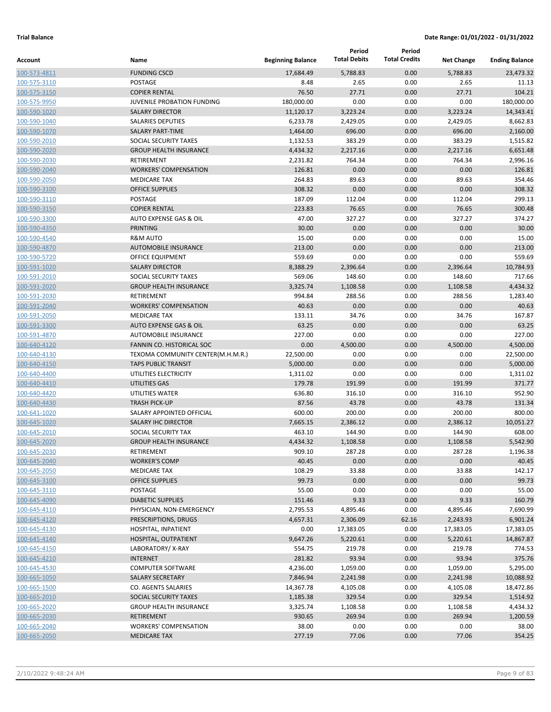|                              |                                                      |                          | Period<br><b>Total Debits</b> | Period<br><b>Total Credits</b> |                    |                         |
|------------------------------|------------------------------------------------------|--------------------------|-------------------------------|--------------------------------|--------------------|-------------------------|
| Account                      | Name                                                 | <b>Beginning Balance</b> |                               |                                | <b>Net Change</b>  | <b>Ending Balance</b>   |
| 100-573-4811                 | <b>FUNDING CSCD</b>                                  | 17,684.49                | 5,788.83                      | 0.00                           | 5,788.83           | 23,473.32               |
| 100-575-3110                 | POSTAGE                                              | 8.48                     | 2.65                          | 0.00                           | 2.65               | 11.13                   |
| 100-575-3150                 | <b>COPIER RENTAL</b>                                 | 76.50                    | 27.71<br>0.00                 | 0.00                           | 27.71              | 104.21                  |
| 100-575-9950                 | JUVENILE PROBATION FUNDING<br><b>SALARY DIRECTOR</b> | 180,000.00               | 3,223.24                      | 0.00<br>0.00                   | 0.00<br>3,223.24   | 180,000.00<br>14,343.41 |
| 100-590-1020                 | <b>SALARIES DEPUTIES</b>                             | 11,120.17<br>6,233.78    | 2,429.05                      | 0.00                           |                    | 8,662.83                |
| 100-590-1040                 | <b>SALARY PART-TIME</b>                              | 1,464.00                 | 696.00                        | 0.00                           | 2,429.05<br>696.00 | 2,160.00                |
| 100-590-1070<br>100-590-2010 | SOCIAL SECURITY TAXES                                | 1,132.53                 | 383.29                        | 0.00                           | 383.29             | 1,515.82                |
| 100-590-2020                 | <b>GROUP HEALTH INSURANCE</b>                        | 4,434.32                 | 2,217.16                      | 0.00                           | 2,217.16           | 6,651.48                |
| 100-590-2030                 | <b>RETIREMENT</b>                                    | 2,231.82                 | 764.34                        | 0.00                           | 764.34             | 2,996.16                |
| 100-590-2040                 | <b>WORKERS' COMPENSATION</b>                         | 126.81                   | 0.00                          | 0.00                           | 0.00               | 126.81                  |
| 100-590-2050                 | <b>MEDICARE TAX</b>                                  | 264.83                   | 89.63                         | 0.00                           | 89.63              | 354.46                  |
| 100-590-3100                 | <b>OFFICE SUPPLIES</b>                               | 308.32                   | 0.00                          | 0.00                           | 0.00               | 308.32                  |
| 100-590-3110                 | POSTAGE                                              | 187.09                   | 112.04                        | 0.00                           | 112.04             | 299.13                  |
| 100-590-3150                 | <b>COPIER RENTAL</b>                                 | 223.83                   | 76.65                         | 0.00                           | 76.65              | 300.48                  |
| 100-590-3300                 | AUTO EXPENSE GAS & OIL                               | 47.00                    | 327.27                        | 0.00                           | 327.27             | 374.27                  |
| 100-590-4350                 | <b>PRINTING</b>                                      | 30.00                    | 0.00                          | 0.00                           | 0.00               | 30.00                   |
| 100-590-4540                 | <b>R&amp;M AUTO</b>                                  | 15.00                    | 0.00                          | 0.00                           | 0.00               | 15.00                   |
| 100-590-4870                 | <b>AUTOMOBILE INSURANCE</b>                          | 213.00                   | 0.00                          | 0.00                           | 0.00               | 213.00                  |
| 100-590-5720                 | OFFICE EQUIPMENT                                     | 559.69                   | 0.00                          | 0.00                           | 0.00               | 559.69                  |
| 100-591-1020                 | <b>SALARY DIRECTOR</b>                               | 8,388.29                 | 2,396.64                      | 0.00                           | 2,396.64           | 10,784.93               |
| 100-591-2010                 | SOCIAL SECURITY TAXES                                | 569.06                   | 148.60                        | 0.00                           | 148.60             | 717.66                  |
| 100-591-2020                 | <b>GROUP HEALTH INSURANCE</b>                        | 3,325.74                 | 1,108.58                      | 0.00                           | 1,108.58           | 4,434.32                |
| 100-591-2030                 | RETIREMENT                                           | 994.84                   | 288.56                        | 0.00                           | 288.56             | 1,283.40                |
| 100-591-2040                 | <b>WORKERS' COMPENSATION</b>                         | 40.63                    | 0.00                          | 0.00                           | 0.00               | 40.63                   |
| 100-591-2050                 | <b>MEDICARE TAX</b>                                  | 133.11                   | 34.76                         | 0.00                           | 34.76              | 167.87                  |
| 100-591-3300                 | <b>AUTO EXPENSE GAS &amp; OIL</b>                    | 63.25                    | 0.00                          | 0.00                           | 0.00               | 63.25                   |
| 100-591-4870                 | AUTOMOBILE INSURANCE                                 | 227.00                   | 0.00                          | 0.00                           | 0.00               | 227.00                  |
| 100-640-4120                 | FANNIN CO. HISTORICAL SOC                            | 0.00                     | 4,500.00                      | 0.00                           | 4,500.00           | 4,500.00                |
| 100-640-4130                 | TEXOMA COMMUNITY CENTER(M.H.M.R.)                    | 22,500.00                | 0.00                          | 0.00                           | 0.00               | 22,500.00               |
| 100-640-4150                 | <b>TAPS PUBLIC TRANSIT</b>                           | 5,000.00                 | 0.00                          | 0.00                           | 0.00               | 5,000.00                |
| 100-640-4400                 | UTILITIES ELECTRICITY                                | 1,311.02                 | 0.00                          | 0.00                           | 0.00               | 1,311.02                |
| 100-640-4410                 | UTILITIES GAS                                        | 179.78                   | 191.99                        | 0.00                           | 191.99             | 371.77                  |
| 100-640-4420                 | UTILITIES WATER                                      | 636.80                   | 316.10                        | 0.00                           | 316.10             | 952.90                  |
| 100-640-4430                 | <b>TRASH PICK-UP</b>                                 | 87.56                    | 43.78                         | 0.00                           | 43.78              | 131.34                  |
| 100-641-1020                 | SALARY APPOINTED OFFICIAL                            | 600.00                   | 200.00                        | 0.00                           | 200.00             | 800.00                  |
| 100-645-1020                 | <b>SALARY IHC DIRECTOR</b>                           | 7,665.15                 | 2,386.12                      | 0.00                           | 2,386.12           | 10,051.27               |
| 100-645-2010                 | SOCIAL SECURITY TAX                                  | 463.10                   | 144.90                        | 0.00                           | 144.90             | 608.00                  |
| 100-645-2020                 | <b>GROUP HEALTH INSURANCE</b>                        | 4,434.32                 | 1,108.58                      | 0.00                           | 1,108.58           | 5,542.90                |
| 100-645-2030                 | RETIREMENT                                           | 909.10                   | 287.28                        | 0.00                           | 287.28             | 1,196.38                |
| 100-645-2040                 | <b>WORKER'S COMP</b>                                 | 40.45                    | 0.00                          | 0.00                           | 0.00               | 40.45                   |
| 100-645-2050                 | <b>MEDICARE TAX</b>                                  | 108.29                   | 33.88                         | 0.00                           | 33.88              | 142.17                  |
| 100-645-3100                 | <b>OFFICE SUPPLIES</b>                               | 99.73                    | 0.00                          | 0.00                           | 0.00               | 99.73                   |
| 100-645-3110                 | POSTAGE                                              | 55.00                    | 0.00                          | 0.00                           | 0.00               | 55.00                   |
| 100-645-4090                 | <b>DIABETIC SUPPLIES</b>                             | 151.46                   | 9.33                          | 0.00                           | 9.33               | 160.79                  |
| 100-645-4110                 | PHYSICIAN, NON-EMERGENCY                             | 2,795.53                 | 4,895.46                      | 0.00                           | 4,895.46           | 7,690.99                |
| 100-645-4120                 | PRESCRIPTIONS, DRUGS                                 | 4,657.31                 | 2,306.09                      | 62.16                          | 2,243.93           | 6,901.24                |
| 100-645-4130                 | HOSPITAL, INPATIENT                                  | 0.00                     | 17,383.05                     | 0.00                           | 17,383.05          | 17,383.05               |
| 100-645-4140                 | HOSPITAL, OUTPATIENT                                 | 9,647.26                 | 5,220.61                      | 0.00                           | 5,220.61           | 14,867.87               |
| 100-645-4150                 | LABORATORY/X-RAY                                     | 554.75                   | 219.78                        | 0.00                           | 219.78             | 774.53                  |
| 100-645-4210                 | <b>INTERNET</b>                                      | 281.82                   | 93.94                         | 0.00                           | 93.94              | 375.76                  |
| 100-645-4530                 | <b>COMPUTER SOFTWARE</b>                             | 4,236.00                 | 1,059.00                      | 0.00                           | 1,059.00           | 5,295.00                |
| 100-665-1050                 | SALARY SECRETARY                                     | 7,846.94                 | 2,241.98                      | 0.00                           | 2,241.98           | 10,088.92               |
| 100-665-1500                 | CO. AGENTS SALARIES                                  | 14,367.78                | 4,105.08                      | 0.00                           | 4,105.08           | 18,472.86               |
| 100-665-2010                 | SOCIAL SECURITY TAXES                                | 1,185.38                 | 329.54                        | 0.00                           | 329.54             | 1,514.92                |
| 100-665-2020                 | <b>GROUP HEALTH INSURANCE</b>                        | 3,325.74                 | 1,108.58                      | 0.00                           | 1,108.58           | 4,434.32                |
| 100-665-2030                 | <b>RETIREMENT</b>                                    | 930.65                   | 269.94                        | 0.00                           | 269.94             | 1,200.59                |
| 100-665-2040                 | <b>WORKERS' COMPENSATION</b>                         | 38.00                    | 0.00                          | 0.00                           | 0.00               | 38.00                   |
| 100-665-2050                 | <b>MEDICARE TAX</b>                                  | 277.19                   | 77.06                         | 0.00                           | 77.06              | 354.25                  |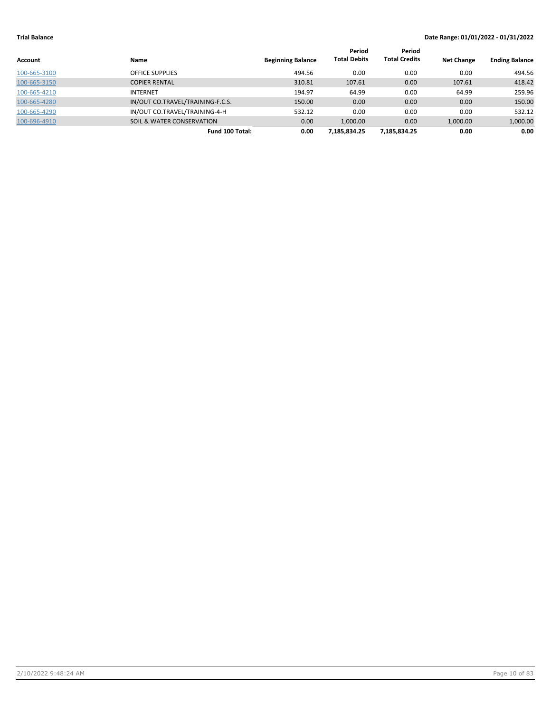| Account      | Name                                 | <b>Beginning Balance</b> | Period<br><b>Total Debits</b> | Period<br><b>Total Credits</b> | <b>Net Change</b> | <b>Ending Balance</b> |
|--------------|--------------------------------------|--------------------------|-------------------------------|--------------------------------|-------------------|-----------------------|
| 100-665-3100 | <b>OFFICE SUPPLIES</b>               | 494.56                   | 0.00                          | 0.00                           | 0.00              | 494.56                |
| 100-665-3150 | <b>COPIER RENTAL</b>                 | 310.81                   | 107.61                        | 0.00                           | 107.61            | 418.42                |
| 100-665-4210 | <b>INTERNET</b>                      | 194.97                   | 64.99                         | 0.00                           | 64.99             | 259.96                |
| 100-665-4280 | IN/OUT CO.TRAVEL/TRAINING-F.C.S.     | 150.00                   | 0.00                          | 0.00                           | 0.00              | 150.00                |
| 100-665-4290 | IN/OUT CO.TRAVEL/TRAINING-4-H        | 532.12                   | 0.00                          | 0.00                           | 0.00              | 532.12                |
| 100-696-4910 | <b>SOIL &amp; WATER CONSERVATION</b> | 0.00                     | 1.000.00                      | 0.00                           | 1,000.00          | 1,000.00              |
|              | Fund 100 Total:                      | 0.00                     | 7.185.834.25                  | 7.185.834.25                   | 0.00              | 0.00                  |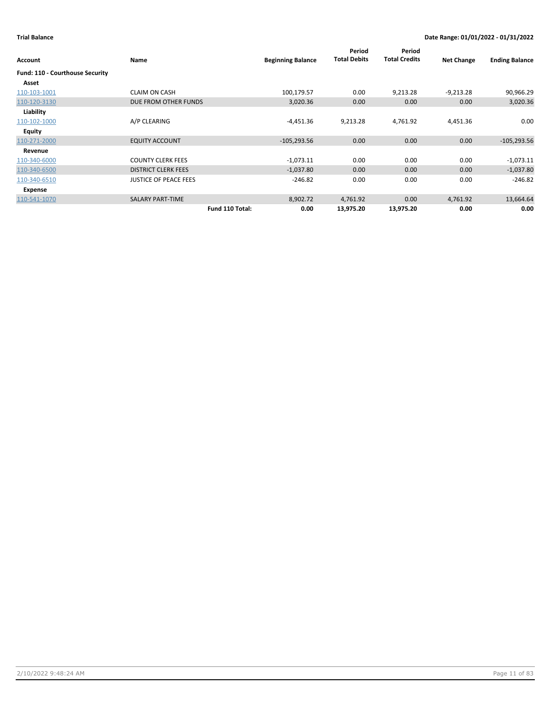| Account                         | Name                         | <b>Beginning Balance</b> | Period<br><b>Total Debits</b> | Period<br><b>Total Credits</b> | <b>Net Change</b> | <b>Ending Balance</b> |
|---------------------------------|------------------------------|--------------------------|-------------------------------|--------------------------------|-------------------|-----------------------|
| Fund: 110 - Courthouse Security |                              |                          |                               |                                |                   |                       |
| Asset                           |                              |                          |                               |                                |                   |                       |
| 110-103-1001                    | <b>CLAIM ON CASH</b>         | 100,179.57               | 0.00                          | 9,213.28                       | $-9,213.28$       | 90,966.29             |
| 110-120-3130                    | DUE FROM OTHER FUNDS         | 3,020.36                 | 0.00                          | 0.00                           | 0.00              | 3,020.36              |
| Liability                       |                              |                          |                               |                                |                   |                       |
| 110-102-1000                    | A/P CLEARING                 | $-4,451.36$              | 9,213.28                      | 4,761.92                       | 4,451.36          | 0.00                  |
| Equity                          |                              |                          |                               |                                |                   |                       |
| 110-271-2000                    | <b>EQUITY ACCOUNT</b>        | $-105,293.56$            | 0.00                          | 0.00                           | 0.00              | $-105,293.56$         |
| Revenue                         |                              |                          |                               |                                |                   |                       |
| 110-340-6000                    | <b>COUNTY CLERK FEES</b>     | $-1,073.11$              | 0.00                          | 0.00                           | 0.00              | $-1,073.11$           |
| 110-340-6500                    | <b>DISTRICT CLERK FEES</b>   | $-1,037.80$              | 0.00                          | 0.00                           | 0.00              | $-1,037.80$           |
| 110-340-6510                    | <b>JUSTICE OF PEACE FEES</b> | $-246.82$                | 0.00                          | 0.00                           | 0.00              | $-246.82$             |
| Expense                         |                              |                          |                               |                                |                   |                       |
| 110-541-1070                    | <b>SALARY PART-TIME</b>      | 8,902.72                 | 4,761.92                      | 0.00                           | 4,761.92          | 13,664.64             |
|                                 | Fund 110 Total:              | 0.00                     | 13,975.20                     | 13,975.20                      | 0.00              | 0.00                  |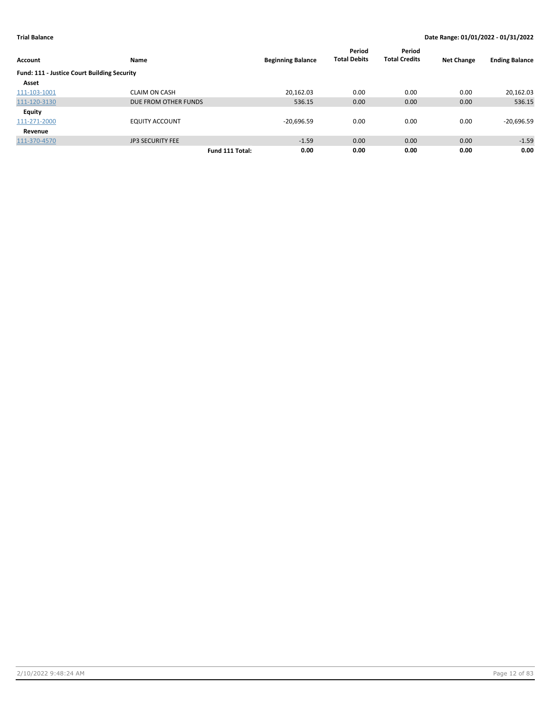|                                                    |                         |                 |                          | Period              | Period               |                   |                       |
|----------------------------------------------------|-------------------------|-----------------|--------------------------|---------------------|----------------------|-------------------|-----------------------|
| <b>Account</b>                                     | Name                    |                 | <b>Beginning Balance</b> | <b>Total Debits</b> | <b>Total Credits</b> | <b>Net Change</b> | <b>Ending Balance</b> |
| <b>Fund: 111 - Justice Court Building Security</b> |                         |                 |                          |                     |                      |                   |                       |
| Asset                                              |                         |                 |                          |                     |                      |                   |                       |
| 111-103-1001                                       | <b>CLAIM ON CASH</b>    |                 | 20,162.03                | 0.00                | 0.00                 | 0.00              | 20,162.03             |
| 111-120-3130                                       | DUE FROM OTHER FUNDS    |                 | 536.15                   | 0.00                | 0.00                 | 0.00              | 536.15                |
| <b>Equity</b>                                      |                         |                 |                          |                     |                      |                   |                       |
| 111-271-2000                                       | <b>EQUITY ACCOUNT</b>   |                 | $-20,696.59$             | 0.00                | 0.00                 | 0.00              | $-20,696.59$          |
| Revenue                                            |                         |                 |                          |                     |                      |                   |                       |
| 111-370-4570                                       | <b>JP3 SECURITY FEE</b> |                 | $-1.59$                  | 0.00                | 0.00                 | 0.00              | $-1.59$               |
|                                                    |                         | Fund 111 Total: | 0.00                     | 0.00                | 0.00                 | 0.00              | 0.00                  |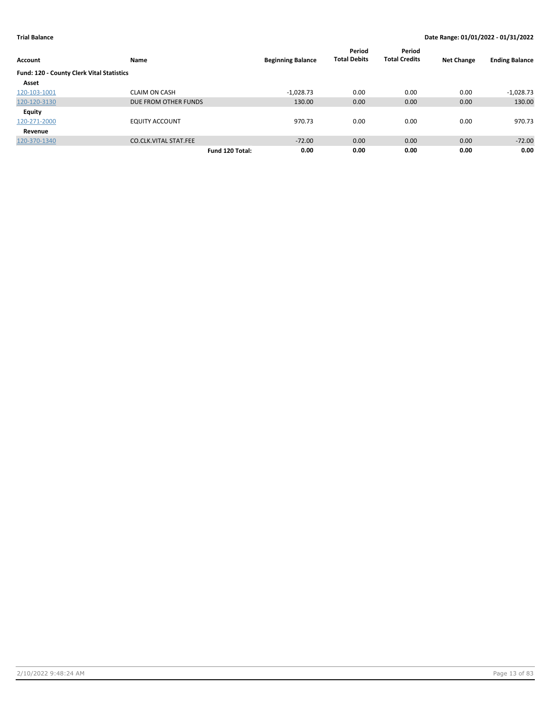| Account                                   | Name                         | <b>Beginning Balance</b> | Period<br><b>Total Debits</b> | Period<br><b>Total Credits</b> | <b>Net Change</b> | <b>Ending Balance</b> |
|-------------------------------------------|------------------------------|--------------------------|-------------------------------|--------------------------------|-------------------|-----------------------|
| Fund: 120 - County Clerk Vital Statistics |                              |                          |                               |                                |                   |                       |
| Asset                                     |                              |                          |                               |                                |                   |                       |
| 120-103-1001                              | <b>CLAIM ON CASH</b>         | $-1,028.73$              | 0.00                          | 0.00                           | 0.00              | $-1,028.73$           |
| 120-120-3130                              | DUE FROM OTHER FUNDS         | 130.00                   | 0.00                          | 0.00                           | 0.00              | 130.00                |
| <b>Equity</b>                             |                              |                          |                               |                                |                   |                       |
| 120-271-2000                              | <b>EQUITY ACCOUNT</b>        | 970.73                   | 0.00                          | 0.00                           | 0.00              | 970.73                |
| Revenue                                   |                              |                          |                               |                                |                   |                       |
| 120-370-1340                              | <b>CO.CLK.VITAL STAT.FEE</b> | $-72.00$                 | 0.00                          | 0.00                           | 0.00              | $-72.00$              |
|                                           |                              | 0.00<br>Fund 120 Total:  | 0.00                          | 0.00                           | 0.00              | 0.00                  |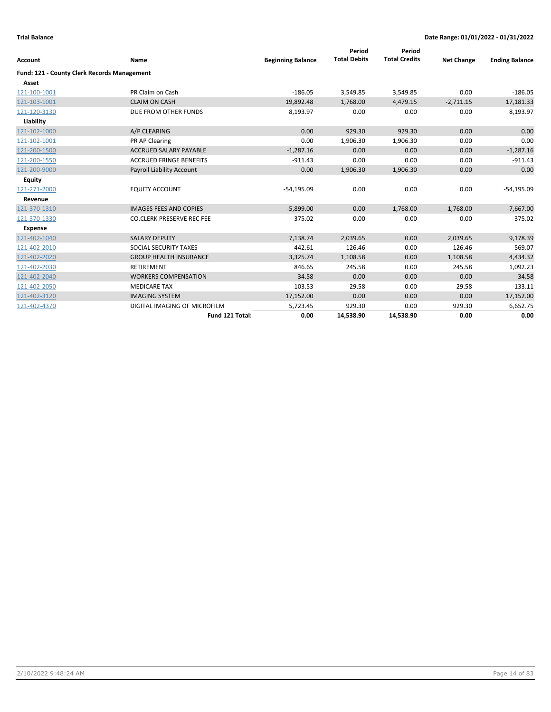| <b>Account</b>                                     | Name                             | <b>Beginning Balance</b> | Period<br><b>Total Debits</b> | Period<br><b>Total Credits</b> | <b>Net Change</b> | <b>Ending Balance</b> |
|----------------------------------------------------|----------------------------------|--------------------------|-------------------------------|--------------------------------|-------------------|-----------------------|
|                                                    |                                  |                          |                               |                                |                   |                       |
| <b>Fund: 121 - County Clerk Records Management</b> |                                  |                          |                               |                                |                   |                       |
| Asset                                              |                                  |                          |                               |                                |                   |                       |
| 121-100-1001                                       | PR Claim on Cash                 | $-186.05$                | 3,549.85                      | 3,549.85                       | 0.00              | $-186.05$             |
| 121-103-1001                                       | <b>CLAIM ON CASH</b>             | 19,892.48                | 1,768.00                      | 4,479.15                       | $-2,711.15$       | 17,181.33             |
| 121-120-3130                                       | DUE FROM OTHER FUNDS             | 8,193.97                 | 0.00                          | 0.00                           | 0.00              | 8,193.97              |
| Liability                                          |                                  |                          |                               |                                |                   |                       |
| 121-102-1000                                       | A/P CLEARING                     | 0.00                     | 929.30                        | 929.30                         | 0.00              | 0.00                  |
| 121-102-1001                                       | PR AP Clearing                   | 0.00                     | 1,906.30                      | 1,906.30                       | 0.00              | 0.00                  |
| 121-200-1500                                       | <b>ACCRUED SALARY PAYABLE</b>    | $-1,287.16$              | 0.00                          | 0.00                           | 0.00              | $-1,287.16$           |
| 121-200-1550                                       | <b>ACCRUED FRINGE BENEFITS</b>   | $-911.43$                | 0.00                          | 0.00                           | 0.00              | $-911.43$             |
| 121-200-9000                                       | <b>Payroll Liability Account</b> | 0.00                     | 1,906.30                      | 1,906.30                       | 0.00              | 0.00                  |
| <b>Equity</b>                                      |                                  |                          |                               |                                |                   |                       |
| 121-271-2000                                       | <b>EQUITY ACCOUNT</b>            | $-54,195.09$             | 0.00                          | 0.00                           | 0.00              | $-54,195.09$          |
| Revenue                                            |                                  |                          |                               |                                |                   |                       |
| 121-370-1310                                       | <b>IMAGES FEES AND COPIES</b>    | $-5,899.00$              | 0.00                          | 1,768.00                       | $-1,768.00$       | $-7,667.00$           |
| 121-370-1330                                       | <b>CO.CLERK PRESERVE REC FEE</b> | $-375.02$                | 0.00                          | 0.00                           | 0.00              | $-375.02$             |
| <b>Expense</b>                                     |                                  |                          |                               |                                |                   |                       |
| 121-402-1040                                       | <b>SALARY DEPUTY</b>             | 7,138.74                 | 2.039.65                      | 0.00                           | 2.039.65          | 9,178.39              |
| 121-402-2010                                       | SOCIAL SECURITY TAXES            | 442.61                   | 126.46                        | 0.00                           | 126.46            | 569.07                |
| 121-402-2020                                       | <b>GROUP HEALTH INSURANCE</b>    | 3,325.74                 | 1,108.58                      | 0.00                           | 1,108.58          | 4,434.32              |
| 121-402-2030                                       | <b>RETIREMENT</b>                | 846.65                   | 245.58                        | 0.00                           | 245.58            | 1,092.23              |
| 121-402-2040                                       | <b>WORKERS COMPENSATION</b>      | 34.58                    | 0.00                          | 0.00                           | 0.00              | 34.58                 |
| 121-402-2050                                       | <b>MEDICARE TAX</b>              | 103.53                   | 29.58                         | 0.00                           | 29.58             | 133.11                |
| 121-402-3120                                       | <b>IMAGING SYSTEM</b>            | 17,152.00                | 0.00                          | 0.00                           | 0.00              | 17,152.00             |
| 121-402-4370                                       | DIGITAL IMAGING OF MICROFILM     | 5,723.45                 | 929.30                        | 0.00                           | 929.30            | 6,652.75              |
|                                                    | Fund 121 Total:                  | 0.00                     | 14,538.90                     | 14,538.90                      | 0.00              | 0.00                  |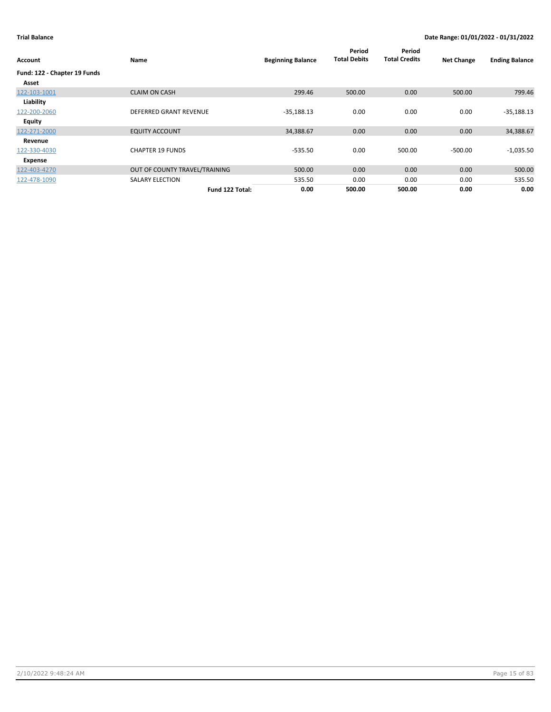| Account                      | <b>Name</b>                   | <b>Beginning Balance</b> | Period<br><b>Total Debits</b> | Period<br><b>Total Credits</b> | <b>Net Change</b> | <b>Ending Balance</b> |
|------------------------------|-------------------------------|--------------------------|-------------------------------|--------------------------------|-------------------|-----------------------|
| Fund: 122 - Chapter 19 Funds |                               |                          |                               |                                |                   |                       |
| Asset                        |                               |                          |                               |                                |                   |                       |
| 122-103-1001                 | <b>CLAIM ON CASH</b>          | 299.46                   | 500.00                        | 0.00                           | 500.00            | 799.46                |
| Liability                    |                               |                          |                               |                                |                   |                       |
| 122-200-2060                 | <b>DEFERRED GRANT REVENUE</b> | $-35,188.13$             | 0.00                          | 0.00                           | 0.00              | $-35,188.13$          |
| Equity                       |                               |                          |                               |                                |                   |                       |
| 122-271-2000                 | <b>EQUITY ACCOUNT</b>         | 34,388.67                | 0.00                          | 0.00                           | 0.00              | 34,388.67             |
| Revenue                      |                               |                          |                               |                                |                   |                       |
| 122-330-4030                 | <b>CHAPTER 19 FUNDS</b>       | $-535.50$                | 0.00                          | 500.00                         | $-500.00$         | $-1,035.50$           |
| Expense                      |                               |                          |                               |                                |                   |                       |
| 122-403-4270                 | OUT OF COUNTY TRAVEL/TRAINING | 500.00                   | 0.00                          | 0.00                           | 0.00              | 500.00                |
| 122-478-1090                 | <b>SALARY ELECTION</b>        | 535.50                   | 0.00                          | 0.00                           | 0.00              | 535.50                |
|                              | Fund 122 Total:               | 0.00                     | 500.00                        | 500.00                         | 0.00              | 0.00                  |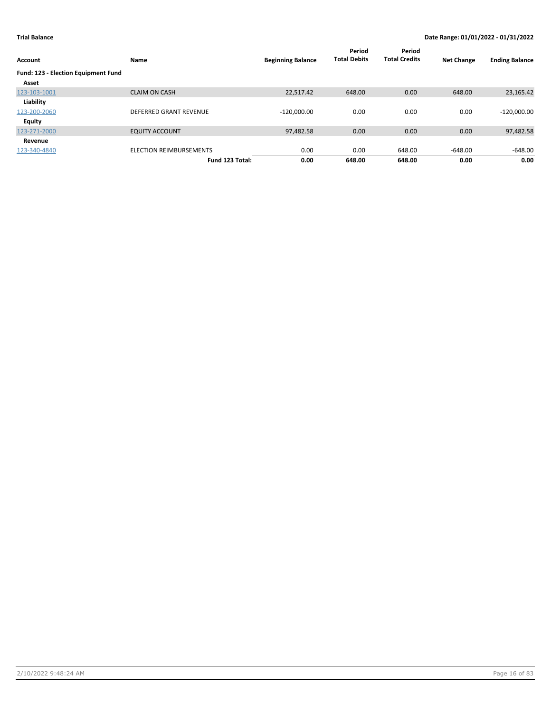| Account                             | Name                          | <b>Beginning Balance</b> | Period<br><b>Total Debits</b> | Period<br><b>Total Credits</b> | <b>Net Change</b> | <b>Ending Balance</b> |
|-------------------------------------|-------------------------------|--------------------------|-------------------------------|--------------------------------|-------------------|-----------------------|
| Fund: 123 - Election Equipment Fund |                               |                          |                               |                                |                   |                       |
| Asset                               |                               |                          |                               |                                |                   |                       |
| 123-103-1001                        | <b>CLAIM ON CASH</b>          | 22,517.42                | 648.00                        | 0.00                           | 648.00            | 23,165.42             |
| Liability                           |                               |                          |                               |                                |                   |                       |
| 123-200-2060                        | <b>DEFERRED GRANT REVENUE</b> | $-120,000.00$            | 0.00                          | 0.00                           | 0.00              | $-120,000.00$         |
| <b>Equity</b>                       |                               |                          |                               |                                |                   |                       |
| 123-271-2000                        | <b>EQUITY ACCOUNT</b>         | 97,482.58                | 0.00                          | 0.00                           | 0.00              | 97,482.58             |
| Revenue                             |                               |                          |                               |                                |                   |                       |
| 123-340-4840                        | ELECTION REIMBURSEMENTS       | 0.00                     | 0.00                          | 648.00                         | $-648.00$         | $-648.00$             |
|                                     | Fund 123 Total:               | 0.00                     | 648.00                        | 648.00                         | 0.00              | 0.00                  |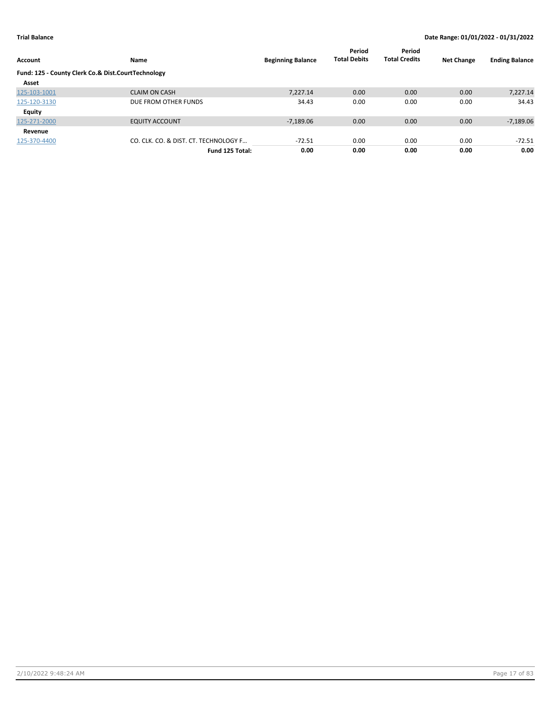| <b>Account</b>                                     | Name                                  | <b>Beginning Balance</b> | Period<br><b>Total Debits</b> | Period<br><b>Total Credits</b> | <b>Net Change</b> | <b>Ending Balance</b> |
|----------------------------------------------------|---------------------------------------|--------------------------|-------------------------------|--------------------------------|-------------------|-----------------------|
| Fund: 125 - County Clerk Co.& Dist.CourtTechnology |                                       |                          |                               |                                |                   |                       |
| Asset                                              |                                       |                          |                               |                                |                   |                       |
| 125-103-1001                                       | <b>CLAIM ON CASH</b>                  | 7.227.14                 | 0.00                          | 0.00                           | 0.00              | 7,227.14              |
| 125-120-3130                                       | DUE FROM OTHER FUNDS                  | 34.43                    | 0.00                          | 0.00                           | 0.00              | 34.43                 |
| <b>Equity</b>                                      |                                       |                          |                               |                                |                   |                       |
| 125-271-2000                                       | <b>EQUITY ACCOUNT</b>                 | $-7,189.06$              | 0.00                          | 0.00                           | 0.00              | $-7,189.06$           |
| Revenue                                            |                                       |                          |                               |                                |                   |                       |
| 125-370-4400                                       | CO. CLK. CO. & DIST. CT. TECHNOLOGY F | $-72.51$                 | 0.00                          | 0.00                           | 0.00              | $-72.51$              |
|                                                    | Fund 125 Total:                       | 0.00                     | 0.00                          | 0.00                           | 0.00              | 0.00                  |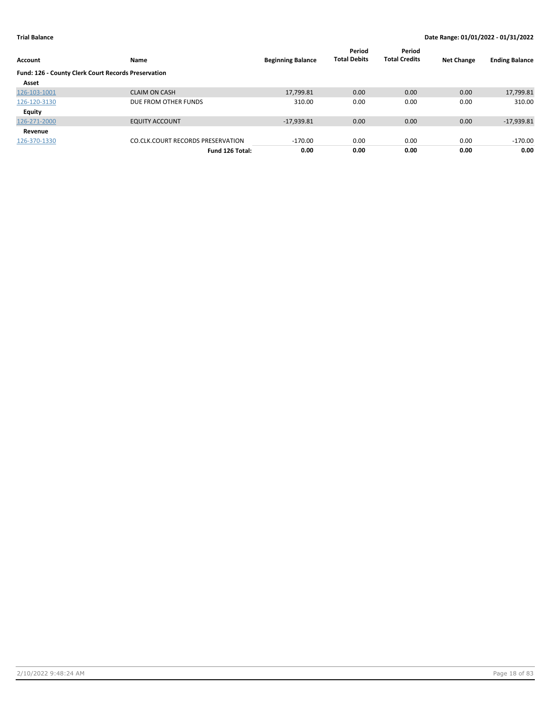| Account                                             | Name                                     | <b>Beginning Balance</b> | Period<br><b>Total Debits</b> | Period<br><b>Total Credits</b> | <b>Net Change</b> | <b>Ending Balance</b> |
|-----------------------------------------------------|------------------------------------------|--------------------------|-------------------------------|--------------------------------|-------------------|-----------------------|
| Fund: 126 - County Clerk Court Records Preservation |                                          |                          |                               |                                |                   |                       |
| Asset                                               |                                          |                          |                               |                                |                   |                       |
| 126-103-1001                                        | <b>CLAIM ON CASH</b>                     | 17,799.81                | 0.00                          | 0.00                           | 0.00              | 17,799.81             |
| 126-120-3130                                        | DUE FROM OTHER FUNDS                     | 310.00                   | 0.00                          | 0.00                           | 0.00              | 310.00                |
| <b>Equity</b>                                       |                                          |                          |                               |                                |                   |                       |
| 126-271-2000                                        | <b>EQUITY ACCOUNT</b>                    | $-17,939.81$             | 0.00                          | 0.00                           | 0.00              | $-17,939.81$          |
| Revenue                                             |                                          |                          |                               |                                |                   |                       |
| 126-370-1330                                        | <b>CO.CLK.COURT RECORDS PRESERVATION</b> | $-170.00$                | 0.00                          | 0.00                           | 0.00              | $-170.00$             |
|                                                     | Fund 126 Total:                          | 0.00                     | 0.00                          | 0.00                           | 0.00              | 0.00                  |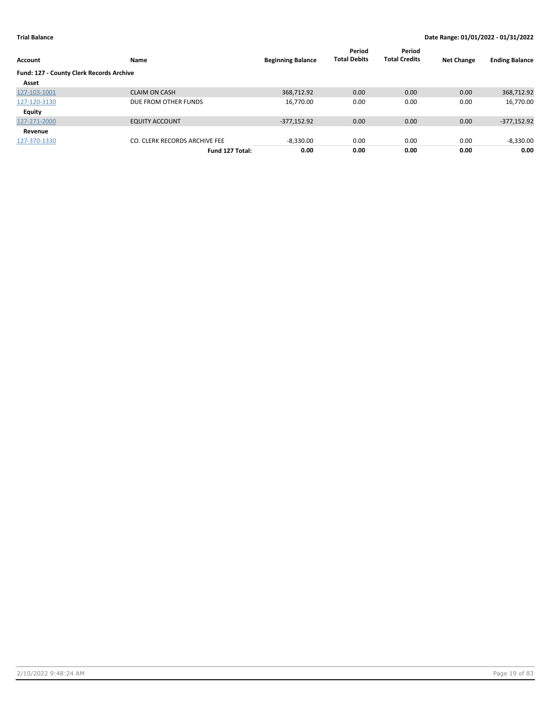| Account                                         | Name                          | <b>Beginning Balance</b> | Period<br><b>Total Debits</b> | Period<br><b>Total Credits</b> | <b>Net Change</b> | <b>Ending Balance</b> |
|-------------------------------------------------|-------------------------------|--------------------------|-------------------------------|--------------------------------|-------------------|-----------------------|
| <b>Fund: 127 - County Clerk Records Archive</b> |                               |                          |                               |                                |                   |                       |
| Asset                                           |                               |                          |                               |                                |                   |                       |
| 127-103-1001                                    | <b>CLAIM ON CASH</b>          | 368,712.92               | 0.00                          | 0.00                           | 0.00              | 368,712.92            |
| 127-120-3130                                    | DUE FROM OTHER FUNDS          | 16,770.00                | 0.00                          | 0.00                           | 0.00              | 16,770.00             |
| Equity                                          |                               |                          |                               |                                |                   |                       |
| 127-271-2000                                    | <b>EQUITY ACCOUNT</b>         | $-377,152.92$            | 0.00                          | 0.00                           | 0.00              | $-377,152.92$         |
| Revenue                                         |                               |                          |                               |                                |                   |                       |
| 127-370-1330                                    | CO. CLERK RECORDS ARCHIVE FEE | $-8,330.00$              | 0.00                          | 0.00                           | 0.00              | $-8,330.00$           |
|                                                 | Fund 127 Total:               | 0.00                     | 0.00                          | 0.00                           | 0.00              | 0.00                  |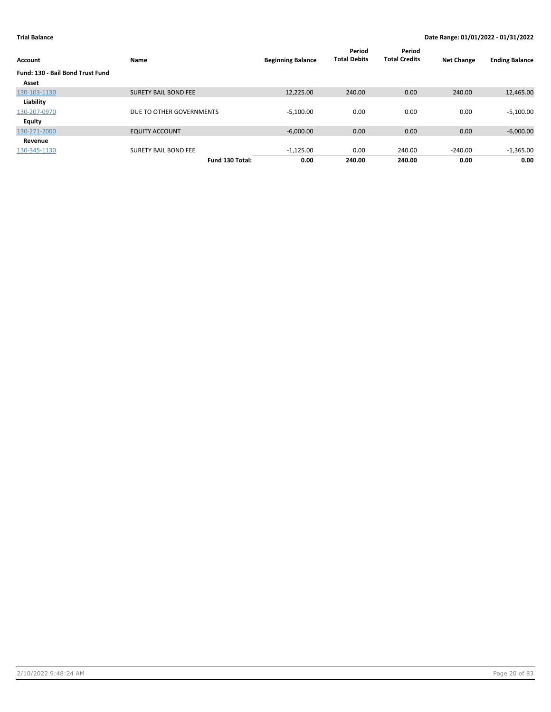| Account                          | Name                        | <b>Beginning Balance</b> | Period<br><b>Total Debits</b> | Period<br><b>Total Credits</b> | <b>Net Change</b> | <b>Ending Balance</b> |
|----------------------------------|-----------------------------|--------------------------|-------------------------------|--------------------------------|-------------------|-----------------------|
| Fund: 130 - Bail Bond Trust Fund |                             |                          |                               |                                |                   |                       |
| Asset                            |                             |                          |                               |                                |                   |                       |
| 130-103-1130                     | <b>SURETY BAIL BOND FEE</b> | 12.225.00                | 240.00                        | 0.00                           | 240.00            | 12,465.00             |
| Liability                        |                             |                          |                               |                                |                   |                       |
| 130-207-0970                     | DUE TO OTHER GOVERNMENTS    | $-5,100.00$              | 0.00                          | 0.00                           | 0.00              | $-5,100.00$           |
| <b>Equity</b>                    |                             |                          |                               |                                |                   |                       |
| 130-271-2000                     | <b>EQUITY ACCOUNT</b>       | $-6,000.00$              | 0.00                          | 0.00                           | 0.00              | $-6,000.00$           |
| Revenue                          |                             |                          |                               |                                |                   |                       |
| 130-345-1130                     | <b>SURETY BAIL BOND FEE</b> | $-1,125.00$              | 0.00                          | 240.00                         | $-240.00$         | $-1,365.00$           |
|                                  | Fund 130 Total:             | 0.00                     | 240.00                        | 240.00                         | 0.00              | 0.00                  |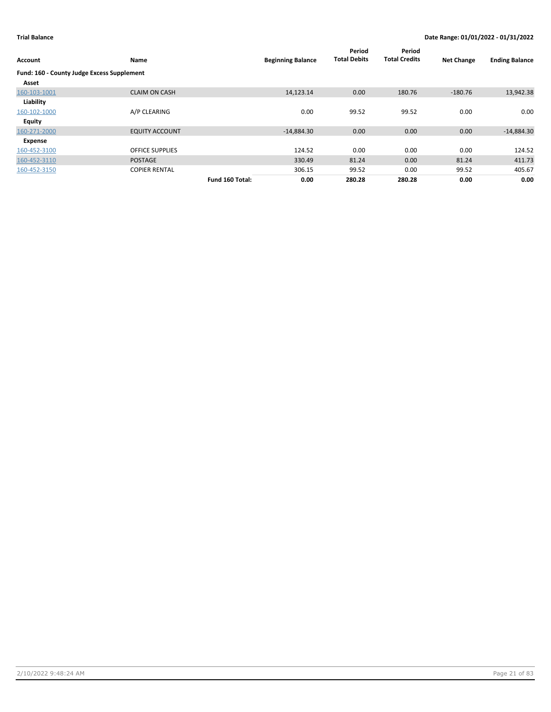| Account                                    | Name                   |                 | <b>Beginning Balance</b> | Period<br><b>Total Debits</b> | Period<br><b>Total Credits</b> | <b>Net Change</b> | <b>Ending Balance</b> |
|--------------------------------------------|------------------------|-----------------|--------------------------|-------------------------------|--------------------------------|-------------------|-----------------------|
| Fund: 160 - County Judge Excess Supplement |                        |                 |                          |                               |                                |                   |                       |
| Asset                                      |                        |                 |                          |                               |                                |                   |                       |
| 160-103-1001                               | <b>CLAIM ON CASH</b>   |                 | 14,123.14                | 0.00                          | 180.76                         | $-180.76$         | 13,942.38             |
| Liability                                  |                        |                 |                          |                               |                                |                   |                       |
| 160-102-1000                               | A/P CLEARING           |                 | 0.00                     | 99.52                         | 99.52                          | 0.00              | 0.00                  |
| Equity                                     |                        |                 |                          |                               |                                |                   |                       |
| 160-271-2000                               | <b>EQUITY ACCOUNT</b>  |                 | $-14,884.30$             | 0.00                          | 0.00                           | 0.00              | $-14,884.30$          |
| Expense                                    |                        |                 |                          |                               |                                |                   |                       |
| 160-452-3100                               | <b>OFFICE SUPPLIES</b> |                 | 124.52                   | 0.00                          | 0.00                           | 0.00              | 124.52                |
| 160-452-3110                               | <b>POSTAGE</b>         |                 | 330.49                   | 81.24                         | 0.00                           | 81.24             | 411.73                |
| 160-452-3150                               | <b>COPIER RENTAL</b>   |                 | 306.15                   | 99.52                         | 0.00                           | 99.52             | 405.67                |
|                                            |                        | Fund 160 Total: | 0.00                     | 280.28                        | 280.28                         | 0.00              | 0.00                  |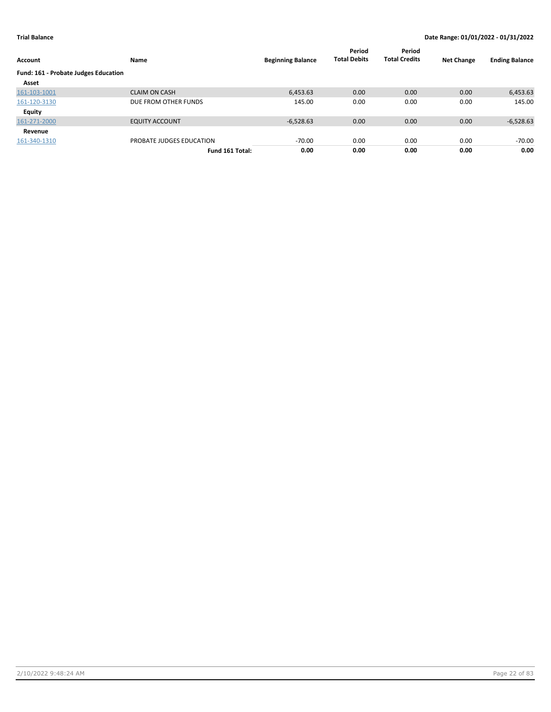| Account                              | Name                     | <b>Beginning Balance</b> | Period<br><b>Total Debits</b> | Period<br><b>Total Credits</b> | <b>Net Change</b> | <b>Ending Balance</b> |
|--------------------------------------|--------------------------|--------------------------|-------------------------------|--------------------------------|-------------------|-----------------------|
| Fund: 161 - Probate Judges Education |                          |                          |                               |                                |                   |                       |
| Asset                                |                          |                          |                               |                                |                   |                       |
| 161-103-1001                         | <b>CLAIM ON CASH</b>     | 6,453.63                 | 0.00                          | 0.00                           | 0.00              | 6,453.63              |
| 161-120-3130                         | DUE FROM OTHER FUNDS     | 145.00                   | 0.00                          | 0.00                           | 0.00              | 145.00                |
| Equity                               |                          |                          |                               |                                |                   |                       |
| 161-271-2000                         | <b>EQUITY ACCOUNT</b>    | $-6,528.63$              | 0.00                          | 0.00                           | 0.00              | $-6,528.63$           |
| Revenue                              |                          |                          |                               |                                |                   |                       |
| 161-340-1310                         | PROBATE JUDGES EDUCATION | $-70.00$                 | 0.00                          | 0.00                           | 0.00              | -70.00                |
|                                      | Fund 161 Total:          | 0.00                     | 0.00                          | 0.00                           | 0.00              | 0.00                  |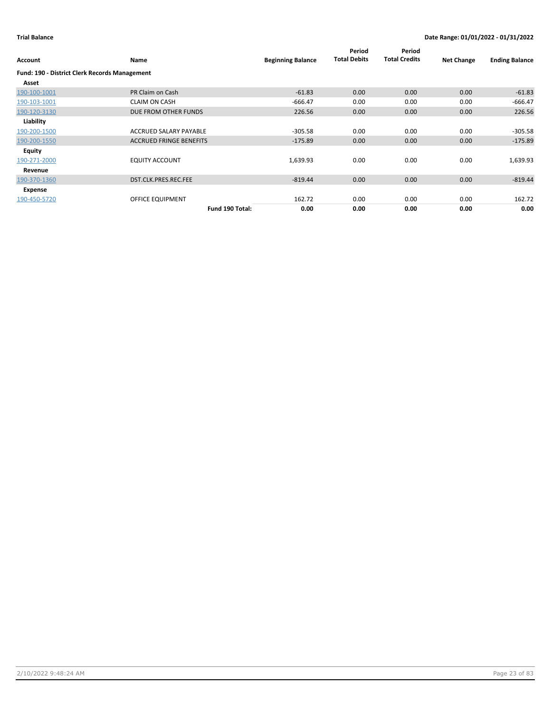|                                               |                                |                          | Period<br><b>Total Debits</b> | Period<br><b>Total Credits</b> |                   |                       |
|-----------------------------------------------|--------------------------------|--------------------------|-------------------------------|--------------------------------|-------------------|-----------------------|
| Account                                       | Name                           | <b>Beginning Balance</b> |                               |                                | <b>Net Change</b> | <b>Ending Balance</b> |
| Fund: 190 - District Clerk Records Management |                                |                          |                               |                                |                   |                       |
| Asset                                         |                                |                          |                               |                                |                   |                       |
| 190-100-1001                                  | PR Claim on Cash               | $-61.83$                 | 0.00                          | 0.00                           | 0.00              | $-61.83$              |
| 190-103-1001                                  | <b>CLAIM ON CASH</b>           | $-666.47$                | 0.00                          | 0.00                           | 0.00              | $-666.47$             |
| 190-120-3130                                  | DUE FROM OTHER FUNDS           | 226.56                   | 0.00                          | 0.00                           | 0.00              | 226.56                |
| Liability                                     |                                |                          |                               |                                |                   |                       |
| 190-200-1500                                  | ACCRUED SALARY PAYABLE         | $-305.58$                | 0.00                          | 0.00                           | 0.00              | $-305.58$             |
| 190-200-1550                                  | <b>ACCRUED FRINGE BENEFITS</b> | $-175.89$                | 0.00                          | 0.00                           | 0.00              | $-175.89$             |
| Equity                                        |                                |                          |                               |                                |                   |                       |
| 190-271-2000                                  | <b>EQUITY ACCOUNT</b>          | 1,639.93                 | 0.00                          | 0.00                           | 0.00              | 1,639.93              |
| Revenue                                       |                                |                          |                               |                                |                   |                       |
| 190-370-1360                                  | DST.CLK.PRES.REC.FEE           | $-819.44$                | 0.00                          | 0.00                           | 0.00              | $-819.44$             |
| Expense                                       |                                |                          |                               |                                |                   |                       |
| 190-450-5720                                  | OFFICE EQUIPMENT               | 162.72                   | 0.00                          | 0.00                           | 0.00              | 162.72                |
|                                               | Fund 190 Total:                | 0.00                     | 0.00                          | 0.00                           | 0.00              | 0.00                  |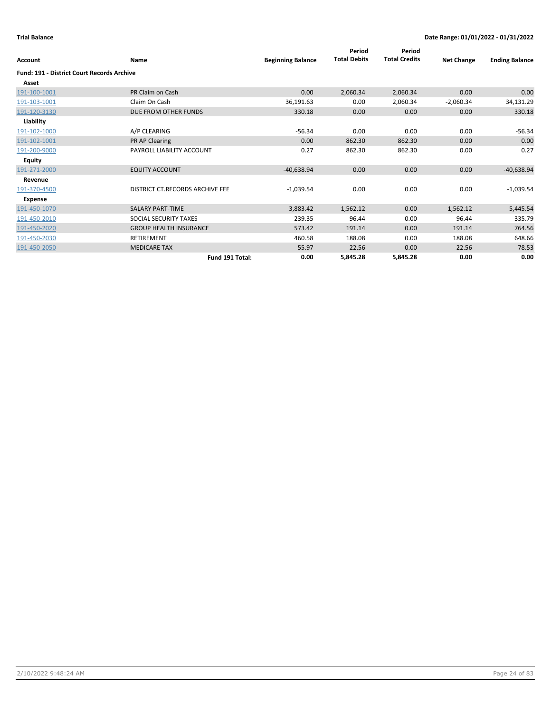| Account                                           | Name                            | <b>Beginning Balance</b> | Period<br><b>Total Debits</b> | Period<br><b>Total Credits</b> | <b>Net Change</b> | <b>Ending Balance</b> |
|---------------------------------------------------|---------------------------------|--------------------------|-------------------------------|--------------------------------|-------------------|-----------------------|
| <b>Fund: 191 - District Court Records Archive</b> |                                 |                          |                               |                                |                   |                       |
| Asset                                             |                                 |                          |                               |                                |                   |                       |
| 191-100-1001                                      | PR Claim on Cash                | 0.00                     | 2,060.34                      | 2,060.34                       | 0.00              | 0.00                  |
| 191-103-1001                                      | Claim On Cash                   | 36,191.63                | 0.00                          | 2,060.34                       | $-2,060.34$       | 34,131.29             |
| 191-120-3130                                      | DUE FROM OTHER FUNDS            | 330.18                   | 0.00                          | 0.00                           | 0.00              | 330.18                |
| Liability                                         |                                 |                          |                               |                                |                   |                       |
| 191-102-1000                                      | A/P CLEARING                    | $-56.34$                 | 0.00                          | 0.00                           | 0.00              | $-56.34$              |
| 191-102-1001                                      | PR AP Clearing                  | 0.00                     | 862.30                        | 862.30                         | 0.00              | 0.00                  |
| 191-200-9000                                      | PAYROLL LIABILITY ACCOUNT       | 0.27                     | 862.30                        | 862.30                         | 0.00              | 0.27                  |
| <b>Equity</b>                                     |                                 |                          |                               |                                |                   |                       |
| 191-271-2000                                      | <b>EQUITY ACCOUNT</b>           | $-40,638.94$             | 0.00                          | 0.00                           | 0.00              | $-40,638.94$          |
| Revenue                                           |                                 |                          |                               |                                |                   |                       |
| 191-370-4500                                      | DISTRICT CT.RECORDS ARCHIVE FEE | $-1,039.54$              | 0.00                          | 0.00                           | 0.00              | $-1,039.54$           |
| Expense                                           |                                 |                          |                               |                                |                   |                       |
| 191-450-1070                                      | <b>SALARY PART-TIME</b>         | 3,883.42                 | 1,562.12                      | 0.00                           | 1,562.12          | 5,445.54              |
| 191-450-2010                                      | SOCIAL SECURITY TAXES           | 239.35                   | 96.44                         | 0.00                           | 96.44             | 335.79                |
| 191-450-2020                                      | <b>GROUP HEALTH INSURANCE</b>   | 573.42                   | 191.14                        | 0.00                           | 191.14            | 764.56                |
| 191-450-2030                                      | <b>RETIREMENT</b>               | 460.58                   | 188.08                        | 0.00                           | 188.08            | 648.66                |
| 191-450-2050                                      | <b>MEDICARE TAX</b>             | 55.97                    | 22.56                         | 0.00                           | 22.56             | 78.53                 |
|                                                   | Fund 191 Total:                 | 0.00                     | 5,845.28                      | 5,845.28                       | 0.00              | 0.00                  |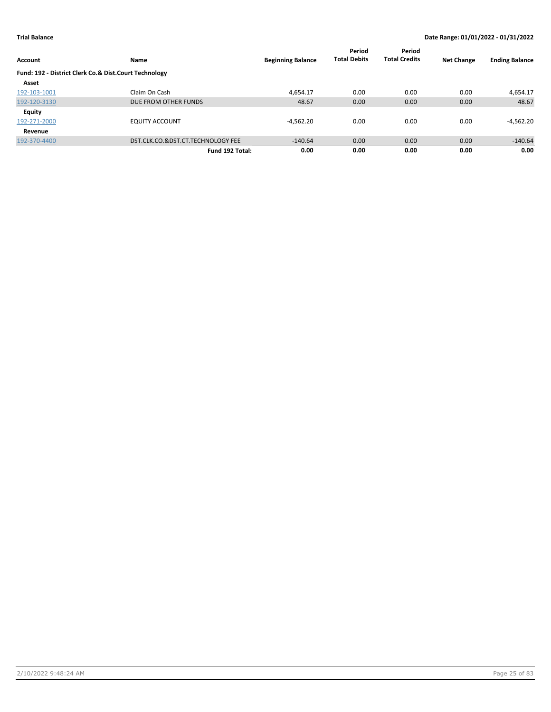|                                                       |                                   |                          | Period              | Period               |                   |                       |
|-------------------------------------------------------|-----------------------------------|--------------------------|---------------------|----------------------|-------------------|-----------------------|
| Account                                               | Name                              | <b>Beginning Balance</b> | <b>Total Debits</b> | <b>Total Credits</b> | <b>Net Change</b> | <b>Ending Balance</b> |
| Fund: 192 - District Clerk Co.& Dist.Court Technology |                                   |                          |                     |                      |                   |                       |
| Asset                                                 |                                   |                          |                     |                      |                   |                       |
| 192-103-1001                                          | Claim On Cash                     | 4.654.17                 | 0.00                | 0.00                 | 0.00              | 4,654.17              |
| 192-120-3130                                          | DUE FROM OTHER FUNDS              | 48.67                    | 0.00                | 0.00                 | 0.00              | 48.67                 |
| <b>Equity</b>                                         |                                   |                          |                     |                      |                   |                       |
| 192-271-2000                                          | <b>EQUITY ACCOUNT</b>             | $-4,562.20$              | 0.00                | 0.00                 | 0.00              | $-4,562.20$           |
| Revenue                                               |                                   |                          |                     |                      |                   |                       |
| 192-370-4400                                          | DST.CLK.CO.&DST.CT.TECHNOLOGY FEE | $-140.64$                | 0.00                | 0.00                 | 0.00              | $-140.64$             |
|                                                       | Fund 192 Total:                   | 0.00                     | 0.00                | 0.00                 | 0.00              | 0.00                  |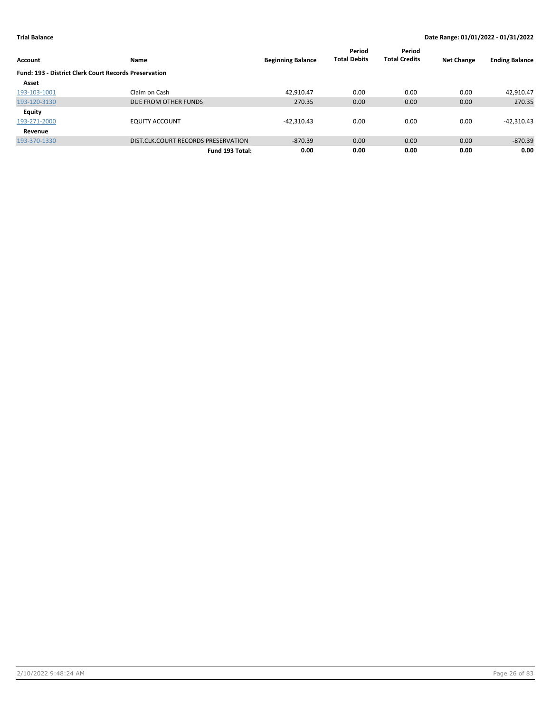|                                                              |                                     |                          | Period              | Period               |                   |                       |
|--------------------------------------------------------------|-------------------------------------|--------------------------|---------------------|----------------------|-------------------|-----------------------|
| <b>Account</b>                                               | Name                                | <b>Beginning Balance</b> | <b>Total Debits</b> | <b>Total Credits</b> | <b>Net Change</b> | <b>Ending Balance</b> |
| <b>Fund: 193 - District Clerk Court Records Preservation</b> |                                     |                          |                     |                      |                   |                       |
| Asset                                                        |                                     |                          |                     |                      |                   |                       |
| 193-103-1001                                                 | Claim on Cash                       | 42.910.47                | 0.00                | 0.00                 | 0.00              | 42,910.47             |
| 193-120-3130                                                 | DUE FROM OTHER FUNDS                | 270.35                   | 0.00                | 0.00                 | 0.00              | 270.35                |
| <b>Equity</b>                                                |                                     |                          |                     |                      |                   |                       |
| 193-271-2000                                                 | <b>EQUITY ACCOUNT</b>               | $-42.310.43$             | 0.00                | 0.00                 | 0.00              | $-42,310.43$          |
| Revenue                                                      |                                     |                          |                     |                      |                   |                       |
| 193-370-1330                                                 | DIST.CLK.COURT RECORDS PRESERVATION | $-870.39$                | 0.00                | 0.00                 | 0.00              | $-870.39$             |
|                                                              | Fund 193 Total:                     | 0.00                     | 0.00                | 0.00                 | 0.00              | 0.00                  |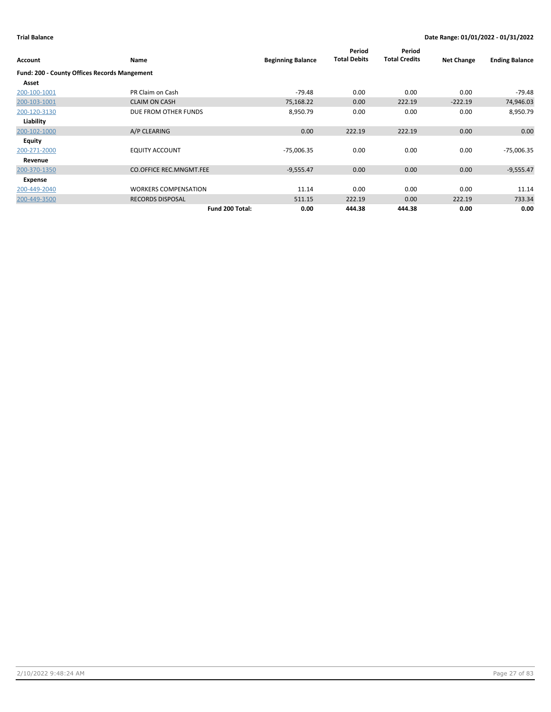| <b>Account</b>                                      | Name                           | <b>Beginning Balance</b> | Period<br><b>Total Debits</b> | Period<br><b>Total Credits</b> | <b>Net Change</b> | <b>Ending Balance</b> |
|-----------------------------------------------------|--------------------------------|--------------------------|-------------------------------|--------------------------------|-------------------|-----------------------|
| <b>Fund: 200 - County Offices Records Mangement</b> |                                |                          |                               |                                |                   |                       |
| Asset                                               |                                |                          |                               |                                |                   |                       |
| 200-100-1001                                        | PR Claim on Cash               | $-79.48$                 | 0.00                          | 0.00                           | 0.00              | $-79.48$              |
| 200-103-1001                                        | <b>CLAIM ON CASH</b>           | 75,168.22                | 0.00                          | 222.19                         | $-222.19$         | 74,946.03             |
| 200-120-3130                                        | DUE FROM OTHER FUNDS           | 8,950.79                 | 0.00                          | 0.00                           | 0.00              | 8,950.79              |
| Liability                                           |                                |                          |                               |                                |                   |                       |
| 200-102-1000                                        | A/P CLEARING                   | 0.00                     | 222.19                        | 222.19                         | 0.00              | 0.00                  |
| Equity                                              |                                |                          |                               |                                |                   |                       |
| 200-271-2000                                        | <b>EQUITY ACCOUNT</b>          | $-75,006.35$             | 0.00                          | 0.00                           | 0.00              | $-75,006.35$          |
| Revenue                                             |                                |                          |                               |                                |                   |                       |
| 200-370-1350                                        | <b>CO.OFFICE REC.MNGMT.FEE</b> | $-9,555.47$              | 0.00                          | 0.00                           | 0.00              | $-9,555.47$           |
| Expense                                             |                                |                          |                               |                                |                   |                       |
| 200-449-2040                                        | <b>WORKERS COMPENSATION</b>    | 11.14                    | 0.00                          | 0.00                           | 0.00              | 11.14                 |
| 200-449-3500                                        | <b>RECORDS DISPOSAL</b>        | 511.15                   | 222.19                        | 0.00                           | 222.19            | 733.34                |
|                                                     | Fund 200 Total:                | 0.00                     | 444.38                        | 444.38                         | 0.00              | 0.00                  |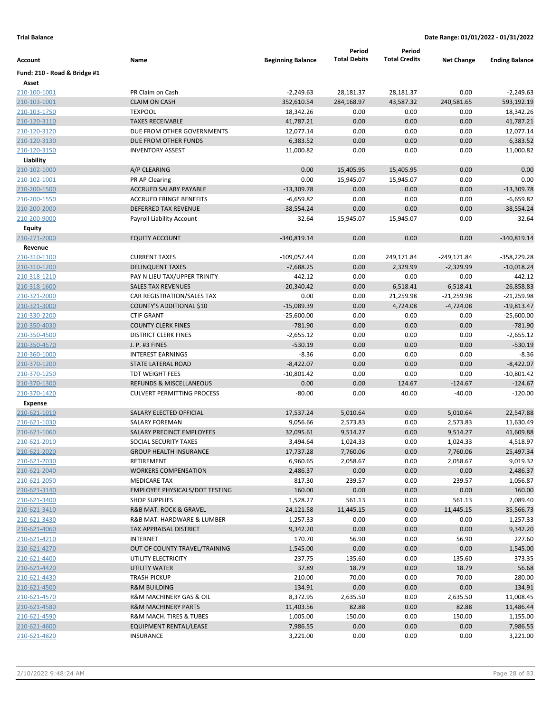|                              |                                       |                          | Period              | Period               |                   |                       |
|------------------------------|---------------------------------------|--------------------------|---------------------|----------------------|-------------------|-----------------------|
| Account                      | Name                                  | <b>Beginning Balance</b> | <b>Total Debits</b> | <b>Total Credits</b> | <b>Net Change</b> | <b>Ending Balance</b> |
| Fund: 210 - Road & Bridge #1 |                                       |                          |                     |                      |                   |                       |
| Asset                        |                                       |                          |                     |                      |                   |                       |
| 210-100-1001                 | PR Claim on Cash                      | $-2,249.63$              | 28,181.37           | 28,181.37            | 0.00              | $-2,249.63$           |
| 210-103-1001                 | <b>CLAIM ON CASH</b>                  | 352,610.54               | 284,168.97          | 43,587.32            | 240,581.65        | 593,192.19            |
| 210-103-1750                 | <b>TEXPOOL</b>                        | 18,342.26                | 0.00                | 0.00                 | 0.00              | 18,342.26             |
| 210-120-3110                 | <b>TAXES RECEIVABLE</b>               | 41,787.21                | 0.00                | 0.00                 | 0.00              | 41,787.21             |
| 210-120-3120                 | DUE FROM OTHER GOVERNMENTS            | 12,077.14                | 0.00                | 0.00                 | 0.00              | 12,077.14             |
| 210-120-3130                 | DUE FROM OTHER FUNDS                  | 6,383.52                 | 0.00                | 0.00                 | 0.00              | 6,383.52              |
| 210-120-3150                 | <b>INVENTORY ASSEST</b>               | 11,000.82                | 0.00                | 0.00                 | 0.00              | 11,000.82             |
| Liability                    |                                       |                          |                     |                      |                   |                       |
| 210-102-1000                 | A/P CLEARING                          | 0.00                     | 15,405.95           | 15,405.95            | 0.00              | 0.00                  |
| 210-102-1001                 | PR AP Clearing                        | 0.00                     | 15,945.07           | 15,945.07            | 0.00              | 0.00                  |
| 210-200-1500                 | <b>ACCRUED SALARY PAYABLE</b>         | $-13,309.78$             | 0.00                | 0.00                 | 0.00              | $-13,309.78$          |
| 210-200-1550                 | <b>ACCRUED FRINGE BENEFITS</b>        | $-6,659.82$              | 0.00                | 0.00                 | 0.00              | $-6,659.82$           |
| 210-200-2000                 | DEFERRED TAX REVENUE                  | $-38,554.24$             | 0.00                | 0.00                 | 0.00              | $-38,554.24$          |
| 210-200-9000                 | Payroll Liability Account             | $-32.64$                 | 15,945.07           | 15,945.07            | 0.00              | $-32.64$              |
| Equity                       |                                       |                          |                     |                      |                   |                       |
| 210-271-2000                 | <b>EQUITY ACCOUNT</b>                 | $-340,819.14$            | 0.00                | 0.00                 | 0.00              | $-340,819.14$         |
| Revenue                      |                                       |                          |                     |                      |                   |                       |
| 210-310-1100                 | <b>CURRENT TAXES</b>                  | $-109,057.44$            | 0.00                | 249,171.84           | $-249,171.84$     | -358,229.28           |
| 210-310-1200                 | <b>DELINQUENT TAXES</b>               | $-7,688.25$              | 0.00                | 2,329.99             | $-2,329.99$       | $-10,018.24$          |
| 210-318-1210                 | PAY N LIEU TAX/UPPER TRINITY          | $-442.12$                | 0.00                | 0.00                 | 0.00              | $-442.12$             |
| 210-318-1600                 | <b>SALES TAX REVENUES</b>             | $-20,340.42$             | 0.00                | 6,518.41             | $-6,518.41$       | $-26,858.83$          |
| 210-321-2000                 | CAR REGISTRATION/SALES TAX            | 0.00                     | 0.00                | 21,259.98            | $-21,259.98$      | $-21,259.98$          |
| 210-321-3000                 | COUNTY'S ADDITIONAL \$10              | $-15,089.39$             | 0.00                | 4,724.08             | $-4,724.08$       | $-19,813.47$          |
| 210-330-2200                 | <b>CTIF GRANT</b>                     | $-25,600.00$             | 0.00                | 0.00                 | 0.00              | $-25,600.00$          |
| 210-350-4030                 | <b>COUNTY CLERK FINES</b>             | $-781.90$                | 0.00                | 0.00                 | 0.00              | $-781.90$             |
| 210-350-4500                 | <b>DISTRICT CLERK FINES</b>           | $-2,655.12$              | 0.00                | 0.00                 | 0.00              | $-2,655.12$           |
| 210-350-4570                 | J. P. #3 FINES                        | $-530.19$                | 0.00                | 0.00                 | 0.00              | $-530.19$             |
| 210-360-1000                 | <b>INTEREST EARNINGS</b>              | $-8.36$                  | 0.00                | 0.00                 | 0.00              | $-8.36$               |
| 210-370-1200                 | STATE LATERAL ROAD                    | $-8,422.07$              | 0.00                | 0.00                 | 0.00              | $-8,422.07$           |
| 210-370-1250                 | TDT WEIGHT FEES                       | $-10,801.42$             | 0.00                | 0.00                 | 0.00              | $-10,801.42$          |
| 210-370-1300                 | <b>REFUNDS &amp; MISCELLANEOUS</b>    | 0.00                     | 0.00                | 124.67               | $-124.67$         | $-124.67$             |
| 210-370-1420                 | <b>CULVERT PERMITTING PROCESS</b>     | $-80.00$                 | 0.00                | 40.00                | $-40.00$          | $-120.00$             |
| <b>Expense</b>               |                                       |                          |                     |                      |                   |                       |
| 210-621-1010                 | SALARY ELECTED OFFICIAL               | 17,537.24                | 5,010.64            | 0.00                 | 5,010.64          | 22,547.88             |
| 210-621-1030                 | SALARY FOREMAN                        | 9,056.66                 | 2,573.83            | 0.00                 | 2,573.83          | 11,630.49             |
| 210-621-1060                 | <b>SALARY PRECINCT EMPLOYEES</b>      | 32,095.61                | 9,514.27            | 0.00                 | 9,514.27          | 41,609.88             |
| 210-621-2010                 | SOCIAL SECURITY TAXES                 | 3,494.64                 | 1,024.33            | 0.00                 | 1,024.33          | 4,518.97              |
| 210-621-2020                 | <b>GROUP HEALTH INSURANCE</b>         | 17,737.28                | 7,760.06            | 0.00                 | 7,760.06          | 25,497.34             |
| 210-621-2030                 | RETIREMENT                            | 6,960.65                 | 2,058.67            | 0.00                 | 2,058.67          | 9,019.32              |
| 210-621-2040                 | <b>WORKERS COMPENSATION</b>           | 2,486.37                 | 0.00                | 0.00                 | 0.00              | 2,486.37              |
| 210-621-2050                 | <b>MEDICARE TAX</b>                   | 817.30                   | 239.57              | 0.00                 | 239.57            | 1,056.87              |
| 210-621-3140                 | <b>EMPLOYEE PHYSICALS/DOT TESTING</b> | 160.00                   | 0.00                | 0.00                 | 0.00              | 160.00                |
| 210-621-3400                 | <b>SHOP SUPPLIES</b>                  | 1,528.27                 | 561.13              | 0.00                 | 561.13            | 2,089.40              |
| 210-621-3410                 | R&B MAT. ROCK & GRAVEL                | 24,121.58                | 11,445.15           | 0.00                 | 11,445.15         | 35,566.73             |
| 210-621-3430                 | R&B MAT. HARDWARE & LUMBER            | 1,257.33                 | 0.00                | 0.00                 | 0.00              | 1,257.33              |
| 210-621-4060                 | TAX APPRAISAL DISTRICT                | 9,342.20                 | 0.00                | 0.00                 | 0.00              | 9,342.20              |
| 210-621-4210                 | INTERNET                              | 170.70                   | 56.90               | 0.00                 | 56.90             | 227.60                |
| 210-621-4270                 | OUT OF COUNTY TRAVEL/TRAINING         | 1,545.00                 | 0.00                | 0.00                 | 0.00              | 1,545.00              |
| 210-621-4400                 | UTILITY ELECTRICITY                   | 237.75                   | 135.60              | 0.00                 | 135.60            | 373.35                |
| 210-621-4420                 | UTILITY WATER                         | 37.89                    | 18.79               | 0.00                 | 18.79             | 56.68                 |
| 210-621-4430                 | <b>TRASH PICKUP</b>                   | 210.00                   | 70.00               | 0.00                 | 70.00             | 280.00                |
| 210-621-4500                 | <b>R&amp;M BUILDING</b>               | 134.91                   | 0.00                | 0.00                 | 0.00              | 134.91                |
| 210-621-4570                 | R&M MACHINERY GAS & OIL               | 8,372.95                 | 2,635.50            | 0.00                 | 2,635.50          | 11,008.45             |
| 210-621-4580                 | <b>R&amp;M MACHINERY PARTS</b>        | 11,403.56                | 82.88               | 0.00                 | 82.88             | 11,486.44             |
| 210-621-4590                 | R&M MACH. TIRES & TUBES               | 1,005.00                 | 150.00              | 0.00                 | 150.00            | 1,155.00              |
| 210-621-4600                 | EQUIPMENT RENTAL/LEASE                | 7,986.55                 | 0.00                | 0.00                 | 0.00              | 7,986.55              |
| 210-621-4820                 | <b>INSURANCE</b>                      | 3,221.00                 | 0.00                | 0.00                 | 0.00              | 3,221.00              |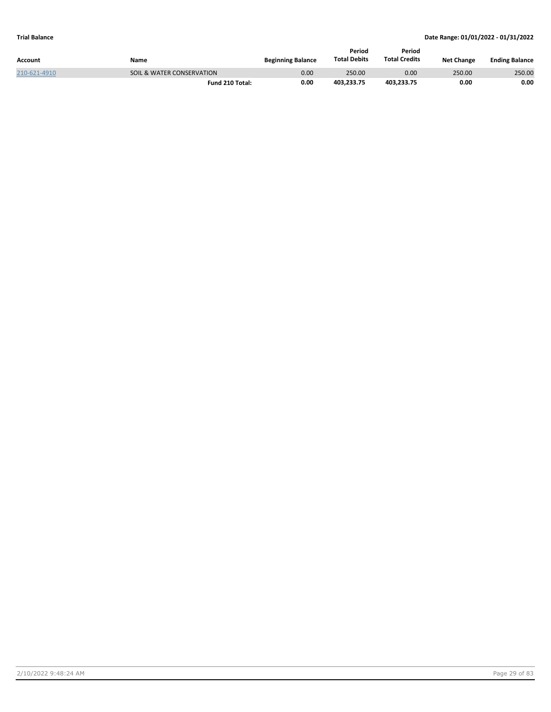| Account      | Name                      | <b>Beginning Balance</b> | Period<br><b>Total Debits</b> | Period<br><b>Total Credits</b> | <b>Net Change</b> | <b>Ending Balance</b> |
|--------------|---------------------------|--------------------------|-------------------------------|--------------------------------|-------------------|-----------------------|
| 210-621-4910 | SOIL & WATER CONSERVATION | 0.00                     | 250.00                        | 0.00                           | 250.00            | 250.00                |
|              | Fund 210 Total:           | 0.00                     | 403.233.75                    | 403.233.75                     | 0.00              | 0.00                  |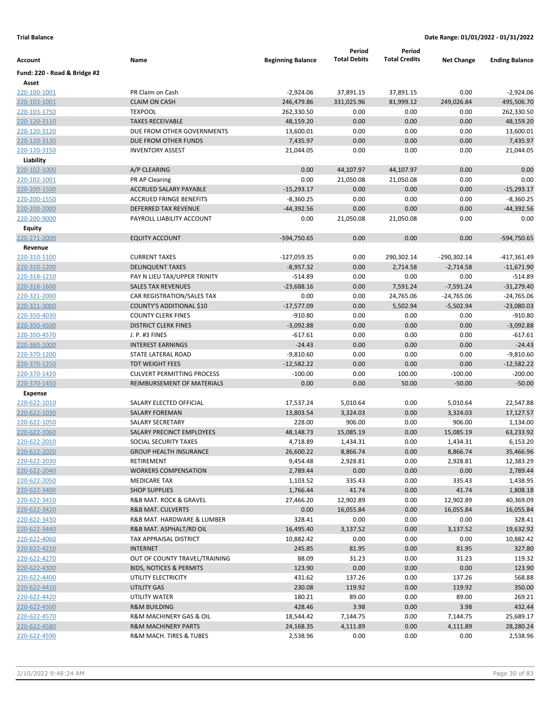|                              |                                                       |                           | Period                  | Period                 |                    |                           |
|------------------------------|-------------------------------------------------------|---------------------------|-------------------------|------------------------|--------------------|---------------------------|
| Account                      | Name                                                  | <b>Beginning Balance</b>  | <b>Total Debits</b>     | <b>Total Credits</b>   | <b>Net Change</b>  | <b>Ending Balance</b>     |
| Fund: 220 - Road & Bridge #2 |                                                       |                           |                         |                        |                    |                           |
| Asset                        | PR Claim on Cash                                      |                           |                         |                        |                    |                           |
| 220-100-1001<br>220-103-1001 | <b>CLAIM ON CASH</b>                                  | $-2,924.06$<br>246,479.86 | 37,891.15<br>331,025.96 | 37,891.15<br>81,999.12 | 0.00<br>249,026.84 | $-2,924.06$<br>495,506.70 |
| 220-103-1750                 | <b>TEXPOOL</b>                                        | 262,330.50                | 0.00                    | 0.00                   | 0.00               | 262,330.50                |
| 220-120-3110                 | <b>TAXES RECEIVABLE</b>                               | 48,159.20                 | 0.00                    | 0.00                   | 0.00               | 48,159.20                 |
| 220-120-3120                 | DUE FROM OTHER GOVERNMENTS                            | 13,600.01                 | 0.00                    | 0.00                   | 0.00               | 13,600.01                 |
| 220-120-3130                 | DUE FROM OTHER FUNDS                                  | 7,435.97                  | 0.00                    | 0.00                   | 0.00               | 7,435.97                  |
| 220-120-3150                 | <b>INVENTORY ASSEST</b>                               | 21,044.05                 | 0.00                    | 0.00                   | 0.00               | 21,044.05                 |
| Liability                    |                                                       |                           |                         |                        |                    |                           |
| 220-102-1000                 | A/P CLEARING                                          | 0.00                      | 44,107.97               | 44,107.97              | 0.00               | 0.00                      |
| 220-102-1001                 | PR AP Clearing                                        | 0.00                      | 21,050.08               | 21,050.08              | 0.00               | 0.00                      |
| 220-200-1500                 | ACCRUED SALARY PAYABLE                                | $-15,293.17$              | 0.00                    | 0.00                   | 0.00               | $-15,293.17$              |
| 220-200-1550                 | <b>ACCRUED FRINGE BENEFITS</b>                        | $-8,360.25$               | 0.00                    | 0.00                   | 0.00               | $-8,360.25$               |
| 220-200-2000                 | <b>DEFERRED TAX REVENUE</b>                           | $-44,392.56$              | 0.00                    | 0.00                   | 0.00               | $-44,392.56$              |
| 220-200-9000                 | PAYROLL LIABILITY ACCOUNT                             | 0.00                      | 21,050.08               | 21,050.08              | 0.00               | 0.00                      |
| Equity                       |                                                       |                           |                         |                        |                    |                           |
| 220-271-2000                 | <b>EQUITY ACCOUNT</b>                                 | -594,750.65               | 0.00                    | 0.00                   | 0.00               | -594,750.65               |
| Revenue                      |                                                       |                           |                         |                        |                    |                           |
| 220-310-1100                 | <b>CURRENT TAXES</b>                                  | $-127,059.35$             | 0.00                    | 290,302.14             | $-290,302.14$      | $-417,361.49$             |
| 220-310-1200                 | <b>DELINQUENT TAXES</b>                               | $-8,957.32$               | 0.00                    | 2,714.58               | $-2,714.58$        | $-11,671.90$              |
| 220-318-1210                 | PAY N LIEU TAX/UPPER TRINITY                          | $-514.89$                 | 0.00                    | 0.00                   | 0.00               | $-514.89$                 |
| 220-318-1600                 | <b>SALES TAX REVENUES</b>                             | $-23,688.16$              | 0.00                    | 7,591.24               | $-7,591.24$        | $-31,279.40$              |
| 220-321-2000                 | CAR REGISTRATION/SALES TAX                            | 0.00                      | 0.00                    | 24,765.06              | $-24,765.06$       | $-24,765.06$              |
| 220-321-3000                 | COUNTY'S ADDITIONAL \$10                              | $-17,577.09$              | 0.00                    | 5,502.94               | $-5,502.94$        | $-23,080.03$              |
| 220-350-4030                 | <b>COUNTY CLERK FINES</b>                             | $-910.80$                 | 0.00                    | 0.00                   | 0.00               | $-910.80$                 |
| 220-350-4500                 | <b>DISTRICT CLERK FINES</b>                           | $-3,092.88$               | 0.00                    | 0.00                   | 0.00               | $-3,092.88$               |
| 220-350-4570                 | J. P. #3 FINES                                        | $-617.61$                 | 0.00                    | 0.00                   | 0.00               | $-617.61$                 |
| 220-360-1000                 | <b>INTEREST EARNINGS</b>                              | $-24.43$                  | 0.00                    | 0.00                   | 0.00               | $-24.43$                  |
| 220-370-1200                 | STATE LATERAL ROAD                                    | $-9,810.60$               | 0.00                    | 0.00                   | 0.00               | $-9,810.60$               |
| 220-370-1250                 | <b>TDT WEIGHT FEES</b>                                | $-12,582.22$              | 0.00                    | 0.00                   | 0.00               | $-12,582.22$              |
| 220-370-1420                 | <b>CULVERT PERMITTING PROCESS</b>                     | $-100.00$                 | 0.00                    | 100.00                 | $-100.00$          | $-200.00$                 |
| 220-370-1450                 | REIMBURSEMENT OF MATERIALS                            | 0.00                      | 0.00                    | 50.00                  | $-50.00$           | $-50.00$                  |
| <b>Expense</b>               |                                                       |                           |                         |                        |                    |                           |
| 220-622-1010                 | SALARY ELECTED OFFICIAL                               | 17,537.24                 | 5,010.64                | 0.00                   | 5,010.64           | 22,547.88                 |
| 220-622-1030                 | <b>SALARY FOREMAN</b>                                 | 13,803.54                 | 3,324.03                | 0.00                   | 3,324.03           | 17,127.57                 |
| 220-622-1050                 | <b>SALARY SECRETARY</b>                               | 228.00                    | 906.00                  | 0.00                   | 906.00             | 1,134.00                  |
| 220-622-1060                 | <b>SALARY PRECINCT EMPLOYEES</b>                      | 48,148.73                 | 15,085.19               | 0.00                   | 15,085.19          | 63,233.92                 |
| 220-622-2010                 | SOCIAL SECURITY TAXES                                 | 4,718.89                  | 1,434.31                | 0.00                   | 1,434.31           | 6,153.20                  |
| 220-622-2020                 | <b>GROUP HEALTH INSURANCE</b>                         | 26,600.22                 | 8,866.74                | 0.00                   | 8,866.74           | 35,466.96                 |
| 220-622-2030                 | RETIREMENT                                            | 9,454.48                  | 2,928.81                | 0.00                   | 2,928.81           | 12,383.29                 |
| 220-622-2040                 | <b>WORKERS COMPENSATION</b>                           | 2,789.44                  | 0.00                    | 0.00                   | 0.00               | 2,789.44                  |
| 220-622-2050                 | MEDICARE TAX                                          | 1,103.52                  | 335.43                  | 0.00                   | 335.43             | 1,438.95                  |
| 220-622-3400                 | <b>SHOP SUPPLIES</b>                                  | 1,766.44                  | 41.74                   | 0.00                   | 41.74              | 1,808.18<br>40,369.09     |
| 220-622-3410                 | R&B MAT. ROCK & GRAVEL                                | 27,466.20                 | 12,902.89               | 0.00                   | 12,902.89          |                           |
| 220-622-3420                 | <b>R&amp;B MAT. CULVERTS</b>                          | 0.00<br>328.41            | 16,055.84               | 0.00                   | 16,055.84          | 16,055.84                 |
| 220-622-3430                 | R&B MAT. HARDWARE & LUMBER<br>R&B MAT. ASPHALT/RD OIL |                           | 0.00                    | 0.00                   | 0.00               | 328.41                    |
| 220-622-3440<br>220-622-4060 | TAX APPRAISAL DISTRICT                                | 16,495.40<br>10,882.42    | 3,137.52<br>0.00        | 0.00<br>0.00           | 3,137.52<br>0.00   | 19,632.92<br>10,882.42    |
| 220-622-4210                 | <b>INTERNET</b>                                       | 245.85                    | 81.95                   | 0.00                   | 81.95              | 327.80                    |
| 220-622-4270                 | OUT OF COUNTY TRAVEL/TRAINING                         | 88.09                     | 31.23                   | 0.00                   | 31.23              | 119.32                    |
| 220-622-4300                 | <b>BIDS, NOTICES &amp; PERMITS</b>                    | 123.90                    | 0.00                    | 0.00                   | 0.00               | 123.90                    |
| 220-622-4400                 | UTILITY ELECTRICITY                                   | 431.62                    | 137.26                  | 0.00                   | 137.26             | 568.88                    |
| 220-622-4410                 | UTILITY GAS                                           | 230.08                    | 119.92                  | 0.00                   | 119.92             | 350.00                    |
| 220-622-4420                 | UTILITY WATER                                         | 180.21                    | 89.00                   | 0.00                   | 89.00              | 269.21                    |
| 220-622-4500                 | <b>R&amp;M BUILDING</b>                               | 428.46                    | 3.98                    | 0.00                   | 3.98               | 432.44                    |
| 220-622-4570                 | R&M MACHINERY GAS & OIL                               | 18,544.42                 | 7,144.75                | 0.00                   | 7,144.75           | 25,689.17                 |
| 220-622-4580                 | <b>R&amp;M MACHINERY PARTS</b>                        | 24,168.35                 | 4,111.89                | 0.00                   | 4,111.89           | 28,280.24                 |
| 220-622-4590                 | R&M MACH. TIRES & TUBES                               | 2,538.96                  | 0.00                    | 0.00                   | 0.00               | 2,538.96                  |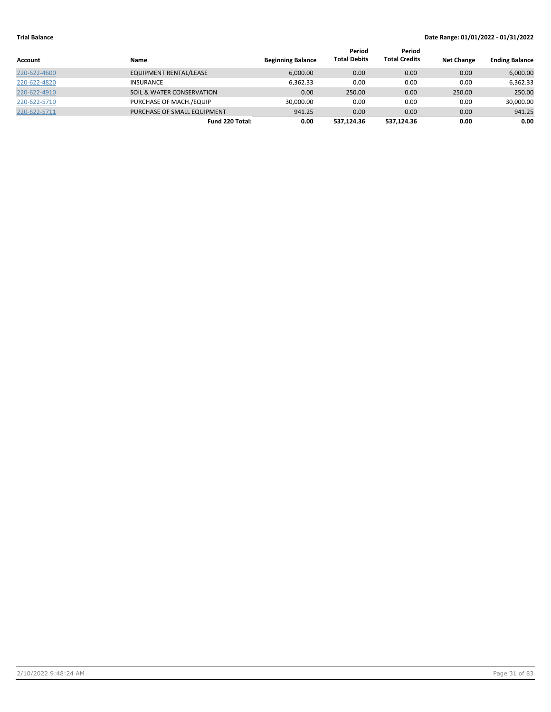|              |                                      |                          | Period              | Period               |                   |                       |
|--------------|--------------------------------------|--------------------------|---------------------|----------------------|-------------------|-----------------------|
| Account      | <b>Name</b>                          | <b>Beginning Balance</b> | <b>Total Debits</b> | <b>Total Credits</b> | <b>Net Change</b> | <b>Ending Balance</b> |
| 220-622-4600 | EQUIPMENT RENTAL/LEASE               | 6,000.00                 | 0.00                | 0.00                 | 0.00              | 6,000.00              |
| 220-622-4820 | <b>INSURANCE</b>                     | 6.362.33                 | 0.00                | 0.00                 | 0.00              | 6.362.33              |
| 220-622-4910 | <b>SOIL &amp; WATER CONSERVATION</b> | 0.00                     | 250.00              | 0.00                 | 250.00            | 250.00                |
| 220-622-5710 | PURCHASE OF MACH./EQUIP              | 30,000.00                | 0.00                | 0.00                 | 0.00              | 30,000.00             |
| 220-622-5711 | PURCHASE OF SMALL EQUIPMENT          | 941.25                   | 0.00                | 0.00                 | 0.00              | 941.25                |
|              | Fund 220 Total:                      | 0.00                     | 537.124.36          | 537.124.36           | 0.00              | 0.00                  |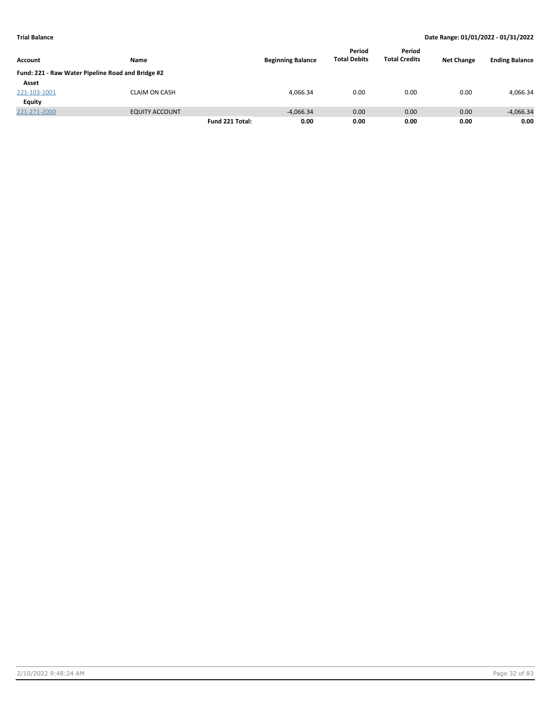|                |                                                   |                 |                          | Period              | Period               |                   |                       |
|----------------|---------------------------------------------------|-----------------|--------------------------|---------------------|----------------------|-------------------|-----------------------|
| <b>Account</b> | Name                                              |                 | <b>Beginning Balance</b> | <b>Total Debits</b> | <b>Total Credits</b> | <b>Net Change</b> | <b>Ending Balance</b> |
|                | Fund: 221 - Raw Water Pipeline Road and Bridge #2 |                 |                          |                     |                      |                   |                       |
| Asset          |                                                   |                 |                          |                     |                      |                   |                       |
| 221-103-1001   | <b>CLAIM ON CASH</b>                              |                 | 4.066.34                 | 0.00                | 0.00                 | 0.00              | 4,066.34              |
| Equity         |                                                   |                 |                          |                     |                      |                   |                       |
| 221-271-2000   | <b>EQUITY ACCOUNT</b>                             |                 | $-4,066.34$              | 0.00                | 0.00                 | 0.00              | $-4,066.34$           |
|                |                                                   | Fund 221 Total: | 0.00                     | 0.00                | 0.00                 | 0.00              | 0.00                  |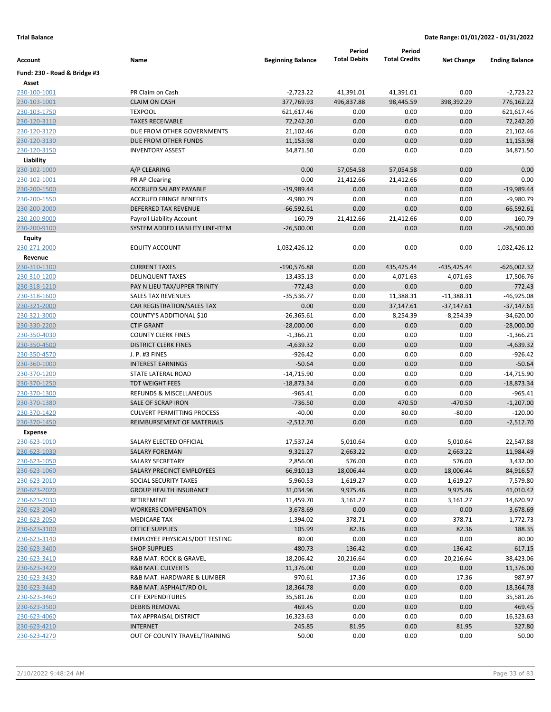|                              |                                                               |                          | Period              | Period               |                   |                           |
|------------------------------|---------------------------------------------------------------|--------------------------|---------------------|----------------------|-------------------|---------------------------|
| Account                      | Name                                                          | <b>Beginning Balance</b> | <b>Total Debits</b> | <b>Total Credits</b> | <b>Net Change</b> | <b>Ending Balance</b>     |
| Fund: 230 - Road & Bridge #3 |                                                               |                          |                     |                      |                   |                           |
| Asset                        |                                                               |                          |                     |                      |                   |                           |
| 230-100-1001                 | PR Claim on Cash                                              | $-2,723.22$              | 41,391.01           | 41,391.01            | 0.00              | $-2,723.22$               |
| 230-103-1001                 | <b>CLAIM ON CASH</b>                                          | 377,769.93               | 496,837.88          | 98,445.59            | 398,392.29        | 776,162.22                |
| 230-103-1750                 | <b>TEXPOOL</b>                                                | 621,617.46               | 0.00                | 0.00                 | 0.00              | 621,617.46                |
| 230-120-3110                 | <b>TAXES RECEIVABLE</b>                                       | 72,242.20                | 0.00                | 0.00                 | 0.00              | 72,242.20                 |
| 230-120-3120                 | DUE FROM OTHER GOVERNMENTS                                    | 21,102.46                | 0.00                | 0.00                 | 0.00              | 21,102.46                 |
| 230-120-3130                 | DUE FROM OTHER FUNDS                                          | 11,153.98                | 0.00                | 0.00                 | 0.00              | 11,153.98                 |
| 230-120-3150                 | <b>INVENTORY ASSEST</b>                                       | 34,871.50                | 0.00                | 0.00                 | 0.00              | 34,871.50                 |
| Liability                    |                                                               |                          |                     |                      |                   |                           |
| 230-102-1000                 | A/P CLEARING                                                  | 0.00                     | 57,054.58           | 57,054.58            | 0.00              | 0.00                      |
| 230-102-1001                 | PR AP Clearing                                                | 0.00                     | 21,412.66           | 21,412.66            | 0.00              | 0.00                      |
| 230-200-1500                 | <b>ACCRUED SALARY PAYABLE</b>                                 | $-19,989.44$             | 0.00                | 0.00                 | 0.00              | $-19,989.44$              |
| 230-200-1550                 | <b>ACCRUED FRINGE BENEFITS</b>                                | $-9,980.79$              | 0.00                | 0.00                 | 0.00              | $-9,980.79$               |
| 230-200-2000                 | DEFERRED TAX REVENUE                                          | $-66,592.61$             | 0.00                | 0.00                 | 0.00              | $-66,592.61$              |
| 230-200-9000                 | Payroll Liability Account<br>SYSTEM ADDED LIABILITY LINE-ITEM | $-160.79$                | 21,412.66           | 21,412.66<br>0.00    | 0.00<br>0.00      | $-160.79$<br>$-26,500.00$ |
| 230-200-9100                 |                                                               | $-26,500.00$             | 0.00                |                      |                   |                           |
| Equity                       | <b>EQUITY ACCOUNT</b>                                         | -1,032,426.12            | 0.00                | 0.00                 | 0.00              | $-1,032,426.12$           |
| 230-271-2000<br>Revenue      |                                                               |                          |                     |                      |                   |                           |
| 230-310-1100                 | <b>CURRENT TAXES</b>                                          | $-190,576.88$            | 0.00                | 435,425.44           | $-435,425.44$     | $-626,002.32$             |
| 230-310-1200                 | <b>DELINQUENT TAXES</b>                                       | $-13,435.13$             | 0.00                | 4,071.63             | $-4,071.63$       | $-17,506.76$              |
| 230-318-1210                 | PAY N LIEU TAX/UPPER TRINITY                                  | $-772.43$                | 0.00                | 0.00                 | 0.00              | $-772.43$                 |
| 230-318-1600                 | <b>SALES TAX REVENUES</b>                                     | $-35,536.77$             | 0.00                | 11,388.31            | $-11,388.31$      | $-46,925.08$              |
| 230-321-2000                 | CAR REGISTRATION/SALES TAX                                    | 0.00                     | 0.00                | 37,147.61            | $-37,147.61$      | $-37,147.61$              |
| 230-321-3000                 | COUNTY'S ADDITIONAL \$10                                      | $-26,365.61$             | 0.00                | 8,254.39             | $-8,254.39$       | $-34,620.00$              |
| 230-330-2200                 | <b>CTIF GRANT</b>                                             | $-28,000.00$             | 0.00                | 0.00                 | 0.00              | $-28,000.00$              |
| 230-350-4030                 | <b>COUNTY CLERK FINES</b>                                     | $-1,366.21$              | 0.00                | 0.00                 | 0.00              | $-1,366.21$               |
| 230-350-4500                 | <b>DISTRICT CLERK FINES</b>                                   | $-4,639.32$              | 0.00                | 0.00                 | 0.00              | $-4,639.32$               |
| 230-350-4570                 | J. P. #3 FINES                                                | $-926.42$                | 0.00                | 0.00                 | 0.00              | $-926.42$                 |
| 230-360-1000                 | <b>INTEREST EARNINGS</b>                                      | $-50.64$                 | 0.00                | 0.00                 | 0.00              | $-50.64$                  |
| 230-370-1200                 | STATE LATERAL ROAD                                            | $-14,715.90$             | 0.00                | 0.00                 | 0.00              | $-14,715.90$              |
| 230-370-1250                 | <b>TDT WEIGHT FEES</b>                                        | $-18,873.34$             | 0.00                | 0.00                 | 0.00              | $-18,873.34$              |
| 230-370-1300                 | REFUNDS & MISCELLANEOUS                                       | -965.41                  | 0.00                | 0.00                 | 0.00              | $-965.41$                 |
| 230-370-1380                 | SALE OF SCRAP IRON                                            | $-736.50$                | 0.00                | 470.50               | $-470.50$         | $-1,207.00$               |
| 230-370-1420                 | <b>CULVERT PERMITTING PROCESS</b>                             | $-40.00$                 | 0.00                | 80.00                | $-80.00$          | $-120.00$                 |
| 230-370-1450                 | REIMBURSEMENT OF MATERIALS                                    | $-2,512.70$              | 0.00                | 0.00                 | 0.00              | $-2,512.70$               |
| <b>Expense</b>               |                                                               |                          |                     |                      |                   |                           |
| 230-623-1010                 | SALARY ELECTED OFFICIAL                                       | 17,537.24                | 5,010.64            | 0.00                 | 5,010.64          | 22,547.88                 |
| 230-623-1030                 | SALARY FOREMAN                                                | 9,321.27                 | 2,663.22            | 0.00                 | 2,663.22          | 11,984.49                 |
| 230-623-1050                 | SALARY SECRETARY                                              | 2,856.00                 | 576.00              | 0.00                 | 576.00            | 3,432.00                  |
| 230-623-1060                 | SALARY PRECINCT EMPLOYEES                                     | 66,910.13                | 18,006.44           | 0.00                 | 18,006.44         | 84,916.57                 |
| 230-623-2010                 | SOCIAL SECURITY TAXES                                         | 5,960.53                 | 1,619.27            | 0.00                 | 1,619.27          | 7,579.80                  |
| 230-623-2020                 | <b>GROUP HEALTH INSURANCE</b>                                 | 31,034.96                | 9,975.46            | 0.00                 | 9,975.46          | 41,010.42                 |
| 230-623-2030                 | RETIREMENT                                                    | 11,459.70                | 3,161.27            | 0.00                 | 3,161.27          | 14,620.97                 |
| 230-623-2040                 | <b>WORKERS COMPENSATION</b>                                   | 3,678.69                 | 0.00                | 0.00                 | 0.00              | 3,678.69                  |
| 230-623-2050                 | <b>MEDICARE TAX</b>                                           | 1,394.02                 | 378.71              | 0.00                 | 378.71            | 1,772.73                  |
| 230-623-3100                 | <b>OFFICE SUPPLIES</b>                                        | 105.99                   | 82.36               | 0.00                 | 82.36             | 188.35                    |
| 230-623-3140                 | <b>EMPLOYEE PHYSICALS/DOT TESTING</b>                         | 80.00                    | 0.00                | 0.00                 | 0.00              | 80.00                     |
| 230-623-3400                 | <b>SHOP SUPPLIES</b>                                          | 480.73                   | 136.42              | 0.00                 | 136.42            | 617.15                    |
| 230-623-3410                 | R&B MAT. ROCK & GRAVEL                                        | 18,206.42                | 20,216.64           | 0.00                 | 20,216.64         | 38,423.06                 |
| 230-623-3420                 | <b>R&amp;B MAT. CULVERTS</b>                                  | 11,376.00                | 0.00                | 0.00                 | 0.00              | 11,376.00                 |
| 230-623-3430                 | R&B MAT. HARDWARE & LUMBER                                    | 970.61                   | 17.36               | 0.00                 | 17.36             | 987.97                    |
| 230-623-3440                 | R&B MAT. ASPHALT/RD OIL                                       | 18,364.78                | 0.00                | 0.00                 | 0.00              | 18,364.78                 |
| 230-623-3460                 | <b>CTIF EXPENDITURES</b>                                      | 35,581.26                | 0.00                | 0.00                 | 0.00              | 35,581.26                 |
| 230-623-3500                 | <b>DEBRIS REMOVAL</b>                                         | 469.45                   | 0.00                | 0.00                 | 0.00              | 469.45                    |
| 230-623-4060                 | TAX APPRAISAL DISTRICT                                        | 16,323.63                | 0.00                | 0.00                 | 0.00              | 16,323.63                 |
| 230-623-4210                 | <b>INTERNET</b>                                               | 245.85                   | 81.95               | 0.00                 | 81.95             | 327.80                    |
| 230-623-4270                 | OUT OF COUNTY TRAVEL/TRAINING                                 | 50.00                    | 0.00                | 0.00                 | 0.00              | 50.00                     |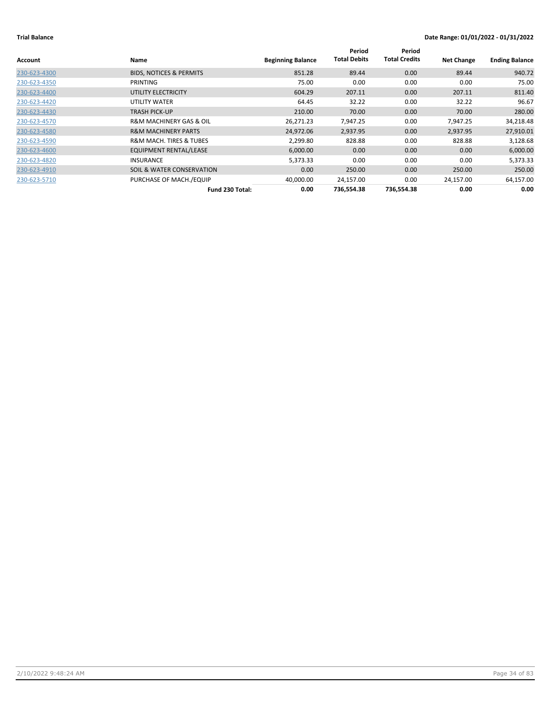| Account      | Name                                   | <b>Beginning Balance</b> | Period<br><b>Total Debits</b> | Period<br><b>Total Credits</b> | <b>Net Change</b> | <b>Ending Balance</b> |
|--------------|----------------------------------------|--------------------------|-------------------------------|--------------------------------|-------------------|-----------------------|
| 230-623-4300 | <b>BIDS, NOTICES &amp; PERMITS</b>     | 851.28                   | 89.44                         | 0.00                           | 89.44             | 940.72                |
| 230-623-4350 | PRINTING                               | 75.00                    | 0.00                          | 0.00                           | 0.00              | 75.00                 |
| 230-623-4400 | UTILITY ELECTRICITY                    | 604.29                   | 207.11                        | 0.00                           | 207.11            | 811.40                |
| 230-623-4420 | UTILITY WATER                          | 64.45                    | 32.22                         | 0.00                           | 32.22             | 96.67                 |
| 230-623-4430 | <b>TRASH PICK-UP</b>                   | 210.00                   | 70.00                         | 0.00                           | 70.00             | 280.00                |
| 230-623-4570 | <b>R&amp;M MACHINERY GAS &amp; OIL</b> | 26,271.23                | 7,947.25                      | 0.00                           | 7,947.25          | 34,218.48             |
| 230-623-4580 | <b>R&amp;M MACHINERY PARTS</b>         | 24,972.06                | 2,937.95                      | 0.00                           | 2,937.95          | 27,910.01             |
| 230-623-4590 | <b>R&amp;M MACH. TIRES &amp; TUBES</b> | 2,299.80                 | 828.88                        | 0.00                           | 828.88            | 3,128.68              |
| 230-623-4600 | <b>EQUIPMENT RENTAL/LEASE</b>          | 6,000.00                 | 0.00 <sub>1</sub>             | 0.00                           | 0.00              | 6,000.00              |
| 230-623-4820 | <b>INSURANCE</b>                       | 5,373.33                 | 0.00                          | 0.00                           | 0.00              | 5,373.33              |
| 230-623-4910 | SOIL & WATER CONSERVATION              | 0.00                     | 250.00                        | 0.00                           | 250.00            | 250.00                |
| 230-623-5710 | PURCHASE OF MACH./EQUIP                | 40,000.00                | 24,157.00                     | 0.00                           | 24,157.00         | 64,157.00             |
|              | Fund 230 Total:                        | 0.00                     | 736.554.38                    | 736,554.38                     | 0.00              | 0.00                  |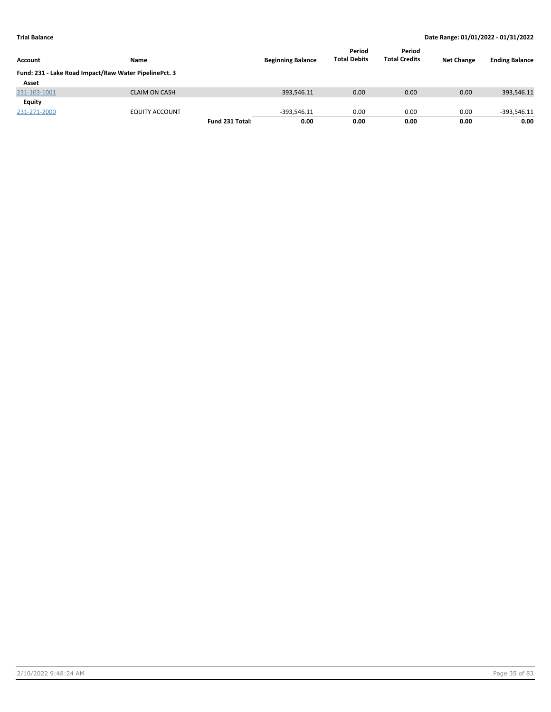| Account      | Name                                                  |                 | <b>Beginning Balance</b> | Period<br><b>Total Debits</b> | Period<br><b>Total Credits</b> | <b>Net Change</b> | <b>Ending Balance</b> |
|--------------|-------------------------------------------------------|-----------------|--------------------------|-------------------------------|--------------------------------|-------------------|-----------------------|
|              | Fund: 231 - Lake Road Impact/Raw Water PipelinePct. 3 |                 |                          |                               |                                |                   |                       |
| Asset        |                                                       |                 |                          |                               |                                |                   |                       |
| 231-103-1001 | <b>CLAIM ON CASH</b>                                  |                 | 393,546.11               | 0.00                          | 0.00                           | 0.00              | 393,546.11            |
| Equity       |                                                       |                 |                          |                               |                                |                   |                       |
| 231-271-2000 | <b>EQUITY ACCOUNT</b>                                 |                 | $-393.546.11$            | 0.00                          | 0.00                           | 0.00              | $-393,546.11$         |
|              |                                                       | Fund 231 Total: | 0.00                     | 0.00                          | 0.00                           | 0.00              | 0.00                  |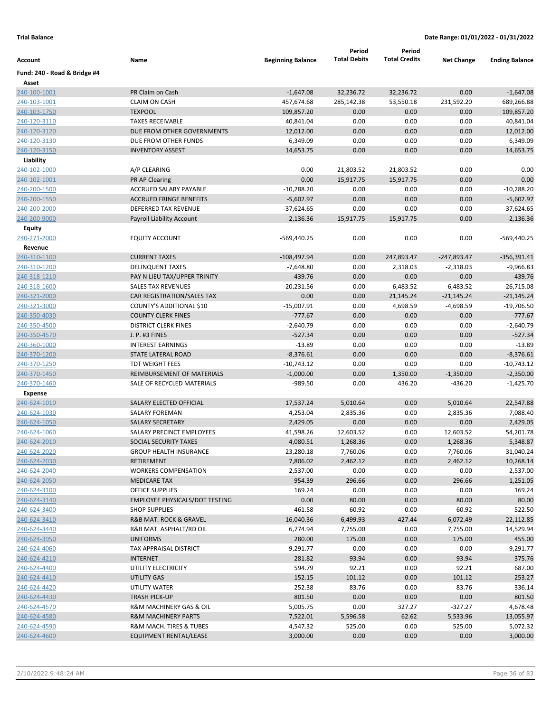|                              |                                                       |                           | Period              | Period               |                     |                           |
|------------------------------|-------------------------------------------------------|---------------------------|---------------------|----------------------|---------------------|---------------------------|
| Account                      | Name                                                  | <b>Beginning Balance</b>  | <b>Total Debits</b> | <b>Total Credits</b> | <b>Net Change</b>   | <b>Ending Balance</b>     |
| Fund: 240 - Road & Bridge #4 |                                                       |                           |                     |                      |                     |                           |
| Asset                        |                                                       |                           |                     |                      |                     |                           |
| 240-100-1001                 | PR Claim on Cash                                      | $-1,647.08$               | 32,236.72           | 32,236.72            | 0.00                | $-1,647.08$               |
| 240-103-1001                 | <b>CLAIM ON CASH</b>                                  | 457,674.68                | 285,142.38          | 53,550.18            | 231,592.20          | 689,266.88                |
| 240-103-1750                 | <b>TEXPOOL</b>                                        | 109,857.20                | 0.00                | 0.00                 | 0.00                | 109,857.20                |
| 240-120-3110                 | <b>TAXES RECEIVABLE</b>                               | 40,841.04                 | 0.00                | 0.00                 | 0.00                | 40,841.04                 |
| 240-120-3120                 | DUE FROM OTHER GOVERNMENTS                            | 12,012.00                 | 0.00                | 0.00                 | 0.00                | 12,012.00                 |
| 240-120-3130                 | DUE FROM OTHER FUNDS                                  | 6,349.09                  | 0.00                | 0.00                 | 0.00                | 6,349.09                  |
| 240-120-3150                 | <b>INVENTORY ASSEST</b>                               | 14,653.75                 | 0.00                | 0.00                 | 0.00                | 14,653.75                 |
| Liability                    |                                                       |                           |                     |                      |                     |                           |
| 240-102-1000                 | A/P CLEARING                                          | 0.00                      | 21,803.52           | 21,803.52            | 0.00                | 0.00                      |
| 240-102-1001                 | PR AP Clearing                                        | 0.00                      | 15,917.75           | 15,917.75            | 0.00                | 0.00                      |
| 240-200-1500                 | ACCRUED SALARY PAYABLE                                | $-10,288.20$              | 0.00                | 0.00                 | 0.00                | $-10,288.20$              |
| 240-200-1550                 | <b>ACCRUED FRINGE BENEFITS</b>                        | $-5,602.97$               | 0.00                | 0.00                 | 0.00                | $-5,602.97$               |
| 240-200-2000                 | DEFERRED TAX REVENUE                                  | $-37,624.65$              | 0.00                | 0.00                 | 0.00                | $-37,624.65$              |
| 240-200-9000                 | Payroll Liability Account                             | $-2,136.36$               | 15,917.75           | 15,917.75            | 0.00                | $-2,136.36$               |
| Equity                       |                                                       |                           |                     |                      |                     |                           |
| 240-271-2000                 | <b>EQUITY ACCOUNT</b>                                 | $-569,440.25$             | 0.00                | 0.00                 | 0.00                | -569,440.25               |
| Revenue                      |                                                       |                           |                     |                      |                     |                           |
| 240-310-1100                 | <b>CURRENT TAXES</b>                                  | $-108,497.94$             | 0.00                | 247,893.47           | $-247,893.47$       | $-356,391.41$             |
| 240-310-1200                 | <b>DELINQUENT TAXES</b>                               | $-7,648.80$               | 0.00                | 2,318.03             | $-2,318.03$         | $-9,966.83$               |
| 240-318-1210                 | PAY N LIEU TAX/UPPER TRINITY                          | $-439.76$                 | 0.00                | 0.00                 | 0.00                | $-439.76$                 |
| 240-318-1600                 | <b>SALES TAX REVENUES</b>                             | $-20,231.56$              | 0.00                | 6,483.52             | $-6,483.52$         | $-26,715.08$              |
| 240-321-2000                 | CAR REGISTRATION/SALES TAX                            | 0.00                      | 0.00<br>0.00        | 21,145.24            | $-21,145.24$        | $-21,145.24$              |
| 240-321-3000<br>240-350-4030 | COUNTY'S ADDITIONAL \$10<br><b>COUNTY CLERK FINES</b> | $-15,007.91$<br>$-777.67$ | 0.00                | 4,698.59<br>0.00     | $-4,698.59$<br>0.00 | $-19,706.50$<br>$-777.67$ |
| 240-350-4500                 | <b>DISTRICT CLERK FINES</b>                           | $-2,640.79$               | 0.00                | 0.00                 | 0.00                | $-2,640.79$               |
| 240-350-4570                 | J. P. #3 FINES                                        | $-527.34$                 | 0.00                | 0.00                 | 0.00                | $-527.34$                 |
| 240-360-1000                 | <b>INTEREST EARNINGS</b>                              | $-13.89$                  | 0.00                | 0.00                 | 0.00                | $-13.89$                  |
| 240-370-1200                 | <b>STATE LATERAL ROAD</b>                             | $-8,376.61$               | 0.00                | 0.00                 | 0.00                | $-8,376.61$               |
| 240-370-1250                 | <b>TDT WEIGHT FEES</b>                                | $-10,743.12$              | 0.00                | 0.00                 | 0.00                | $-10,743.12$              |
| 240-370-1450                 | REIMBURSEMENT OF MATERIALS                            | $-1,000.00$               | 0.00                | 1,350.00             | $-1,350.00$         | $-2,350.00$               |
| 240-370-1460                 | SALE OF RECYCLED MATERIALS                            | $-989.50$                 | 0.00                | 436.20               | -436.20             | $-1,425.70$               |
| <b>Expense</b>               |                                                       |                           |                     |                      |                     |                           |
| 240-624-1010                 | SALARY ELECTED OFFICIAL                               | 17,537.24                 | 5,010.64            | 0.00                 | 5,010.64            | 22,547.88                 |
| 240-624-1030                 | <b>SALARY FOREMAN</b>                                 | 4,253.04                  | 2,835.36            | 0.00                 | 2,835.36            | 7,088.40                  |
| 240-624-1050                 | <b>SALARY SECRETARY</b>                               | 2,429.05                  | 0.00                | 0.00                 | 0.00                | 2,429.05                  |
| 240-624-1060                 | SALARY PRECINCT EMPLOYEES                             | 41,598.26                 | 12,603.52           | 0.00                 | 12,603.52           | 54,201.78                 |
| 240-624-2010                 | SOCIAL SECURITY TAXES                                 | 4,080.51                  | 1,268.36            | 0.00                 | 1,268.36            | 5,348.87                  |
| 240-624-2020                 | <b>GROUP HEALTH INSURANCE</b>                         | 23,280.18                 | 7,760.06            | 0.00                 | 7,760.06            | 31,040.24                 |
| 240-624-2030                 | RETIREMENT                                            | 7,806.02                  | 2,462.12            | 0.00                 | 2,462.12            | 10,268.14                 |
| 240-624-2040                 | <b>WORKERS COMPENSATION</b>                           | 2,537.00                  | 0.00                | 0.00                 | 0.00                | 2,537.00                  |
| 240-624-2050                 | <b>MEDICARE TAX</b>                                   | 954.39                    | 296.66              | 0.00                 | 296.66              | 1,251.05                  |
| 240-624-3100                 | OFFICE SUPPLIES                                       | 169.24                    | 0.00                | 0.00                 | 0.00                | 169.24                    |
| 240-624-3140                 | <b>EMPLOYEE PHYSICALS/DOT TESTING</b>                 | 0.00                      | 80.00               | 0.00                 | 80.00               | 80.00                     |
| 240-624-3400                 | <b>SHOP SUPPLIES</b>                                  | 461.58                    | 60.92               | 0.00                 | 60.92               | 522.50                    |
| 240-624-3410                 | R&B MAT. ROCK & GRAVEL                                | 16,040.36                 | 6,499.93            | 427.44               | 6,072.49            | 22,112.85                 |
| 240-624-3440                 | R&B MAT. ASPHALT/RD OIL                               | 6,774.94                  | 7,755.00            | 0.00                 | 7,755.00            | 14,529.94                 |
| 240-624-3950                 | <b>UNIFORMS</b>                                       | 280.00                    | 175.00              | 0.00                 | 175.00              | 455.00                    |
| 240-624-4060                 | TAX APPRAISAL DISTRICT                                | 9,291.77                  | 0.00                | 0.00                 | 0.00                | 9,291.77                  |
| 240-624-4210                 | <b>INTERNET</b>                                       | 281.82                    | 93.94               | 0.00                 | 93.94               | 375.76                    |
| 240-624-4400                 | UTILITY ELECTRICITY                                   | 594.79                    | 92.21               | 0.00                 | 92.21               | 687.00                    |
| 240-624-4410                 | UTILITY GAS                                           | 152.15                    | 101.12              | 0.00                 | 101.12              | 253.27                    |
| 240-624-4420                 | UTILITY WATER                                         | 252.38                    | 83.76               | 0.00                 | 83.76               | 336.14                    |
| 240-624-4430                 | <b>TRASH PICK-UP</b>                                  | 801.50                    | 0.00                | 0.00                 | 0.00                | 801.50                    |
| 240-624-4570                 | R&M MACHINERY GAS & OIL                               | 5,005.75                  | 0.00                | 327.27               | $-327.27$           | 4,678.48                  |
| 240-624-4580                 | <b>R&amp;M MACHINERY PARTS</b>                        | 7,522.01                  | 5,596.58            | 62.62                | 5,533.96            | 13,055.97                 |
| 240-624-4590                 | R&M MACH. TIRES & TUBES                               | 4,547.32                  | 525.00              | 0.00                 | 525.00              | 5,072.32                  |
| 240-624-4600                 | EQUIPMENT RENTAL/LEASE                                | 3,000.00                  | 0.00                | 0.00                 | 0.00                | 3,000.00                  |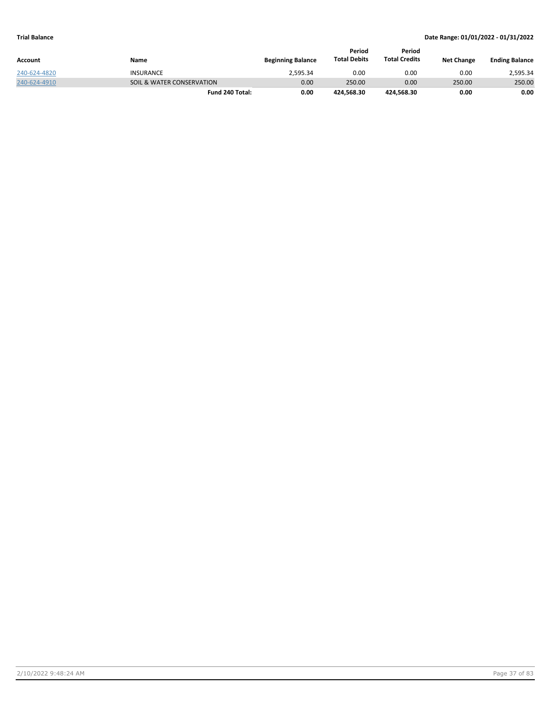|              |                           |                          | Period              | Period               |                   |                       |
|--------------|---------------------------|--------------------------|---------------------|----------------------|-------------------|-----------------------|
| Account      | Name                      | <b>Beginning Balance</b> | <b>Total Debits</b> | <b>Total Credits</b> | <b>Net Change</b> | <b>Ending Balance</b> |
| 240-624-4820 | <b>INSURANCE</b>          | 2.595.34                 | 0.00                | 0.00                 | 0.00              | 2.595.34              |
| 240-624-4910 | SOIL & WATER CONSERVATION | 0.00                     | 250.00              | 0.00                 | 250.00            | 250.00                |
|              | Fund 240 Total:           | 0.00                     | 424.568.30          | 424.568.30           | 0.00              | 0.00                  |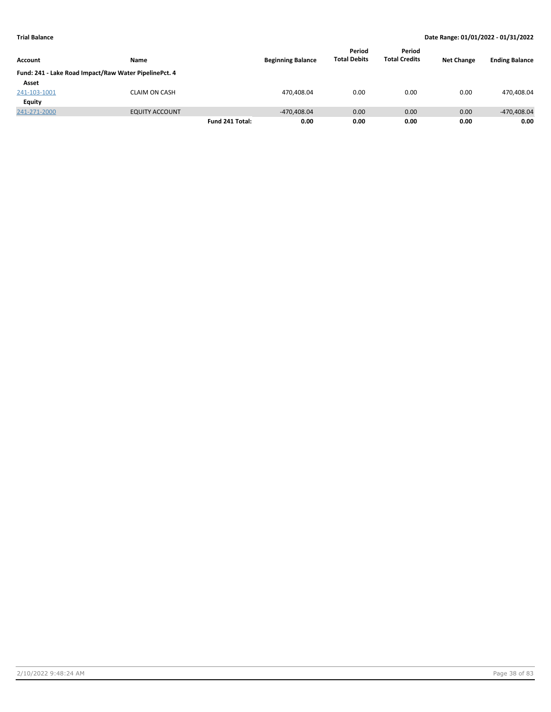|                |                                                       |                 |                          | Period              | Period               |                   |                       |
|----------------|-------------------------------------------------------|-----------------|--------------------------|---------------------|----------------------|-------------------|-----------------------|
| <b>Account</b> | Name                                                  |                 | <b>Beginning Balance</b> | <b>Total Debits</b> | <b>Total Credits</b> | <b>Net Change</b> | <b>Ending Balance</b> |
|                | Fund: 241 - Lake Road Impact/Raw Water PipelinePct. 4 |                 |                          |                     |                      |                   |                       |
| Asset          |                                                       |                 |                          |                     |                      |                   |                       |
| 241-103-1001   | <b>CLAIM ON CASH</b>                                  |                 | 470,408.04               | 0.00                | 0.00                 | 0.00              | 470,408.04            |
| Equity         |                                                       |                 |                          |                     |                      |                   |                       |
| 241-271-2000   | <b>EQUITY ACCOUNT</b>                                 |                 | $-470.408.04$            | 0.00                | 0.00                 | 0.00              | -470,408.04           |
|                |                                                       | Fund 241 Total: | 0.00                     | 0.00                | 0.00                 | 0.00              | 0.00                  |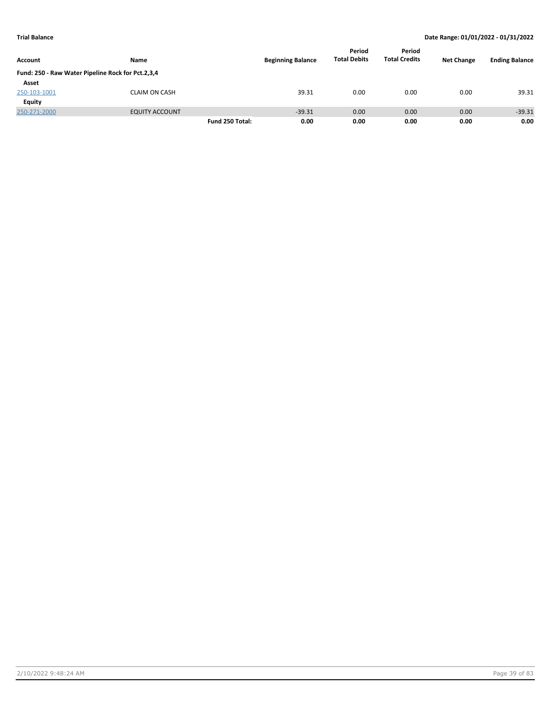|                                                   |                       |                 |                          | Period              | Period               |                   |                       |
|---------------------------------------------------|-----------------------|-----------------|--------------------------|---------------------|----------------------|-------------------|-----------------------|
| Account                                           | Name                  |                 | <b>Beginning Balance</b> | <b>Total Debits</b> | <b>Total Credits</b> | <b>Net Change</b> | <b>Ending Balance</b> |
| Fund: 250 - Raw Water Pipeline Rock for Pct.2,3,4 |                       |                 |                          |                     |                      |                   |                       |
| Asset                                             |                       |                 |                          |                     |                      |                   |                       |
| 250-103-1001                                      | <b>CLAIM ON CASH</b>  |                 | 39.31                    | 0.00                | 0.00                 | 0.00              | 39.31                 |
| Equity                                            |                       |                 |                          |                     |                      |                   |                       |
| 250-271-2000                                      | <b>EQUITY ACCOUNT</b> |                 | $-39.31$                 | 0.00                | 0.00                 | 0.00              | $-39.31$              |
|                                                   |                       | Fund 250 Total: | 0.00                     | 0.00                | 0.00                 | 0.00              | 0.00                  |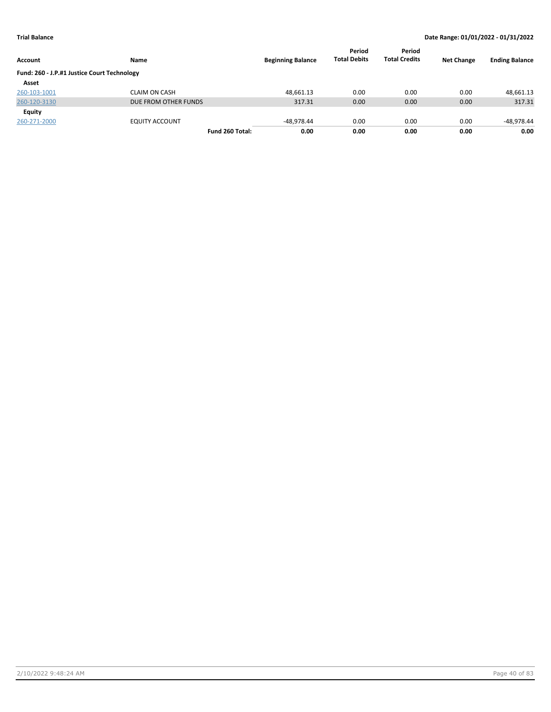| Account                                     | Name                  | <b>Beginning Balance</b> | Period<br><b>Total Debits</b> | Period<br><b>Total Credits</b> | <b>Net Change</b> | <b>Ending Balance</b> |
|---------------------------------------------|-----------------------|--------------------------|-------------------------------|--------------------------------|-------------------|-----------------------|
| Fund: 260 - J.P.#1 Justice Court Technology |                       |                          |                               |                                |                   |                       |
| Asset                                       |                       |                          |                               |                                |                   |                       |
| 260-103-1001                                | <b>CLAIM ON CASH</b>  | 48,661.13                | 0.00                          | 0.00                           | 0.00              | 48,661.13             |
| 260-120-3130                                | DUE FROM OTHER FUNDS  | 317.31                   | 0.00                          | 0.00                           | 0.00              | 317.31                |
| Equity                                      |                       |                          |                               |                                |                   |                       |
| 260-271-2000                                | <b>EQUITY ACCOUNT</b> | -48.978.44               | 0.00                          | 0.00                           | 0.00              | -48,978.44            |
|                                             | Fund 260 Total:       | 0.00                     | 0.00                          | 0.00                           | 0.00              | 0.00                  |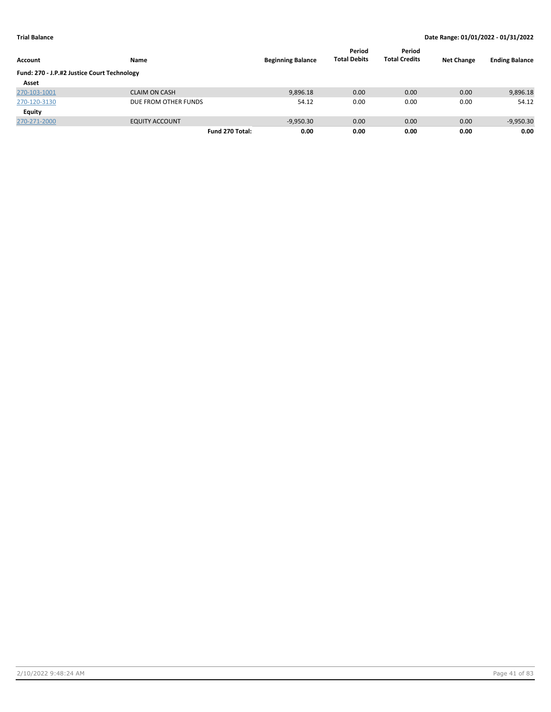| Account                                     | Name                  | <b>Beginning Balance</b> | Period<br><b>Total Debits</b> | Period<br><b>Total Credits</b> | <b>Net Change</b> | <b>Ending Balance</b> |
|---------------------------------------------|-----------------------|--------------------------|-------------------------------|--------------------------------|-------------------|-----------------------|
| Fund: 270 - J.P.#2 Justice Court Technology |                       |                          |                               |                                |                   |                       |
| Asset                                       |                       |                          |                               |                                |                   |                       |
| 270-103-1001                                | <b>CLAIM ON CASH</b>  | 9,896.18                 | 0.00                          | 0.00                           | 0.00              | 9,896.18              |
| 270-120-3130                                | DUE FROM OTHER FUNDS  | 54.12                    | 0.00                          | 0.00                           | 0.00              | 54.12                 |
| Equity                                      |                       |                          |                               |                                |                   |                       |
| 270-271-2000                                | <b>EQUITY ACCOUNT</b> | $-9,950.30$              | 0.00                          | 0.00                           | 0.00              | $-9,950.30$           |
|                                             | Fund 270 Total:       | 0.00                     | 0.00                          | 0.00                           | 0.00              | 0.00                  |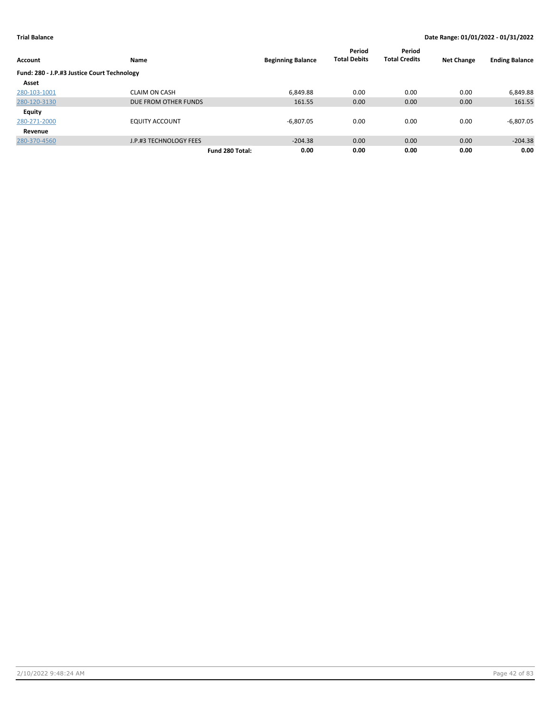| <b>Account</b>                              | Name                   | <b>Beginning Balance</b> | Period<br><b>Total Debits</b> | Period<br><b>Total Credits</b> | <b>Net Change</b> | <b>Ending Balance</b> |
|---------------------------------------------|------------------------|--------------------------|-------------------------------|--------------------------------|-------------------|-----------------------|
| Fund: 280 - J.P.#3 Justice Court Technology |                        |                          |                               |                                |                   |                       |
| Asset                                       |                        |                          |                               |                                |                   |                       |
| 280-103-1001                                | <b>CLAIM ON CASH</b>   | 6,849.88                 | 0.00                          | 0.00                           | 0.00              | 6,849.88              |
| 280-120-3130                                | DUE FROM OTHER FUNDS   | 161.55                   | 0.00                          | 0.00                           | 0.00              | 161.55                |
| Equity                                      |                        |                          |                               |                                |                   |                       |
| 280-271-2000                                | <b>EQUITY ACCOUNT</b>  | $-6,807.05$              | 0.00                          | 0.00                           | 0.00              | $-6,807.05$           |
| Revenue                                     |                        |                          |                               |                                |                   |                       |
| 280-370-4560                                | J.P.#3 TECHNOLOGY FEES | $-204.38$                | 0.00                          | 0.00                           | 0.00              | $-204.38$             |
|                                             |                        | 0.00<br>Fund 280 Total:  | 0.00                          | 0.00                           | 0.00              | 0.00                  |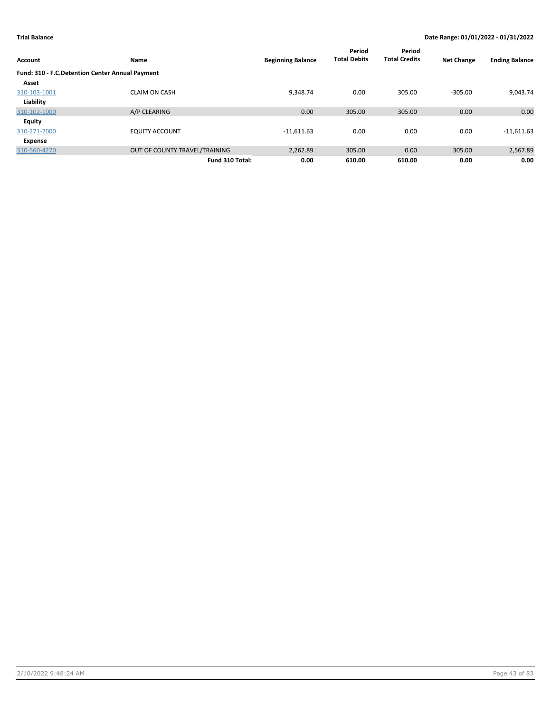| Account                                         | Name                          | <b>Beginning Balance</b> | Period<br><b>Total Debits</b> | Period<br><b>Total Credits</b> | <b>Net Change</b> | <b>Ending Balance</b> |
|-------------------------------------------------|-------------------------------|--------------------------|-------------------------------|--------------------------------|-------------------|-----------------------|
| Fund: 310 - F.C.Detention Center Annual Payment |                               |                          |                               |                                |                   |                       |
| Asset                                           |                               |                          |                               |                                |                   |                       |
| 310-103-1001                                    | <b>CLAIM ON CASH</b>          | 9.348.74                 | 0.00                          | 305.00                         | $-305.00$         | 9,043.74              |
| Liability                                       |                               |                          |                               |                                |                   |                       |
| 310-102-1000                                    | A/P CLEARING                  | 0.00                     | 305.00                        | 305.00                         | 0.00              | 0.00                  |
| <b>Equity</b>                                   |                               |                          |                               |                                |                   |                       |
| 310-271-2000                                    | <b>EQUITY ACCOUNT</b>         | $-11,611.63$             | 0.00                          | 0.00                           | 0.00              | $-11,611.63$          |
| Expense                                         |                               |                          |                               |                                |                   |                       |
| 310-560-4270                                    | OUT OF COUNTY TRAVEL/TRAINING | 2,262.89                 | 305.00                        | 0.00                           | 305.00            | 2,567.89              |
|                                                 | Fund 310 Total:               | 0.00                     | 610.00                        | 610.00                         | 0.00              | 0.00                  |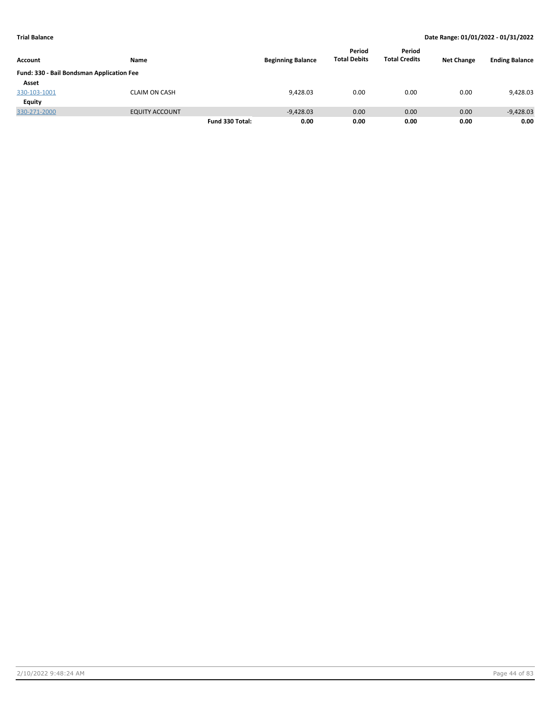|                                           |                       |                 |                          | Period              | Period               |                   |                       |
|-------------------------------------------|-----------------------|-----------------|--------------------------|---------------------|----------------------|-------------------|-----------------------|
| Account                                   | Name                  |                 | <b>Beginning Balance</b> | <b>Total Debits</b> | <b>Total Credits</b> | <b>Net Change</b> | <b>Ending Balance</b> |
| Fund: 330 - Bail Bondsman Application Fee |                       |                 |                          |                     |                      |                   |                       |
| Asset                                     |                       |                 |                          |                     |                      |                   |                       |
| 330-103-1001                              | <b>CLAIM ON CASH</b>  |                 | 9,428.03                 | 0.00                | 0.00                 | 0.00              | 9,428.03              |
| Equity                                    |                       |                 |                          |                     |                      |                   |                       |
| 330-271-2000                              | <b>EQUITY ACCOUNT</b> |                 | $-9,428.03$              | 0.00                | 0.00                 | 0.00              | $-9,428.03$           |
|                                           |                       | Fund 330 Total: | 0.00                     | 0.00                | 0.00                 | 0.00              | 0.00                  |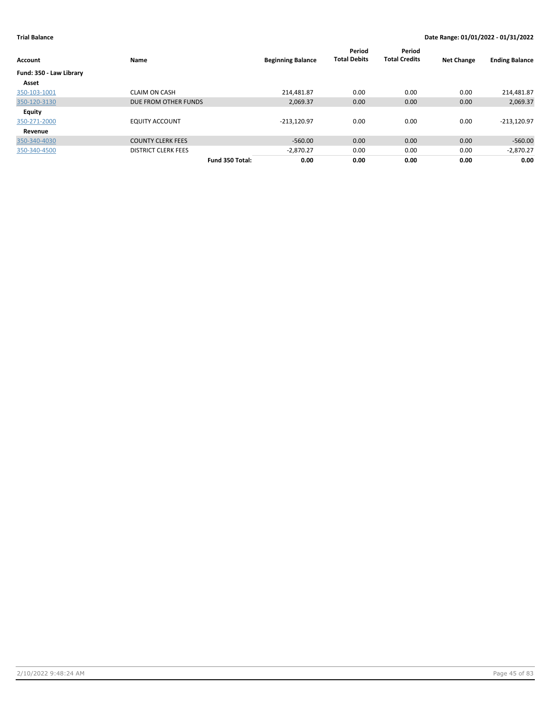| Account                 | Name                       | <b>Beginning Balance</b> | Period<br><b>Total Debits</b> | Period<br><b>Total Credits</b> | <b>Net Change</b> | <b>Ending Balance</b> |
|-------------------------|----------------------------|--------------------------|-------------------------------|--------------------------------|-------------------|-----------------------|
| Fund: 350 - Law Library |                            |                          |                               |                                |                   |                       |
| Asset                   |                            |                          |                               |                                |                   |                       |
| 350-103-1001            | <b>CLAIM ON CASH</b>       | 214.481.87               | 0.00                          | 0.00                           | 0.00              | 214,481.87            |
| 350-120-3130            | DUE FROM OTHER FUNDS       | 2,069.37                 | 0.00                          | 0.00                           | 0.00              | 2,069.37              |
| Equity                  |                            |                          |                               |                                |                   |                       |
| 350-271-2000            | <b>EQUITY ACCOUNT</b>      | $-213,120.97$            | 0.00                          | 0.00                           | 0.00              | $-213,120.97$         |
| Revenue                 |                            |                          |                               |                                |                   |                       |
| 350-340-4030            | <b>COUNTY CLERK FEES</b>   | $-560.00$                | 0.00                          | 0.00                           | 0.00              | $-560.00$             |
| 350-340-4500            | <b>DISTRICT CLERK FEES</b> | $-2,870.27$              | 0.00                          | 0.00                           | 0.00              | $-2,870.27$           |
|                         | Fund 350 Total:            | 0.00                     | 0.00                          | 0.00                           | 0.00              | 0.00                  |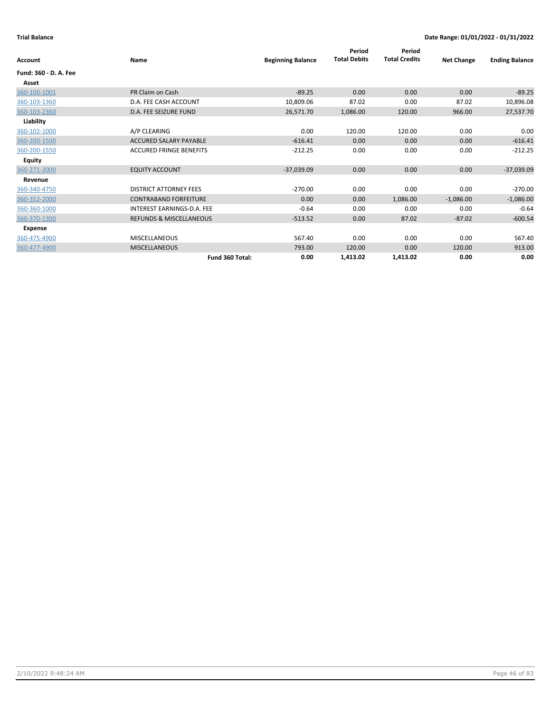| Account               | Name                               | <b>Beginning Balance</b> | Period<br><b>Total Debits</b> | Period<br><b>Total Credits</b> | <b>Net Change</b> | <b>Ending Balance</b> |
|-----------------------|------------------------------------|--------------------------|-------------------------------|--------------------------------|-------------------|-----------------------|
| Fund: 360 - D. A. Fee |                                    |                          |                               |                                |                   |                       |
| Asset                 |                                    |                          |                               |                                |                   |                       |
| 360-100-1001          | PR Claim on Cash                   | $-89.25$                 | 0.00                          | 0.00                           | 0.00              | $-89.25$              |
| 360-103-1360          | D.A. FEE CASH ACCOUNT              | 10,809.06                | 87.02                         | 0.00                           | 87.02             | 10,896.08             |
| 360-103-2360          | D.A. FEE SEIZURE FUND              | 26,571.70                | 1,086.00                      | 120.00                         | 966.00            | 27,537.70             |
| Liability             |                                    |                          |                               |                                |                   |                       |
| 360-102-1000          | A/P CLEARING                       | 0.00                     | 120.00                        | 120.00                         | 0.00              | 0.00                  |
| 360-200-1500          | <b>ACCURED SALARY PAYABLE</b>      | $-616.41$                | 0.00                          | 0.00                           | 0.00              | $-616.41$             |
| 360-200-1550          | <b>ACCURED FRINGE BENEFITS</b>     | $-212.25$                | 0.00                          | 0.00                           | 0.00              | $-212.25$             |
| <b>Equity</b>         |                                    |                          |                               |                                |                   |                       |
| 360-271-2000          | <b>EQUITY ACCOUNT</b>              | $-37,039.09$             | 0.00                          | 0.00                           | 0.00              | $-37,039.09$          |
| Revenue               |                                    |                          |                               |                                |                   |                       |
| 360-340-4750          | <b>DISTRICT ATTORNEY FEES</b>      | $-270.00$                | 0.00                          | 0.00                           | 0.00              | $-270.00$             |
| 360-352-2000          | <b>CONTRABAND FORFEITURE</b>       | 0.00                     | 0.00                          | 1,086.00                       | $-1,086.00$       | $-1,086.00$           |
| 360-360-1000          | INTEREST EARNINGS-D.A. FEE         | $-0.64$                  | 0.00                          | 0.00                           | 0.00              | $-0.64$               |
| 360-370-1300          | <b>REFUNDS &amp; MISCELLANEOUS</b> | $-513.52$                | 0.00                          | 87.02                          | $-87.02$          | $-600.54$             |
| Expense               |                                    |                          |                               |                                |                   |                       |
| 360-475-4900          | <b>MISCELLANEOUS</b>               | 567.40                   | 0.00                          | 0.00                           | 0.00              | 567.40                |
| 360-477-4900          | <b>MISCELLANEOUS</b>               | 793.00                   | 120.00                        | 0.00                           | 120.00            | 913.00                |
|                       | Fund 360 Total:                    | 0.00                     | 1,413.02                      | 1,413.02                       | 0.00              | 0.00                  |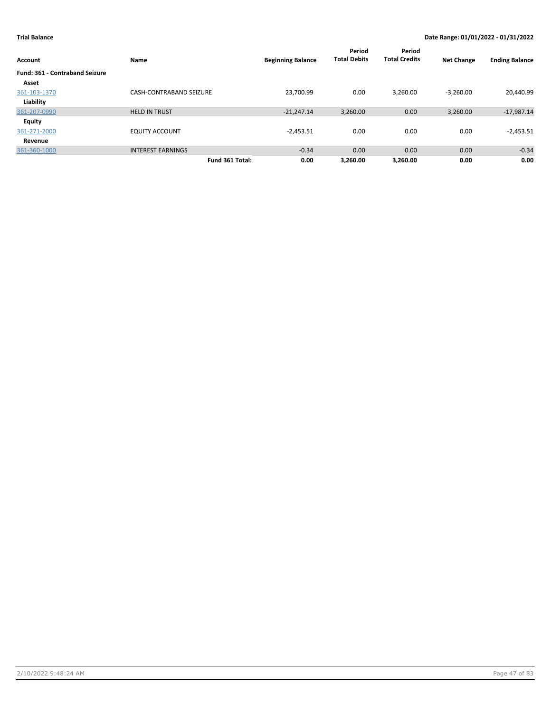| Account                               | Name                           | <b>Beginning Balance</b> | Period<br><b>Total Debits</b> | Period<br><b>Total Credits</b> | <b>Net Change</b> | <b>Ending Balance</b> |
|---------------------------------------|--------------------------------|--------------------------|-------------------------------|--------------------------------|-------------------|-----------------------|
| <b>Fund: 361 - Contraband Seizure</b> |                                |                          |                               |                                |                   |                       |
| Asset                                 |                                |                          |                               |                                |                   |                       |
| 361-103-1370                          | <b>CASH-CONTRABAND SEIZURE</b> | 23,700.99                | 0.00                          | 3,260.00                       | $-3,260.00$       | 20,440.99             |
| Liability                             |                                |                          |                               |                                |                   |                       |
| 361-207-0990                          | <b>HELD IN TRUST</b>           | $-21.247.14$             | 3,260.00                      | 0.00                           | 3,260.00          | $-17,987.14$          |
| Equity                                |                                |                          |                               |                                |                   |                       |
| 361-271-2000                          | <b>EQUITY ACCOUNT</b>          | $-2,453.51$              | 0.00                          | 0.00                           | 0.00              | $-2,453.51$           |
| Revenue                               |                                |                          |                               |                                |                   |                       |
| 361-360-1000                          | <b>INTEREST EARNINGS</b>       | $-0.34$                  | 0.00                          | 0.00                           | 0.00              | $-0.34$               |
|                                       | Fund 361 Total:                | 0.00                     | 3.260.00                      | 3.260.00                       | 0.00              | 0.00                  |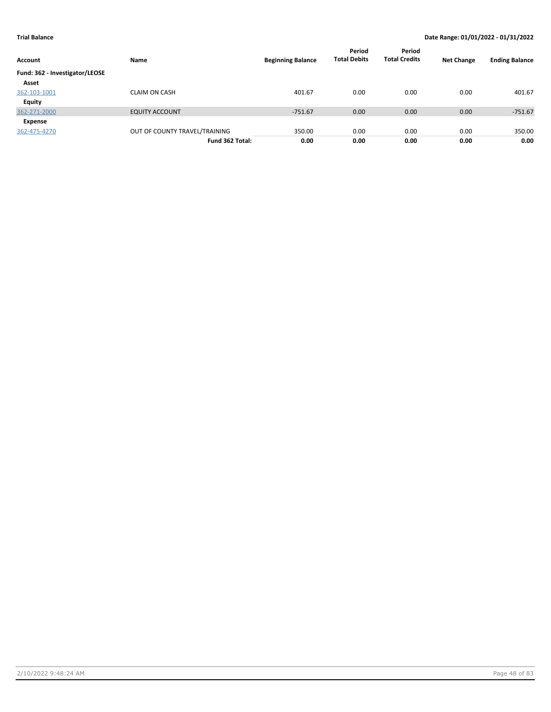| Account                        | Name                          | <b>Beginning Balance</b> | Period<br><b>Total Debits</b> | Period<br><b>Total Credits</b> | <b>Net Change</b> | <b>Ending Balance</b> |
|--------------------------------|-------------------------------|--------------------------|-------------------------------|--------------------------------|-------------------|-----------------------|
| Fund: 362 - Investigator/LEOSE |                               |                          |                               |                                |                   |                       |
| Asset                          |                               |                          |                               |                                |                   |                       |
| 362-103-1001                   | <b>CLAIM ON CASH</b>          | 401.67                   | 0.00                          | 0.00                           | 0.00              | 401.67                |
| Equity                         |                               |                          |                               |                                |                   |                       |
| 362-271-2000                   | <b>EQUITY ACCOUNT</b>         | $-751.67$                | 0.00                          | 0.00                           | 0.00              | $-751.67$             |
| Expense                        |                               |                          |                               |                                |                   |                       |
| 362-475-4270                   | OUT OF COUNTY TRAVEL/TRAINING | 350.00                   | 0.00                          | 0.00                           | 0.00              | 350.00                |
|                                | Fund 362 Total:               | 0.00                     | 0.00                          | 0.00                           | 0.00              | 0.00                  |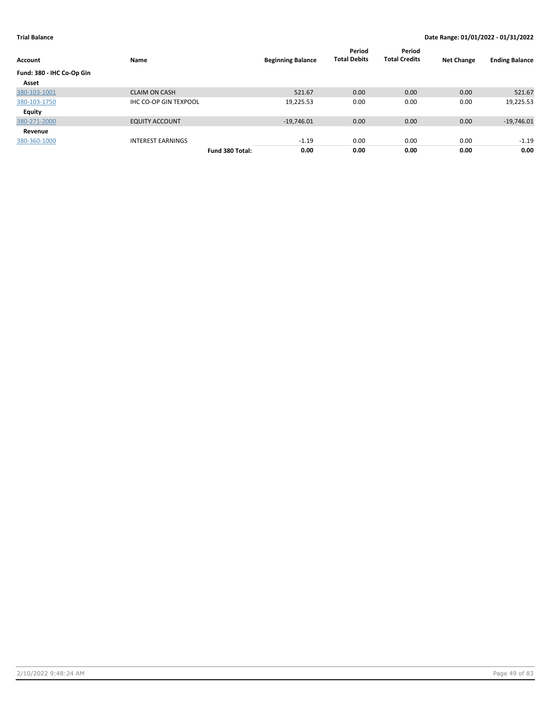| Account                   | Name                         |                 | <b>Beginning Balance</b> | Period<br><b>Total Debits</b> | Period<br><b>Total Credits</b> | <b>Net Change</b> | <b>Ending Balance</b> |
|---------------------------|------------------------------|-----------------|--------------------------|-------------------------------|--------------------------------|-------------------|-----------------------|
| Fund: 380 - IHC Co-Op Gin |                              |                 |                          |                               |                                |                   |                       |
| Asset                     |                              |                 |                          |                               |                                |                   |                       |
| 380-103-1001              | <b>CLAIM ON CASH</b>         |                 | 521.67                   | 0.00                          | 0.00                           | 0.00              | 521.67                |
| 380-103-1750              | <b>IHC CO-OP GIN TEXPOOL</b> |                 | 19,225.53                | 0.00                          | 0.00                           | 0.00              | 19,225.53             |
| Equity                    |                              |                 |                          |                               |                                |                   |                       |
| 380-271-2000              | <b>EQUITY ACCOUNT</b>        |                 | $-19,746.01$             | 0.00                          | 0.00                           | 0.00              | $-19,746.01$          |
| Revenue                   |                              |                 |                          |                               |                                |                   |                       |
| 380-360-1000              | <b>INTEREST EARNINGS</b>     |                 | $-1.19$                  | 0.00                          | 0.00                           | 0.00              | $-1.19$               |
|                           |                              | Fund 380 Total: | 0.00                     | 0.00                          | 0.00                           | 0.00              | 0.00                  |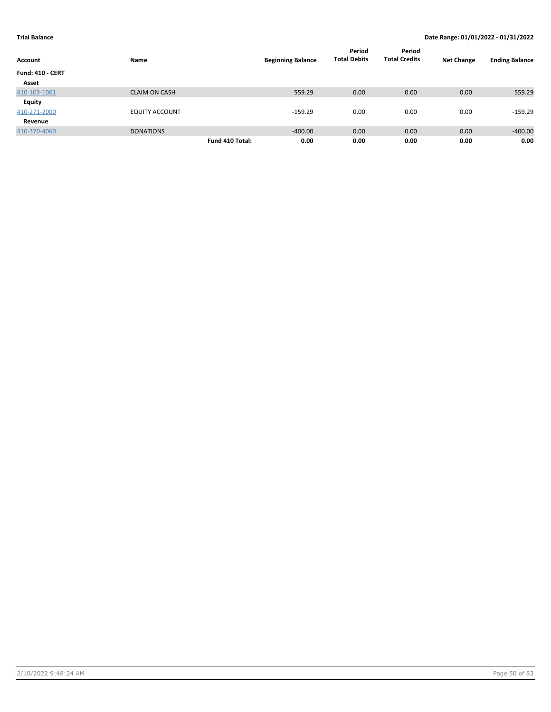|                         |                       |                 |                          | Period              | Period               |                   |                       |
|-------------------------|-----------------------|-----------------|--------------------------|---------------------|----------------------|-------------------|-----------------------|
| Account                 | Name                  |                 | <b>Beginning Balance</b> | <b>Total Debits</b> | <b>Total Credits</b> | <b>Net Change</b> | <b>Ending Balance</b> |
| <b>Fund: 410 - CERT</b> |                       |                 |                          |                     |                      |                   |                       |
| Asset                   |                       |                 |                          |                     |                      |                   |                       |
| 410-103-1001            | <b>CLAIM ON CASH</b>  |                 | 559.29                   | 0.00                | 0.00                 | 0.00              | 559.29                |
| <b>Equity</b>           |                       |                 |                          |                     |                      |                   |                       |
| 410-271-2000            | <b>EQUITY ACCOUNT</b> |                 | $-159.29$                | 0.00                | 0.00                 | 0.00              | $-159.29$             |
| Revenue                 |                       |                 |                          |                     |                      |                   |                       |
| 410-370-4060            | <b>DONATIONS</b>      |                 | $-400.00$                | 0.00                | 0.00                 | 0.00              | $-400.00$             |
|                         |                       | Fund 410 Total: | 0.00                     | 0.00                | 0.00                 | 0.00              | 0.00                  |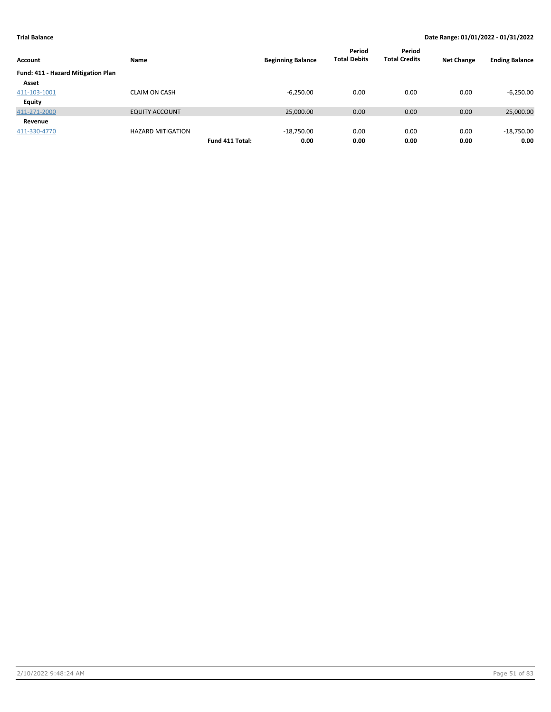| Account                            | Name                     |                 | <b>Beginning Balance</b> | Period<br><b>Total Debits</b> | Period<br><b>Total Credits</b> | <b>Net Change</b> | <b>Ending Balance</b> |
|------------------------------------|--------------------------|-----------------|--------------------------|-------------------------------|--------------------------------|-------------------|-----------------------|
| Fund: 411 - Hazard Mitigation Plan |                          |                 |                          |                               |                                |                   |                       |
| Asset                              |                          |                 |                          |                               |                                |                   |                       |
| 411-103-1001                       | <b>CLAIM ON CASH</b>     |                 | $-6,250.00$              | 0.00                          | 0.00                           | 0.00              | $-6,250.00$           |
| Equity                             |                          |                 |                          |                               |                                |                   |                       |
| 411-271-2000                       | <b>EQUITY ACCOUNT</b>    |                 | 25,000.00                | 0.00                          | 0.00                           | 0.00              | 25,000.00             |
| Revenue                            |                          |                 |                          |                               |                                |                   |                       |
| 411-330-4770                       | <b>HAZARD MITIGATION</b> |                 | $-18,750.00$             | 0.00                          | 0.00                           | 0.00              | $-18,750.00$          |
|                                    |                          | Fund 411 Total: | 0.00                     | 0.00                          | 0.00                           | 0.00              | 0.00                  |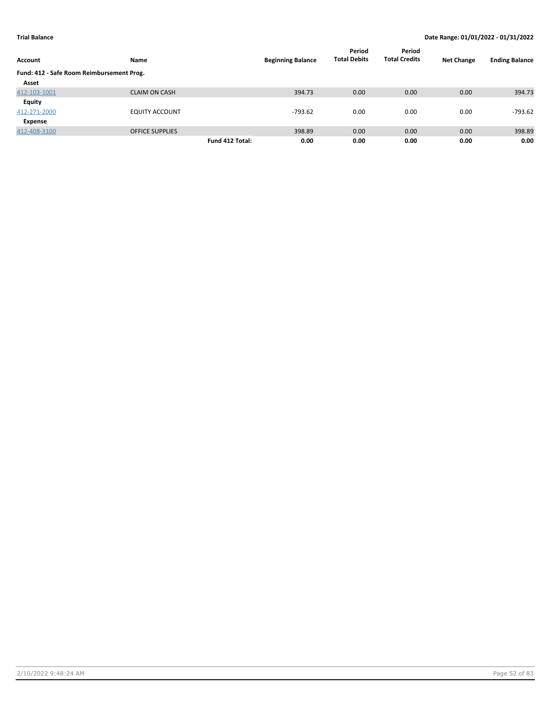| Account                                   | Name                   |                 | <b>Beginning Balance</b> | Period<br><b>Total Debits</b> | Period<br><b>Total Credits</b> | <b>Net Change</b> | <b>Ending Balance</b> |
|-------------------------------------------|------------------------|-----------------|--------------------------|-------------------------------|--------------------------------|-------------------|-----------------------|
| Fund: 412 - Safe Room Reimbursement Prog. |                        |                 |                          |                               |                                |                   |                       |
| Asset                                     |                        |                 |                          |                               |                                |                   |                       |
| 412-103-1001                              | <b>CLAIM ON CASH</b>   |                 | 394.73                   | 0.00                          | 0.00                           | 0.00              | 394.73                |
| Equity                                    |                        |                 |                          |                               |                                |                   |                       |
| 412-271-2000                              | <b>EQUITY ACCOUNT</b>  |                 | -793.62                  | 0.00                          | 0.00                           | 0.00              | -793.62               |
| Expense                                   |                        |                 |                          |                               |                                |                   |                       |
| 412-408-3100                              | <b>OFFICE SUPPLIES</b> |                 | 398.89                   | 0.00                          | 0.00                           | 0.00              | 398.89                |
|                                           |                        | Fund 412 Total: | 0.00                     | 0.00                          | 0.00                           | 0.00              | 0.00                  |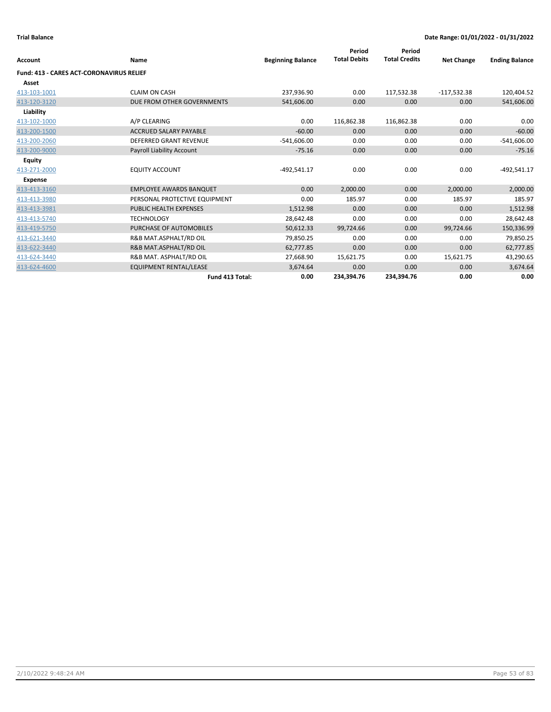|                                                 |                                |                          | Period              | Period               |                   |                       |
|-------------------------------------------------|--------------------------------|--------------------------|---------------------|----------------------|-------------------|-----------------------|
| <b>Account</b>                                  | Name                           | <b>Beginning Balance</b> | <b>Total Debits</b> | <b>Total Credits</b> | <b>Net Change</b> | <b>Ending Balance</b> |
| <b>Fund: 413 - CARES ACT-CORONAVIRUS RELIEF</b> |                                |                          |                     |                      |                   |                       |
| Asset                                           |                                |                          |                     |                      |                   |                       |
| 413-103-1001                                    | <b>CLAIM ON CASH</b>           | 237,936.90               | 0.00                | 117,532.38           | $-117,532.38$     | 120,404.52            |
| 413-120-3120                                    | DUE FROM OTHER GOVERNMENTS     | 541,606.00               | 0.00                | 0.00                 | 0.00              | 541,606.00            |
| Liability                                       |                                |                          |                     |                      |                   |                       |
| 413-102-1000                                    | A/P CLEARING                   | 0.00                     | 116,862.38          | 116,862.38           | 0.00              | 0.00                  |
| 413-200-1500                                    | <b>ACCRUED SALARY PAYABLE</b>  | $-60.00$                 | 0.00                | 0.00                 | 0.00              | $-60.00$              |
| 413-200-2060                                    | <b>DEFERRED GRANT REVENUE</b>  | $-541,606.00$            | 0.00                | 0.00                 | 0.00              | $-541,606.00$         |
| 413-200-9000                                    | Payroll Liability Account      | $-75.16$                 | 0.00                | 0.00                 | 0.00              | $-75.16$              |
| <b>Equity</b>                                   |                                |                          |                     |                      |                   |                       |
| 413-271-2000                                    | <b>EQUITY ACCOUNT</b>          | $-492,541.17$            | 0.00                | 0.00                 | 0.00              | $-492,541.17$         |
| <b>Expense</b>                                  |                                |                          |                     |                      |                   |                       |
| 413-413-3160                                    | <b>EMPLOYEE AWARDS BANQUET</b> | 0.00                     | 2,000.00            | 0.00                 | 2,000.00          | 2,000.00              |
| 413-413-3980                                    | PERSONAL PROTECTIVE EQUIPMENT  | 0.00                     | 185.97              | 0.00                 | 185.97            | 185.97                |
| 413-413-3981                                    | <b>PUBLIC HEALTH EXPENSES</b>  | 1,512.98                 | 0.00                | 0.00                 | 0.00              | 1,512.98              |
| 413-413-5740                                    | <b>TECHNOLOGY</b>              | 28,642.48                | 0.00                | 0.00                 | 0.00              | 28,642.48             |
| 413-419-5750                                    | PURCHASE OF AUTOMOBILES        | 50,612.33                | 99,724.66           | 0.00                 | 99,724.66         | 150,336.99            |
| 413-621-3440                                    | R&B MAT.ASPHALT/RD OIL         | 79,850.25                | 0.00                | 0.00                 | 0.00              | 79,850.25             |
| 413-622-3440                                    | R&B MAT.ASPHALT/RD OIL         | 62,777.85                | 0.00                | 0.00                 | 0.00              | 62,777.85             |
| 413-624-3440                                    | R&B MAT. ASPHALT/RD OIL        | 27,668.90                | 15,621.75           | 0.00                 | 15,621.75         | 43,290.65             |
| 413-624-4600                                    | <b>EQUIPMENT RENTAL/LEASE</b>  | 3,674.64                 | 0.00                | 0.00                 | 0.00              | 3,674.64              |
|                                                 | Fund 413 Total:                | 0.00                     | 234.394.76          | 234,394.76           | 0.00              | 0.00                  |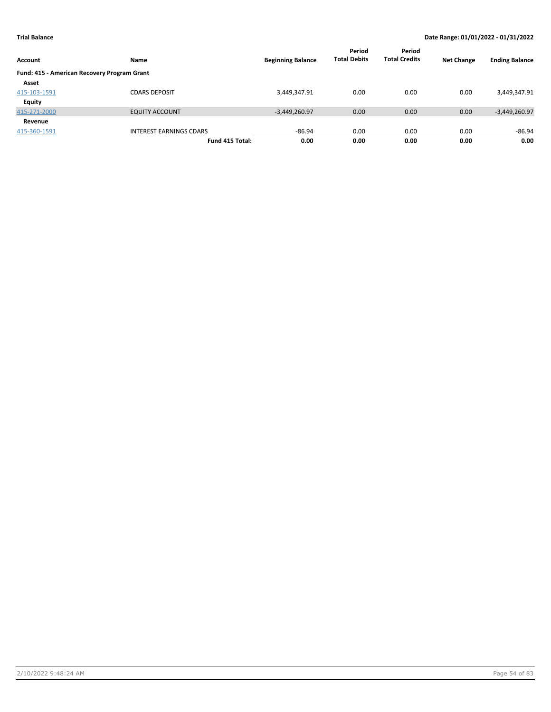| Account                                     | <b>Name</b>                    | <b>Beginning Balance</b> | Period<br><b>Total Debits</b> | Period<br><b>Total Credits</b> | <b>Net Change</b> | <b>Ending Balance</b> |
|---------------------------------------------|--------------------------------|--------------------------|-------------------------------|--------------------------------|-------------------|-----------------------|
| Fund: 415 - American Recovery Program Grant |                                |                          |                               |                                |                   |                       |
| Asset                                       |                                |                          |                               |                                |                   |                       |
| 415-103-1591                                | <b>CDARS DEPOSIT</b>           | 3,449,347.91             | 0.00                          | 0.00                           | 0.00              | 3,449,347.91          |
| <b>Equity</b>                               |                                |                          |                               |                                |                   |                       |
| 415-271-2000                                | <b>EQUITY ACCOUNT</b>          | $-3,449,260.97$          | 0.00                          | 0.00                           | 0.00              | $-3,449,260.97$       |
| Revenue                                     |                                |                          |                               |                                |                   |                       |
| 415-360-1591                                | <b>INTEREST EARNINGS CDARS</b> | $-86.94$                 | 0.00                          | 0.00                           | 0.00              | $-86.94$              |
|                                             | Fund 415 Total:                | 0.00                     | 0.00                          | 0.00                           | 0.00              | 0.00                  |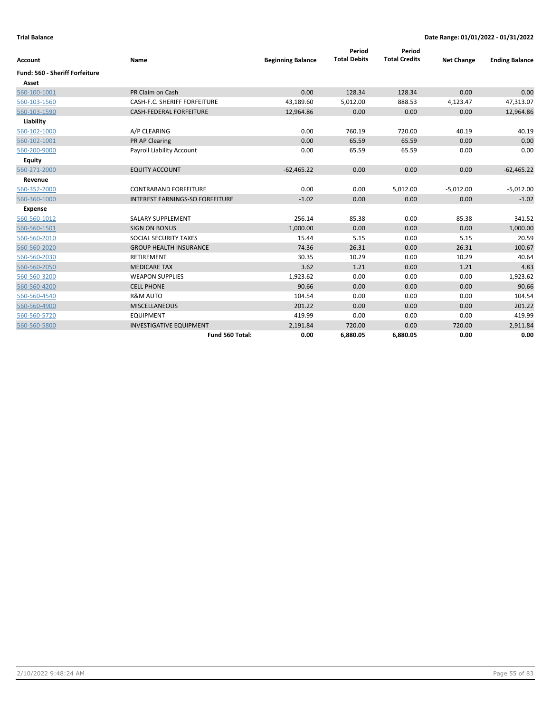| Account                               | Name                                   | <b>Beginning Balance</b> | Period<br><b>Total Debits</b> | Period<br><b>Total Credits</b> | <b>Net Change</b> | <b>Ending Balance</b> |
|---------------------------------------|----------------------------------------|--------------------------|-------------------------------|--------------------------------|-------------------|-----------------------|
| <b>Fund: 560 - Sheriff Forfeiture</b> |                                        |                          |                               |                                |                   |                       |
| Asset                                 |                                        |                          |                               |                                |                   |                       |
| 560-100-1001                          | PR Claim on Cash                       | 0.00                     | 128.34                        | 128.34                         | 0.00              | 0.00                  |
| 560-103-1560                          | <b>CASH-F.C. SHERIFF FORFEITURE</b>    | 43,189.60                | 5,012.00                      | 888.53                         | 4,123.47          | 47,313.07             |
| 560-103-1590                          | <b>CASH-FEDERAL FORFEITURE</b>         | 12,964.86                | 0.00                          | 0.00                           | 0.00              | 12,964.86             |
| Liability                             |                                        |                          |                               |                                |                   |                       |
| 560-102-1000                          | A/P CLEARING                           | 0.00                     | 760.19                        | 720.00                         | 40.19             | 40.19                 |
| 560-102-1001                          | PR AP Clearing                         | 0.00                     | 65.59                         | 65.59                          | 0.00              | 0.00                  |
| 560-200-9000                          | Payroll Liability Account              | 0.00                     | 65.59                         | 65.59                          | 0.00              | 0.00                  |
| <b>Equity</b>                         |                                        |                          |                               |                                |                   |                       |
| 560-271-2000                          | <b>EQUITY ACCOUNT</b>                  | $-62,465.22$             | 0.00                          | 0.00                           | 0.00              | $-62,465.22$          |
| Revenue                               |                                        |                          |                               |                                |                   |                       |
| 560-352-2000                          | <b>CONTRABAND FORFEITURE</b>           | 0.00                     | 0.00                          | 5,012.00                       | $-5,012.00$       | $-5,012.00$           |
| 560-360-1000                          | <b>INTEREST EARNINGS-SO FORFEITURE</b> | $-1.02$                  | 0.00                          | 0.00                           | 0.00              | $-1.02$               |
| <b>Expense</b>                        |                                        |                          |                               |                                |                   |                       |
| 560-560-1012                          | <b>SALARY SUPPLEMENT</b>               | 256.14                   | 85.38                         | 0.00                           | 85.38             | 341.52                |
| 560-560-1501                          | <b>SIGN ON BONUS</b>                   | 1,000.00                 | 0.00                          | 0.00                           | 0.00              | 1,000.00              |
| 560-560-2010                          | SOCIAL SECURITY TAXES                  | 15.44                    | 5.15                          | 0.00                           | 5.15              | 20.59                 |
| 560-560-2020                          | <b>GROUP HEALTH INSURANCE</b>          | 74.36                    | 26.31                         | 0.00                           | 26.31             | 100.67                |
| 560-560-2030                          | <b>RETIREMENT</b>                      | 30.35                    | 10.29                         | 0.00                           | 10.29             | 40.64                 |
| 560-560-2050                          | <b>MEDICARE TAX</b>                    | 3.62                     | 1.21                          | 0.00                           | 1.21              | 4.83                  |
| 560-560-3200                          | <b>WEAPON SUPPLIES</b>                 | 1,923.62                 | 0.00                          | 0.00                           | 0.00              | 1,923.62              |
| 560-560-4200                          | <b>CELL PHONE</b>                      | 90.66                    | 0.00                          | 0.00                           | 0.00              | 90.66                 |
| 560-560-4540                          | <b>R&amp;M AUTO</b>                    | 104.54                   | 0.00                          | 0.00                           | 0.00              | 104.54                |
| 560-560-4900                          | <b>MISCELLANEOUS</b>                   | 201.22                   | 0.00                          | 0.00                           | 0.00              | 201.22                |
| 560-560-5720                          | <b>EQUIPMENT</b>                       | 419.99                   | 0.00                          | 0.00                           | 0.00              | 419.99                |
| 560-560-5800                          | <b>INVESTIGATIVE EQUIPMENT</b>         | 2,191.84                 | 720.00                        | 0.00                           | 720.00            | 2,911.84              |
|                                       | Fund 560 Total:                        | 0.00                     | 6,880.05                      | 6,880.05                       | 0.00              | 0.00                  |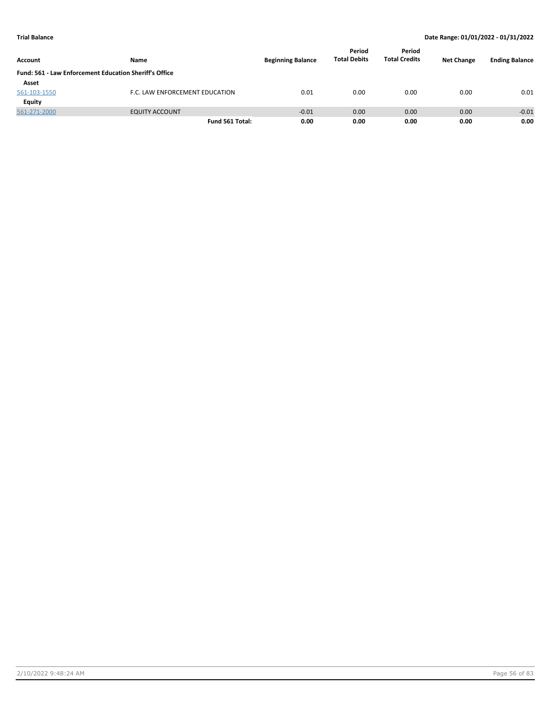| Account                                                | Name                           | <b>Beginning Balance</b> | Period<br><b>Total Debits</b> | Period<br><b>Total Credits</b> | <b>Net Change</b> | <b>Ending Balance</b> |
|--------------------------------------------------------|--------------------------------|--------------------------|-------------------------------|--------------------------------|-------------------|-----------------------|
| Fund: 561 - Law Enforcement Education Sheriff's Office |                                |                          |                               |                                |                   |                       |
| Asset                                                  |                                |                          |                               |                                |                   |                       |
| 561-103-1550                                           | F.C. LAW ENFORCEMENT EDUCATION | 0.01                     | 0.00                          | 0.00                           | 0.00              | 0.01                  |
| Equity                                                 |                                |                          |                               |                                |                   |                       |
| 561-271-2000                                           | <b>EQUITY ACCOUNT</b>          | $-0.01$                  | 0.00                          | 0.00                           | 0.00              | $-0.01$               |
|                                                        | Fund 561 Total:                | 0.00                     | 0.00                          | 0.00                           | 0.00              | 0.00                  |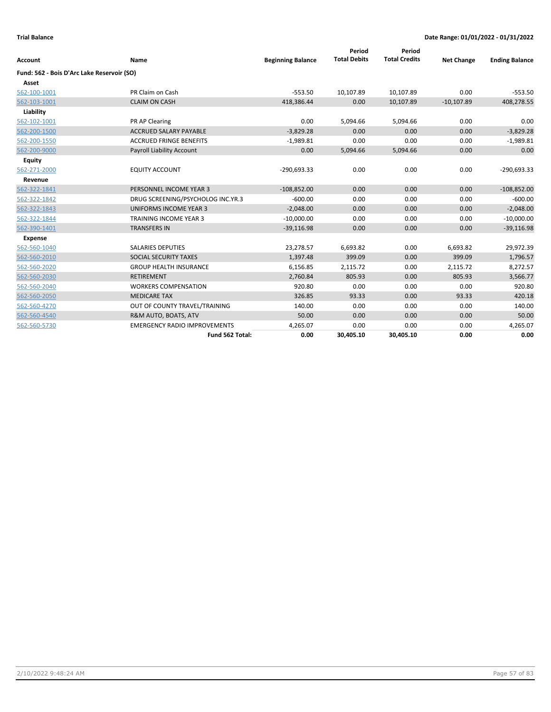|                                            |                                     |                          | Period<br><b>Total Debits</b> | Period<br><b>Total Credits</b> |                   |                       |
|--------------------------------------------|-------------------------------------|--------------------------|-------------------------------|--------------------------------|-------------------|-----------------------|
| <b>Account</b>                             | Name                                | <b>Beginning Balance</b> |                               |                                | <b>Net Change</b> | <b>Ending Balance</b> |
| Fund: 562 - Bois D'Arc Lake Reservoir (SO) |                                     |                          |                               |                                |                   |                       |
| Asset                                      |                                     |                          |                               |                                |                   |                       |
| 562-100-1001                               | PR Claim on Cash                    | $-553.50$                | 10,107.89                     | 10,107.89                      | 0.00              | $-553.50$             |
| 562-103-1001                               | <b>CLAIM ON CASH</b>                | 418,386.44               | 0.00                          | 10,107.89                      | $-10,107.89$      | 408,278.55            |
| Liability                                  |                                     |                          |                               |                                |                   |                       |
| 562-102-1001                               | PR AP Clearing                      | 0.00                     | 5,094.66                      | 5,094.66                       | 0.00              | 0.00                  |
| 562-200-1500                               | <b>ACCRUED SALARY PAYABLE</b>       | $-3,829.28$              | 0.00                          | 0.00                           | 0.00              | $-3,829.28$           |
| 562-200-1550                               | <b>ACCRUED FRINGE BENEFITS</b>      | $-1,989.81$              | 0.00                          | 0.00                           | 0.00              | $-1,989.81$           |
| 562-200-9000                               | Payroll Liability Account           | 0.00                     | 5,094.66                      | 5,094.66                       | 0.00              | 0.00                  |
| <b>Equity</b>                              |                                     |                          |                               |                                |                   |                       |
| 562-271-2000                               | <b>EQUITY ACCOUNT</b>               | $-290,693.33$            | 0.00                          | 0.00                           | 0.00              | $-290,693.33$         |
| Revenue                                    |                                     |                          |                               |                                |                   |                       |
| 562-322-1841                               | PERSONNEL INCOME YEAR 3             | $-108,852.00$            | 0.00                          | 0.00                           | 0.00              | $-108,852.00$         |
| 562-322-1842                               | DRUG SCREENING/PSYCHOLOG INC.YR.3   | $-600.00$                | 0.00                          | 0.00                           | 0.00              | $-600.00$             |
| 562-322-1843                               | <b>UNIFORMS INCOME YEAR 3</b>       | $-2,048.00$              | 0.00                          | 0.00                           | 0.00              | $-2,048.00$           |
| 562-322-1844                               | <b>TRAINING INCOME YEAR 3</b>       | $-10,000.00$             | 0.00                          | 0.00                           | 0.00              | $-10,000.00$          |
| 562-390-1401                               | <b>TRANSFERS IN</b>                 | $-39,116.98$             | 0.00                          | 0.00                           | 0.00              | $-39,116.98$          |
| <b>Expense</b>                             |                                     |                          |                               |                                |                   |                       |
| 562-560-1040                               | <b>SALARIES DEPUTIES</b>            | 23,278.57                | 6,693.82                      | 0.00                           | 6,693.82          | 29,972.39             |
| 562-560-2010                               | SOCIAL SECURITY TAXES               | 1,397.48                 | 399.09                        | 0.00                           | 399.09            | 1,796.57              |
| 562-560-2020                               | <b>GROUP HEALTH INSURANCE</b>       | 6,156.85                 | 2,115.72                      | 0.00                           | 2,115.72          | 8,272.57              |
| 562-560-2030                               | <b>RETIREMENT</b>                   | 2,760.84                 | 805.93                        | 0.00                           | 805.93            | 3,566.77              |
| 562-560-2040                               | <b>WORKERS COMPENSATION</b>         | 920.80                   | 0.00                          | 0.00                           | 0.00              | 920.80                |
| 562-560-2050                               | <b>MEDICARE TAX</b>                 | 326.85                   | 93.33                         | 0.00                           | 93.33             | 420.18                |
| 562-560-4270                               | OUT OF COUNTY TRAVEL/TRAINING       | 140.00                   | 0.00                          | 0.00                           | 0.00              | 140.00                |
| 562-560-4540                               | R&M AUTO, BOATS, ATV                | 50.00                    | 0.00                          | 0.00                           | 0.00              | 50.00                 |
| 562-560-5730                               | <b>EMERGENCY RADIO IMPROVEMENTS</b> | 4,265.07                 | 0.00                          | 0.00                           | 0.00              | 4,265.07              |
|                                            | Fund 562 Total:                     | 0.00                     | 30,405.10                     | 30,405.10                      | 0.00              | 0.00                  |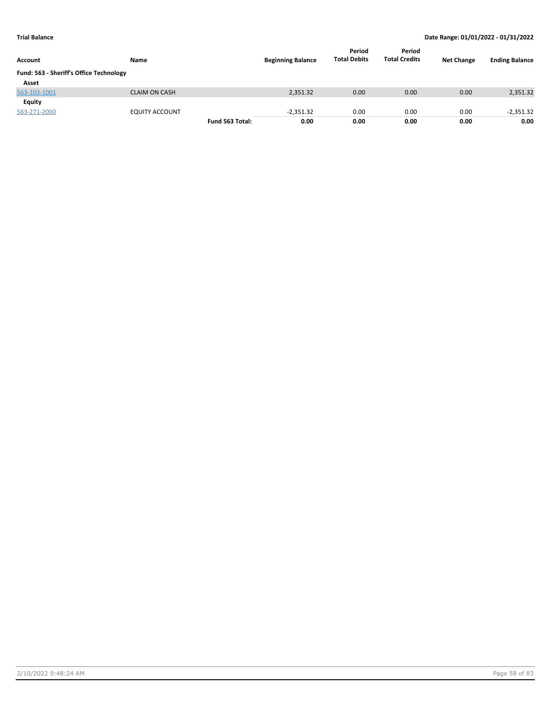| Account                                 | Name                  |                 | <b>Beginning Balance</b> | Period<br><b>Total Debits</b> | Period<br><b>Total Credits</b> | <b>Net Change</b> | <b>Ending Balance</b> |
|-----------------------------------------|-----------------------|-----------------|--------------------------|-------------------------------|--------------------------------|-------------------|-----------------------|
| Fund: 563 - Sheriff's Office Technology |                       |                 |                          |                               |                                |                   |                       |
| Asset                                   |                       |                 |                          |                               |                                |                   |                       |
| 563-103-1001                            | <b>CLAIM ON CASH</b>  |                 | 2,351.32                 | 0.00                          | 0.00                           | 0.00              | 2,351.32              |
| Equity                                  |                       |                 |                          |                               |                                |                   |                       |
| 563-271-2000                            | <b>EQUITY ACCOUNT</b> |                 | $-2,351.32$              | 0.00                          | 0.00                           | 0.00              | $-2,351.32$           |
|                                         |                       | Fund 563 Total: | 0.00                     | 0.00                          | 0.00                           | 0.00              | 0.00                  |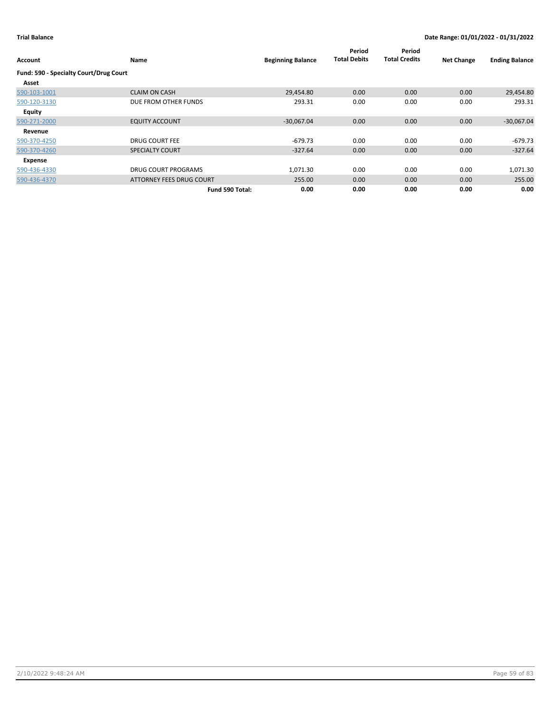| <b>Account</b>                         | Name                       | <b>Beginning Balance</b> | Period<br><b>Total Debits</b> | Period<br><b>Total Credits</b> | <b>Net Change</b> | <b>Ending Balance</b> |
|----------------------------------------|----------------------------|--------------------------|-------------------------------|--------------------------------|-------------------|-----------------------|
| Fund: 590 - Specialty Court/Drug Court |                            |                          |                               |                                |                   |                       |
| Asset                                  |                            |                          |                               |                                |                   |                       |
| 590-103-1001                           | <b>CLAIM ON CASH</b>       | 29,454.80                | 0.00                          | 0.00                           | 0.00              | 29,454.80             |
| 590-120-3130                           | DUE FROM OTHER FUNDS       | 293.31                   | 0.00                          | 0.00                           | 0.00              | 293.31                |
| Equity                                 |                            |                          |                               |                                |                   |                       |
| 590-271-2000                           | <b>EQUITY ACCOUNT</b>      | $-30,067.04$             | 0.00                          | 0.00                           | 0.00              | $-30,067.04$          |
| Revenue                                |                            |                          |                               |                                |                   |                       |
| 590-370-4250                           | <b>DRUG COURT FEE</b>      | $-679.73$                | 0.00                          | 0.00                           | 0.00              | $-679.73$             |
| 590-370-4260                           | <b>SPECIALTY COURT</b>     | $-327.64$                | 0.00                          | 0.00                           | 0.00              | $-327.64$             |
| Expense                                |                            |                          |                               |                                |                   |                       |
| 590-436-4330                           | <b>DRUG COURT PROGRAMS</b> | 1,071.30                 | 0.00                          | 0.00                           | 0.00              | 1,071.30              |
| 590-436-4370                           | ATTORNEY FEES DRUG COURT   | 255.00                   | 0.00                          | 0.00                           | 0.00              | 255.00                |
|                                        | Fund 590 Total:            | 0.00                     | 0.00                          | 0.00                           | 0.00              | 0.00                  |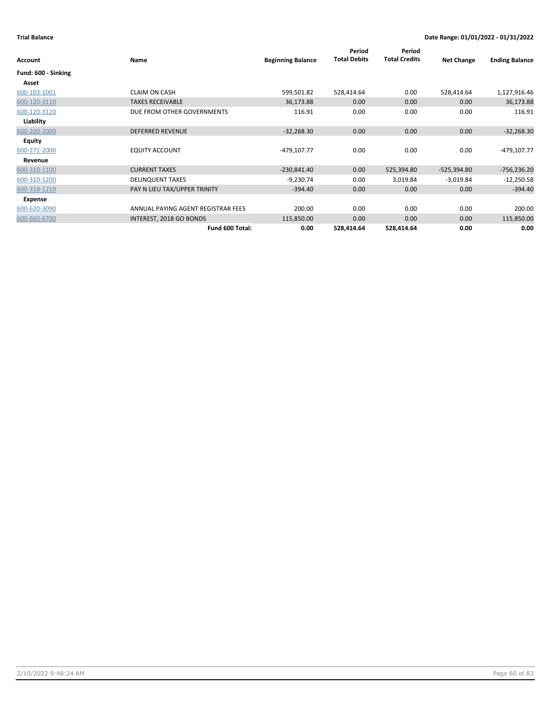|                     |                                    |                          | Period              | Period               |                   |                       |
|---------------------|------------------------------------|--------------------------|---------------------|----------------------|-------------------|-----------------------|
| Account             | Name                               | <b>Beginning Balance</b> | <b>Total Debits</b> | <b>Total Credits</b> | <b>Net Change</b> | <b>Ending Balance</b> |
| Fund: 600 - Sinking |                                    |                          |                     |                      |                   |                       |
| Asset               |                                    |                          |                     |                      |                   |                       |
| 600-103-1001        | <b>CLAIM ON CASH</b>               | 599,501.82               | 528,414.64          | 0.00                 | 528,414.64        | 1,127,916.46          |
| 600-120-3110        | <b>TAXES RECEIVABLE</b>            | 36,173.88                | 0.00                | 0.00                 | 0.00              | 36,173.88             |
| 600-120-3120        | DUE FROM OTHER GOVERNMENTS         | 116.91                   | 0.00                | 0.00                 | 0.00              | 116.91                |
| Liability           |                                    |                          |                     |                      |                   |                       |
| 600-200-2000        | <b>DEFERRED REVENUE</b>            | $-32,268.30$             | 0.00                | 0.00                 | 0.00              | $-32,268.30$          |
| <b>Equity</b>       |                                    |                          |                     |                      |                   |                       |
| 600-271-2000        | <b>EQUITY ACCOUNT</b>              | -479,107.77              | 0.00                | 0.00                 | 0.00              | -479,107.77           |
| Revenue             |                                    |                          |                     |                      |                   |                       |
| 600-310-1100        | <b>CURRENT TAXES</b>               | $-230,841.40$            | 0.00                | 525,394.80           | $-525,394.80$     | $-756,236.20$         |
| 600-310-1200        | <b>DELINQUENT TAXES</b>            | $-9,230.74$              | 0.00                | 3,019.84             | $-3,019.84$       | $-12,250.58$          |
| 600-318-1210        | PAY N LIEU TAX/UPPER TRINITY       | $-394.40$                | 0.00                | 0.00                 | 0.00              | $-394.40$             |
| Expense             |                                    |                          |                     |                      |                   |                       |
| 600-620-3090        | ANNUAL PAYING AGENT REGISTRAR FEES | 200.00                   | 0.00                | 0.00                 | 0.00              | 200.00                |
| 600-660-6700        | INTEREST, 2018 GO BONDS            | 115,850.00               | 0.00                | 0.00                 | 0.00              | 115,850.00            |
|                     | Fund 600 Total:                    | 0.00                     | 528,414.64          | 528,414.64           | 0.00              | 0.00                  |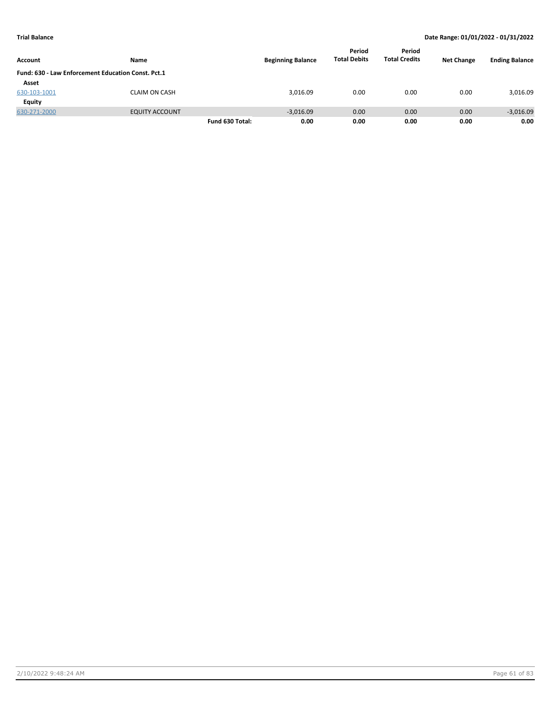| Account                                            | Name                  |                 | <b>Beginning Balance</b> | Period<br><b>Total Debits</b> | Period<br><b>Total Credits</b> | <b>Net Change</b> | <b>Ending Balance</b> |
|----------------------------------------------------|-----------------------|-----------------|--------------------------|-------------------------------|--------------------------------|-------------------|-----------------------|
|                                                    |                       |                 |                          |                               |                                |                   |                       |
| Fund: 630 - Law Enforcement Education Const. Pct.1 |                       |                 |                          |                               |                                |                   |                       |
| Asset                                              |                       |                 |                          |                               |                                |                   |                       |
| 630-103-1001                                       | <b>CLAIM ON CASH</b>  |                 | 3,016.09                 | 0.00                          | 0.00                           | 0.00              | 3,016.09              |
| Equity                                             |                       |                 |                          |                               |                                |                   |                       |
| 630-271-2000                                       | <b>EQUITY ACCOUNT</b> |                 | $-3,016.09$              | 0.00                          | 0.00                           | 0.00              | $-3,016.09$           |
|                                                    |                       | Fund 630 Total: | 0.00                     | 0.00                          | 0.00                           | 0.00              | 0.00                  |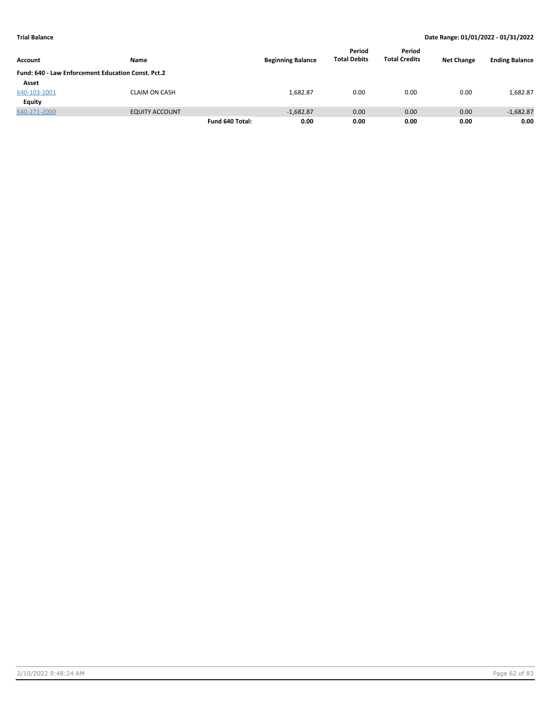|                                                    |                       |                 |                          | Period              | Period               |                   |                       |
|----------------------------------------------------|-----------------------|-----------------|--------------------------|---------------------|----------------------|-------------------|-----------------------|
| Account                                            | Name                  |                 | <b>Beginning Balance</b> | <b>Total Debits</b> | <b>Total Credits</b> | <b>Net Change</b> | <b>Ending Balance</b> |
| Fund: 640 - Law Enforcement Education Const. Pct.2 |                       |                 |                          |                     |                      |                   |                       |
| Asset                                              |                       |                 |                          |                     |                      |                   |                       |
| 640-103-1001                                       | <b>CLAIM ON CASH</b>  |                 | 1,682.87                 | 0.00                | 0.00                 | 0.00              | 1,682.87              |
| Equity                                             |                       |                 |                          |                     |                      |                   |                       |
| 640-271-2000                                       | <b>EQUITY ACCOUNT</b> |                 | $-1,682.87$              | 0.00                | 0.00                 | 0.00              | $-1,682.87$           |
|                                                    |                       | Fund 640 Total: | 0.00                     | 0.00                | 0.00                 | 0.00              | 0.00                  |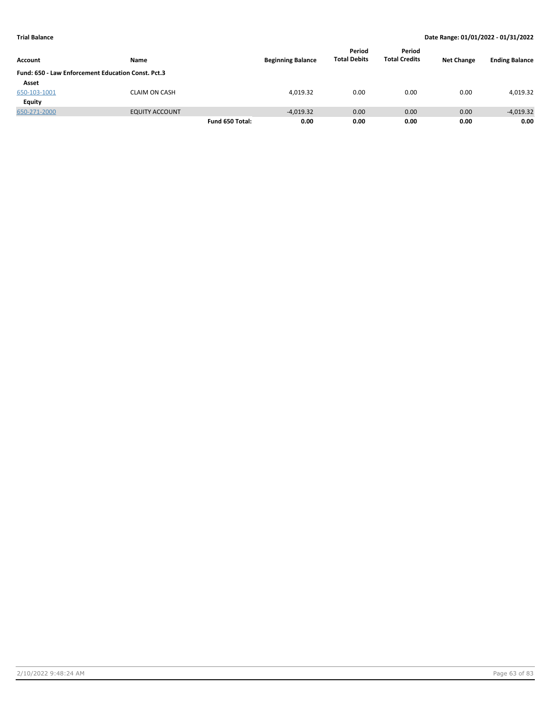|                                                    |                       |                 |                          | Period              | Period               |                   |                       |
|----------------------------------------------------|-----------------------|-----------------|--------------------------|---------------------|----------------------|-------------------|-----------------------|
| Account                                            | Name                  |                 | <b>Beginning Balance</b> | <b>Total Debits</b> | <b>Total Credits</b> | <b>Net Change</b> | <b>Ending Balance</b> |
| Fund: 650 - Law Enforcement Education Const. Pct.3 |                       |                 |                          |                     |                      |                   |                       |
| Asset                                              |                       |                 |                          |                     |                      |                   |                       |
| 650-103-1001                                       | <b>CLAIM ON CASH</b>  |                 | 4.019.32                 | 0.00                | 0.00                 | 0.00              | 4,019.32              |
| Equity                                             |                       |                 |                          |                     |                      |                   |                       |
| 650-271-2000                                       | <b>EQUITY ACCOUNT</b> |                 | $-4,019.32$              | 0.00                | 0.00                 | 0.00              | $-4,019.32$           |
|                                                    |                       | Fund 650 Total: | 0.00                     | 0.00                | 0.00                 | 0.00              | 0.00                  |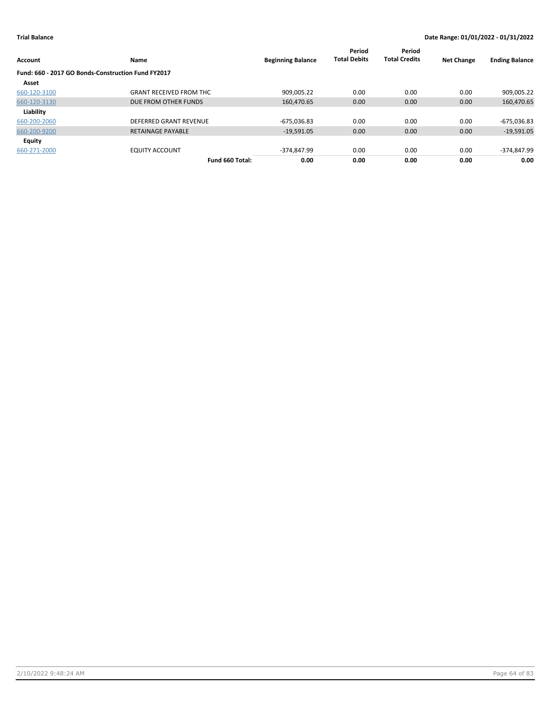| Account                                            | Name                           | <b>Beginning Balance</b> | Period<br><b>Total Debits</b> | Period<br><b>Total Credits</b> | <b>Net Change</b> | <b>Ending Balance</b> |
|----------------------------------------------------|--------------------------------|--------------------------|-------------------------------|--------------------------------|-------------------|-----------------------|
| Fund: 660 - 2017 GO Bonds-Construction Fund FY2017 |                                |                          |                               |                                |                   |                       |
| Asset                                              |                                |                          |                               |                                |                   |                       |
| 660-120-3100                                       | <b>GRANT RECEIVED FROM THC</b> | 909.005.22               | 0.00                          | 0.00                           | 0.00              | 909,005.22            |
| 660-120-3130                                       | DUE FROM OTHER FUNDS           | 160,470.65               | 0.00                          | 0.00                           | 0.00              | 160,470.65            |
| Liability                                          |                                |                          |                               |                                |                   |                       |
| 660-200-2060                                       | DEFERRED GRANT REVENUE         | $-675,036.83$            | 0.00                          | 0.00                           | 0.00              | $-675,036.83$         |
| 660-200-9200                                       | <b>RETAINAGE PAYABLE</b>       | $-19,591.05$             | 0.00                          | 0.00                           | 0.00              | $-19,591.05$          |
| <b>Equity</b>                                      |                                |                          |                               |                                |                   |                       |
| 660-271-2000                                       | <b>EQUITY ACCOUNT</b>          | $-374.847.99$            | 0.00                          | 0.00                           | 0.00              | -374,847.99           |
|                                                    | Fund 660 Total:                | 0.00                     | 0.00                          | 0.00                           | 0.00              | 0.00                  |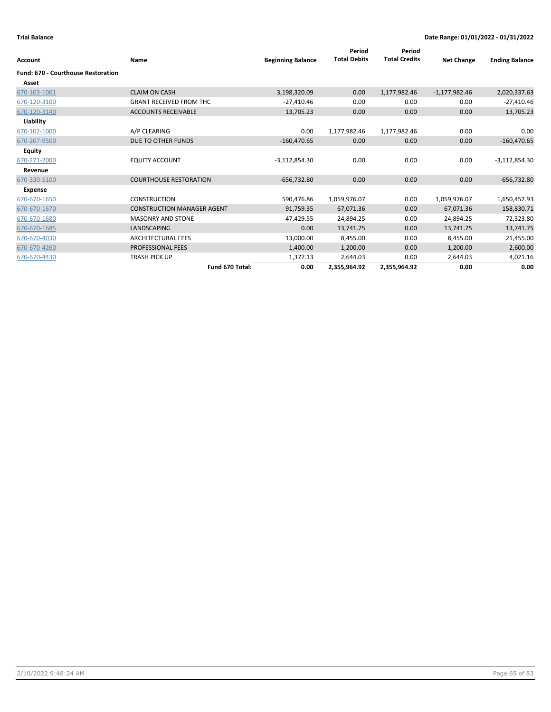| <b>Account</b>                            | Name                              | <b>Beginning Balance</b> | Period<br><b>Total Debits</b> | Period<br><b>Total Credits</b> | <b>Net Change</b> | <b>Ending Balance</b> |
|-------------------------------------------|-----------------------------------|--------------------------|-------------------------------|--------------------------------|-------------------|-----------------------|
| <b>Fund: 670 - Courthouse Restoration</b> |                                   |                          |                               |                                |                   |                       |
| Asset                                     |                                   |                          |                               |                                |                   |                       |
| 670-103-1001                              | <b>CLAIM ON CASH</b>              | 3,198,320.09             | 0.00                          | 1,177,982.46                   | $-1,177,982.46$   | 2,020,337.63          |
| 670-120-3100                              | <b>GRANT RECEIVED FROM THC</b>    | $-27,410.46$             | 0.00                          | 0.00                           | 0.00              | $-27,410.46$          |
| 670-120-3140                              | <b>ACCOUNTS RECEIVABLE</b>        | 13,705.23                | 0.00                          | 0.00                           | 0.00              | 13,705.23             |
| Liability                                 |                                   |                          |                               |                                |                   |                       |
| 670-102-1000                              | A/P CLEARING                      | 0.00                     | 1,177,982.46                  | 1,177,982.46                   | 0.00              | 0.00                  |
| 670-207-9500                              | DUE TO OTHER FUNDS                | $-160,470.65$            | 0.00                          | 0.00                           | 0.00              | $-160,470.65$         |
| Equity                                    |                                   |                          |                               |                                |                   |                       |
| 670-271-2000                              | <b>EQUITY ACCOUNT</b>             | $-3,112,854.30$          | 0.00                          | 0.00                           | 0.00              | $-3,112,854.30$       |
| Revenue                                   |                                   |                          |                               |                                |                   |                       |
| 670-330-5100                              | <b>COURTHOUSE RESTORATION</b>     | $-656,732.80$            | 0.00                          | 0.00                           | 0.00              | $-656,732.80$         |
| <b>Expense</b>                            |                                   |                          |                               |                                |                   |                       |
| 670-670-1650                              | <b>CONSTRUCTION</b>               | 590,476.86               | 1,059,976.07                  | 0.00                           | 1,059,976.07      | 1,650,452.93          |
| 670-670-1670                              | <b>CONSTRUCTION MANAGER AGENT</b> | 91,759.35                | 67,071.36                     | 0.00                           | 67,071.36         | 158,830.71            |
| 670-670-1680                              | <b>MASONRY AND STONE</b>          | 47,429.55                | 24,894.25                     | 0.00                           | 24,894.25         | 72,323.80             |
| 670-670-1685                              | <b>LANDSCAPING</b>                | 0.00                     | 13,741.75                     | 0.00                           | 13,741.75         | 13,741.75             |
| 670-670-4030                              | <b>ARCHITECTURAL FEES</b>         | 13,000.00                | 8,455.00                      | 0.00                           | 8,455.00          | 21,455.00             |
| 670-670-4260                              | <b>PROFESSIONAL FEES</b>          | 1,400.00                 | 1,200.00                      | 0.00                           | 1,200.00          | 2,600.00              |
| 670-670-4430                              | <b>TRASH PICK UP</b>              | 1,377.13                 | 2,644.03                      | 0.00                           | 2,644.03          | 4,021.16              |
|                                           | Fund 670 Total:                   | 0.00                     | 2,355,964.92                  | 2,355,964.92                   | 0.00              | 0.00                  |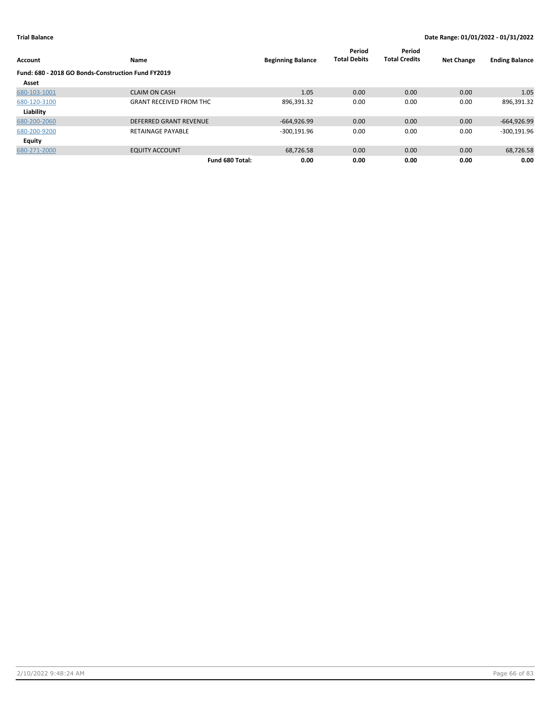| Account                                            | Name                           | <b>Beginning Balance</b> | Period<br><b>Total Debits</b> | Period<br><b>Total Credits</b> | <b>Net Change</b> | <b>Ending Balance</b> |
|----------------------------------------------------|--------------------------------|--------------------------|-------------------------------|--------------------------------|-------------------|-----------------------|
| Fund: 680 - 2018 GO Bonds-Construction Fund FY2019 |                                |                          |                               |                                |                   |                       |
| Asset                                              |                                |                          |                               |                                |                   |                       |
| 680-103-1001                                       | <b>CLAIM ON CASH</b>           | 1.05                     | 0.00                          | 0.00                           | 0.00              | 1.05                  |
| 680-120-3100                                       | <b>GRANT RECEIVED FROM THC</b> | 896,391.32               | 0.00                          | 0.00                           | 0.00              | 896,391.32            |
| Liability                                          |                                |                          |                               |                                |                   |                       |
| 680-200-2060                                       | <b>DEFERRED GRANT REVENUE</b>  | $-664,926.99$            | 0.00                          | 0.00                           | 0.00              | $-664,926.99$         |
| 680-200-9200                                       | <b>RETAINAGE PAYABLE</b>       | $-300,191.96$            | 0.00                          | 0.00                           | 0.00              | $-300,191.96$         |
| <b>Equity</b>                                      |                                |                          |                               |                                |                   |                       |
| 680-271-2000                                       | <b>EQUITY ACCOUNT</b>          | 68,726.58                | 0.00                          | 0.00                           | 0.00              | 68,726.58             |
|                                                    | Fund 680 Total:                | 0.00                     | 0.00                          | 0.00                           | 0.00              | 0.00                  |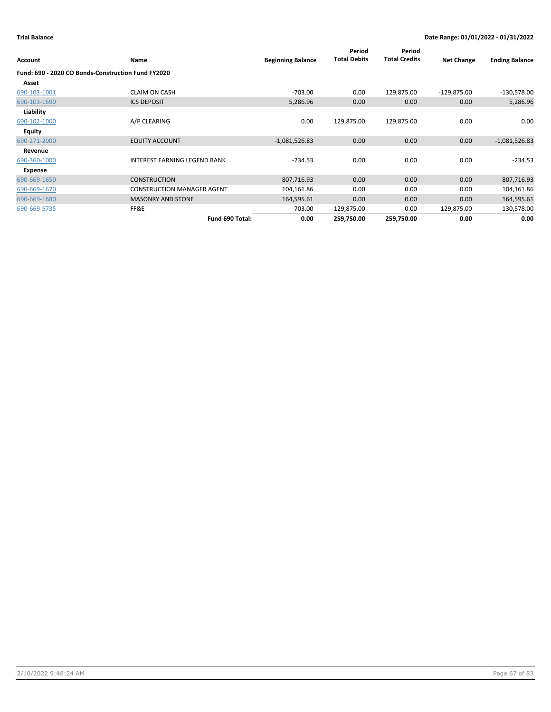|              |                                                    |                          | Period              | Period               |                   |                       |
|--------------|----------------------------------------------------|--------------------------|---------------------|----------------------|-------------------|-----------------------|
| Account      | Name                                               | <b>Beginning Balance</b> | <b>Total Debits</b> | <b>Total Credits</b> | <b>Net Change</b> | <b>Ending Balance</b> |
|              | Fund: 690 - 2020 CO Bonds-Construction Fund FY2020 |                          |                     |                      |                   |                       |
| Asset        |                                                    |                          |                     |                      |                   |                       |
| 690-103-1001 | <b>CLAIM ON CASH</b>                               | $-703.00$                | 0.00                | 129,875.00           | $-129,875.00$     | $-130,578.00$         |
| 690-103-1690 | <b>ICS DEPOSIT</b>                                 | 5,286.96                 | 0.00                | 0.00                 | 0.00              | 5,286.96              |
| Liability    |                                                    |                          |                     |                      |                   |                       |
| 690-102-1000 | A/P CLEARING                                       | 0.00                     | 129,875.00          | 129,875.00           | 0.00              | 0.00                  |
| Equity       |                                                    |                          |                     |                      |                   |                       |
| 690-271-2000 | <b>EQUITY ACCOUNT</b>                              | $-1,081,526.83$          | 0.00                | 0.00                 | 0.00              | $-1,081,526.83$       |
| Revenue      |                                                    |                          |                     |                      |                   |                       |
| 690-360-1000 | <b>INTEREST EARNING LEGEND BANK</b>                | $-234.53$                | 0.00                | 0.00                 | 0.00              | $-234.53$             |
| Expense      |                                                    |                          |                     |                      |                   |                       |
| 690-669-1650 | <b>CONSTRUCTION</b>                                | 807,716.93               | 0.00                | 0.00                 | 0.00              | 807,716.93            |
| 690-669-1670 | <b>CONSTRUCTION MANAGER AGENT</b>                  | 104,161.86               | 0.00                | 0.00                 | 0.00              | 104,161.86            |
| 690-669-1680 | <b>MASONRY AND STONE</b>                           | 164,595.61               | 0.00                | 0.00                 | 0.00              | 164,595.61            |
| 690-669-5735 | FF&E                                               | 703.00                   | 129,875.00          | 0.00                 | 129,875.00        | 130,578.00            |
|              | Fund 690 Total:                                    | 0.00                     | 259,750.00          | 259,750.00           | 0.00              | 0.00                  |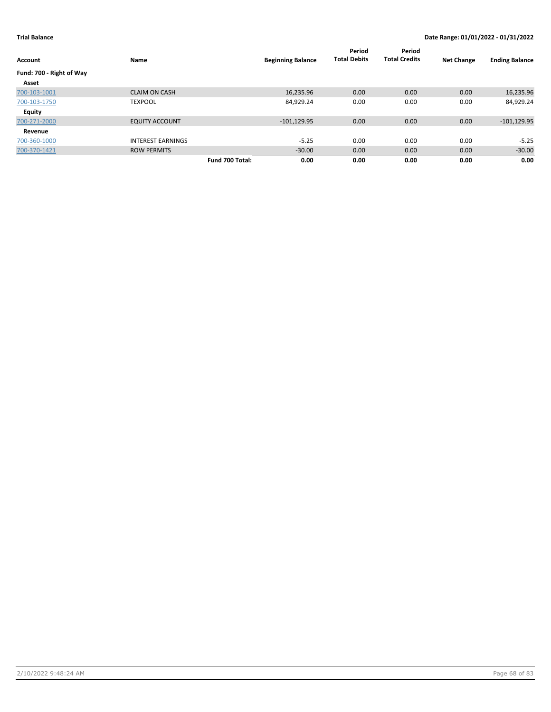| <b>Account</b>           | Name                     | <b>Beginning Balance</b> | Period<br><b>Total Debits</b> | Period<br><b>Total Credits</b> | <b>Net Change</b> | <b>Ending Balance</b> |
|--------------------------|--------------------------|--------------------------|-------------------------------|--------------------------------|-------------------|-----------------------|
| Fund: 700 - Right of Way |                          |                          |                               |                                |                   |                       |
| Asset                    |                          |                          |                               |                                |                   |                       |
| 700-103-1001             | <b>CLAIM ON CASH</b>     | 16,235.96                | 0.00                          | 0.00                           | 0.00              | 16,235.96             |
| 700-103-1750             | <b>TEXPOOL</b>           | 84,929.24                | 0.00                          | 0.00                           | 0.00              | 84,929.24             |
| <b>Equity</b>            |                          |                          |                               |                                |                   |                       |
| 700-271-2000             | <b>EQUITY ACCOUNT</b>    | $-101, 129.95$           | 0.00                          | 0.00                           | 0.00              | $-101, 129.95$        |
| Revenue                  |                          |                          |                               |                                |                   |                       |
| 700-360-1000             | <b>INTEREST EARNINGS</b> | $-5.25$                  | 0.00                          | 0.00                           | 0.00              | $-5.25$               |
| 700-370-1421             | <b>ROW PERMITS</b>       | $-30.00$                 | 0.00                          | 0.00                           | 0.00              | $-30.00$              |
|                          | Fund 700 Total:          | 0.00                     | 0.00                          | 0.00                           | 0.00              | 0.00                  |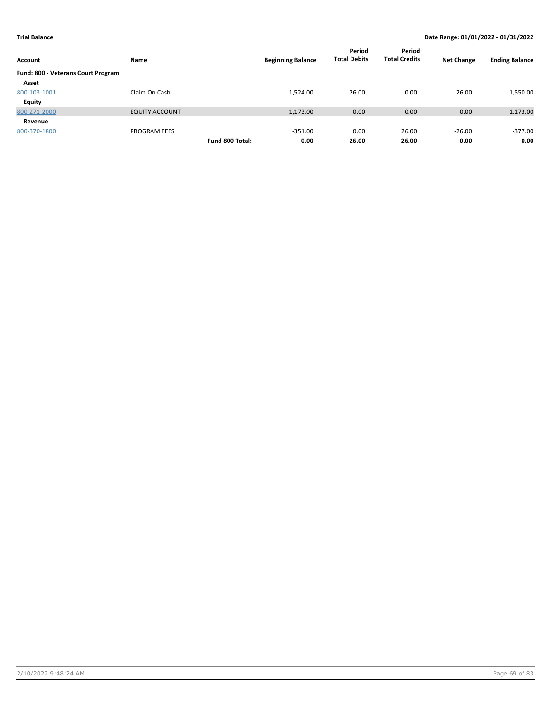| Account                            | Name                  |                 | <b>Beginning Balance</b> | Period<br><b>Total Debits</b> | Period<br><b>Total Credits</b> | <b>Net Change</b> | <b>Ending Balance</b> |
|------------------------------------|-----------------------|-----------------|--------------------------|-------------------------------|--------------------------------|-------------------|-----------------------|
| Fund: 800 - Veterans Court Program |                       |                 |                          |                               |                                |                   |                       |
| Asset                              |                       |                 |                          |                               |                                |                   |                       |
| 800-103-1001                       | Claim On Cash         |                 | 1,524.00                 | 26.00                         | 0.00                           | 26.00             | 1,550.00              |
| <b>Equity</b>                      |                       |                 |                          |                               |                                |                   |                       |
| 800-271-2000                       | <b>EQUITY ACCOUNT</b> |                 | $-1,173.00$              | 0.00                          | 0.00                           | 0.00              | $-1,173.00$           |
| Revenue                            |                       |                 |                          |                               |                                |                   |                       |
| 800-370-1800                       | <b>PROGRAM FEES</b>   |                 | $-351.00$                | 0.00                          | 26.00                          | $-26.00$          | -377.00               |
|                                    |                       | Fund 800 Total: | 0.00                     | 26.00                         | 26.00                          | 0.00              | 0.00                  |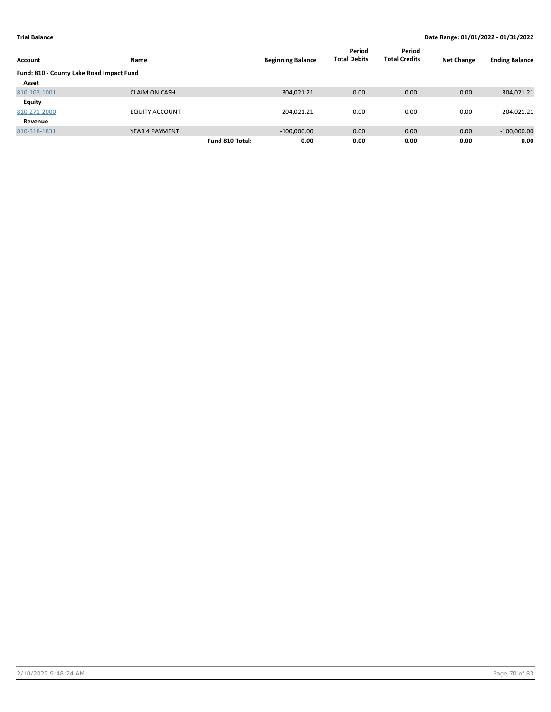| Account                                  | Name                  | <b>Beginning Balance</b> | Period<br><b>Total Debits</b> | Period<br><b>Total Credits</b> | <b>Net Change</b> | <b>Ending Balance</b> |
|------------------------------------------|-----------------------|--------------------------|-------------------------------|--------------------------------|-------------------|-----------------------|
| Fund: 810 - County Lake Road Impact Fund |                       |                          |                               |                                |                   |                       |
| Asset                                    |                       |                          |                               |                                |                   |                       |
| 810-103-1001                             | <b>CLAIM ON CASH</b>  | 304,021.21               | 0.00                          | 0.00                           | 0.00              | 304,021.21            |
| Equity                                   |                       |                          |                               |                                |                   |                       |
| 810-271-2000                             | <b>EQUITY ACCOUNT</b> | $-204,021.21$            | 0.00                          | 0.00                           | 0.00              | $-204,021.21$         |
| Revenue                                  |                       |                          |                               |                                |                   |                       |
| 810-318-1831                             | YEAR 4 PAYMENT        | $-100,000.00$            | 0.00                          | 0.00                           | 0.00              | $-100,000.00$         |
|                                          |                       | Fund 810 Total:<br>0.00  | 0.00                          | 0.00                           | 0.00              | 0.00                  |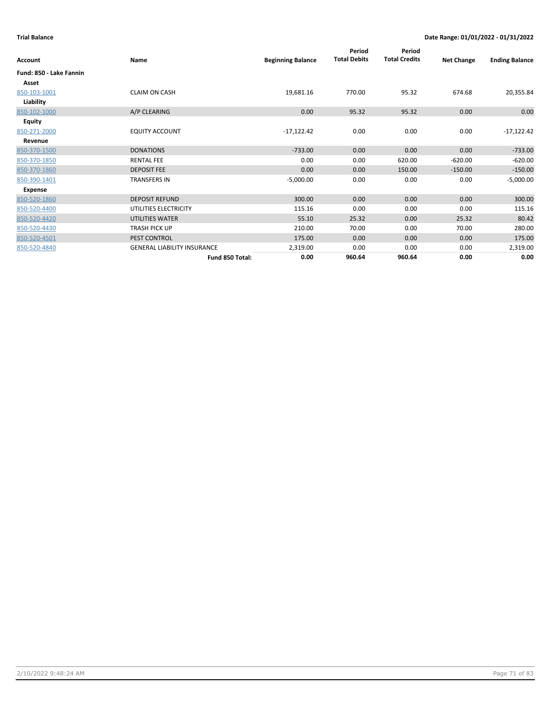| Account                 | Name                               | <b>Beginning Balance</b> | Period<br><b>Total Debits</b> | Period<br><b>Total Credits</b> | <b>Net Change</b> | <b>Ending Balance</b> |
|-------------------------|------------------------------------|--------------------------|-------------------------------|--------------------------------|-------------------|-----------------------|
| Fund: 850 - Lake Fannin |                                    |                          |                               |                                |                   |                       |
| Asset                   |                                    |                          |                               |                                |                   |                       |
| 850-103-1001            | <b>CLAIM ON CASH</b>               | 19,681.16                | 770.00                        | 95.32                          | 674.68            | 20,355.84             |
| Liability               |                                    |                          |                               |                                |                   |                       |
| 850-102-1000            | A/P CLEARING                       | 0.00                     | 95.32                         | 95.32                          | 0.00              | 0.00                  |
| <b>Equity</b>           |                                    |                          |                               |                                |                   |                       |
| 850-271-2000            | <b>EQUITY ACCOUNT</b>              | $-17,122.42$             | 0.00                          | 0.00                           | 0.00              | $-17,122.42$          |
| Revenue                 |                                    |                          |                               |                                |                   |                       |
| 850-370-1500            | <b>DONATIONS</b>                   | $-733.00$                | 0.00                          | 0.00                           | 0.00              | $-733.00$             |
| 850-370-1850            | <b>RENTAL FEE</b>                  | 0.00                     | 0.00                          | 620.00                         | $-620.00$         | $-620.00$             |
| 850-370-1860            | <b>DEPOSIT FEE</b>                 | 0.00                     | 0.00                          | 150.00                         | $-150.00$         | $-150.00$             |
| 850-390-1401            | <b>TRANSFERS IN</b>                | $-5,000.00$              | 0.00                          | 0.00                           | 0.00              | $-5,000.00$           |
| <b>Expense</b>          |                                    |                          |                               |                                |                   |                       |
| 850-520-1860            | <b>DEPOSIT REFUND</b>              | 300.00                   | 0.00                          | 0.00                           | 0.00              | 300.00                |
| 850-520-4400            | UTILITIES ELECTRICITY              | 115.16                   | 0.00                          | 0.00                           | 0.00              | 115.16                |
| 850-520-4420            | UTILITIES WATER                    | 55.10                    | 25.32                         | 0.00                           | 25.32             | 80.42                 |
| 850-520-4430            | TRASH PICK UP                      | 210.00                   | 70.00                         | 0.00                           | 70.00             | 280.00                |
| 850-520-4501            | PEST CONTROL                       | 175.00                   | 0.00                          | 0.00                           | 0.00              | 175.00                |
| 850-520-4840            | <b>GENERAL LIABILITY INSURANCE</b> | 2,319.00                 | 0.00                          | 0.00                           | 0.00              | 2,319.00              |
|                         | Fund 850 Total:                    | 0.00                     | 960.64                        | 960.64                         | 0.00              | 0.00                  |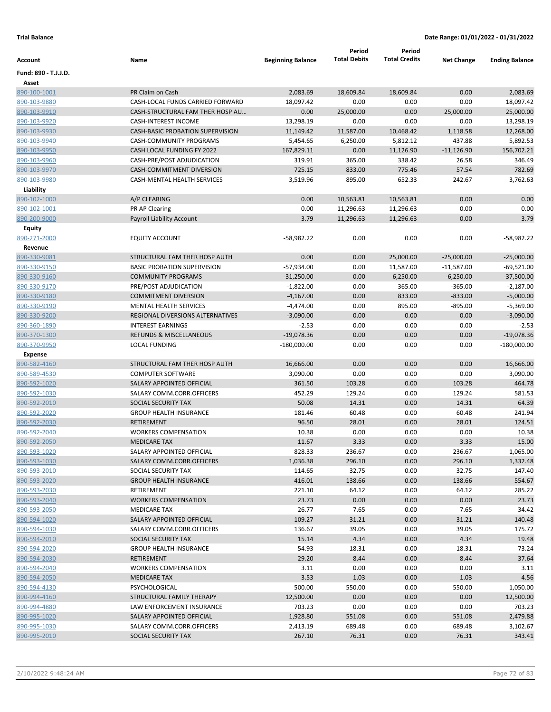|                              |                                         |                          | Period              | Period               |                   |                       |
|------------------------------|-----------------------------------------|--------------------------|---------------------|----------------------|-------------------|-----------------------|
| Account                      | Name                                    | <b>Beginning Balance</b> | <b>Total Debits</b> | <b>Total Credits</b> | <b>Net Change</b> | <b>Ending Balance</b> |
| Fund: 890 - T.J.J.D.         |                                         |                          |                     |                      |                   |                       |
| Asset                        |                                         |                          |                     |                      |                   |                       |
| 890-100-1001                 | PR Claim on Cash                        | 2,083.69                 | 18,609.84           | 18,609.84            | 0.00              | 2,083.69              |
| 890-103-9880                 | CASH-LOCAL FUNDS CARRIED FORWARD        | 18,097.42                | 0.00                | 0.00                 | 0.00              | 18,097.42             |
| 890-103-9910                 | CASH-STRUCTURAL FAM THER HOSP AU        | 0.00                     | 25,000.00           | 0.00                 | 25,000.00         | 25,000.00             |
| 890-103-9920                 | <b>CASH-INTEREST INCOME</b>             | 13,298.19                | 0.00                | 0.00                 | 0.00              | 13,298.19             |
| 890-103-9930                 | <b>CASH-BASIC PROBATION SUPERVISION</b> | 11,149.42                | 11,587.00           | 10,468.42            | 1,118.58          | 12,268.00             |
| 890-103-9940                 | CASH-COMMUNITY PROGRAMS                 | 5,454.65                 | 6,250.00            | 5,812.12             | 437.88            | 5,892.53              |
| 890-103-9950                 | CASH LOCAL FUNDING FY 2022              | 167,829.11               | 0.00                | 11,126.90            | $-11,126.90$      | 156,702.21            |
| 890-103-9960                 | CASH-PRE/POST ADJUDICATION              | 319.91                   | 365.00              | 338.42               | 26.58             | 346.49                |
| 890-103-9970                 | CASH-COMMITMENT DIVERSION               | 725.15                   | 833.00              | 775.46               | 57.54             | 782.69                |
| 890-103-9980                 | <b>CASH-MENTAL HEALTH SERVICES</b>      | 3,519.96                 | 895.00              | 652.33               | 242.67            | 3,762.63              |
| Liability                    |                                         |                          |                     |                      |                   |                       |
| 890-102-1000                 | A/P CLEARING                            | 0.00                     | 10,563.81           | 10,563.81            | 0.00              | 0.00                  |
| 890-102-1001                 | PR AP Clearing                          | 0.00                     | 11,296.63           | 11,296.63            | 0.00              | 0.00                  |
| 890-200-9000                 | Payroll Liability Account               | 3.79                     | 11,296.63           | 11,296.63            | 0.00              | 3.79                  |
| Equity                       |                                         |                          |                     |                      |                   |                       |
| 890-271-2000                 | <b>EQUITY ACCOUNT</b>                   | $-58,982.22$             | 0.00                | 0.00                 | 0.00              | $-58,982.22$          |
| Revenue                      |                                         |                          |                     |                      |                   |                       |
| 890-330-9081                 | STRUCTURAL FAM THER HOSP AUTH           | 0.00                     | 0.00                | 25,000.00            | $-25,000.00$      | $-25,000.00$          |
| 890-330-9150                 | <b>BASIC PROBATION SUPERVISION</b>      | $-57,934.00$             | 0.00                | 11,587.00            | $-11,587.00$      | $-69,521.00$          |
| 890-330-9160                 | <b>COMMUNITY PROGRAMS</b>               | $-31,250.00$             | 0.00                | 6,250.00             | $-6,250.00$       | $-37,500.00$          |
| 890-330-9170                 | PRE/POST ADJUDICATION                   | $-1,822.00$              | 0.00                | 365.00               | $-365.00$         | $-2,187.00$           |
| 890-330-9180                 | <b>COMMITMENT DIVERSION</b>             | $-4,167.00$              | 0.00                | 833.00               | $-833.00$         | $-5,000.00$           |
| 890-330-9190                 | <b>MENTAL HEALTH SERVICES</b>           | $-4,474.00$              | 0.00                | 895.00               | $-895.00$         | $-5,369.00$           |
| 890-330-9200                 | REGIONAL DIVERSIONS ALTERNATIVES        | $-3,090.00$              | 0.00                | 0.00                 | 0.00              | $-3,090.00$           |
| 890-360-1890                 | <b>INTEREST EARNINGS</b>                | $-2.53$                  | 0.00                | 0.00                 | 0.00              | $-2.53$               |
| 890-370-1300                 | <b>REFUNDS &amp; MISCELLANEOUS</b>      | $-19,078.36$             | 0.00                | 0.00                 | 0.00              | $-19,078.36$          |
| 890-370-9950                 | <b>LOCAL FUNDING</b>                    | $-180,000.00$            | 0.00                | 0.00                 | 0.00              | $-180,000.00$         |
| <b>Expense</b>               |                                         |                          |                     |                      |                   |                       |
| 890-582-4160                 | STRUCTURAL FAM THER HOSP AUTH           | 16,666.00                | 0.00                | 0.00                 | 0.00              | 16,666.00             |
| 890-589-4530                 | <b>COMPUTER SOFTWARE</b>                | 3,090.00                 | 0.00                | 0.00                 | 0.00              | 3,090.00              |
| 890-592-1020                 | SALARY APPOINTED OFFICIAL               | 361.50                   | 103.28              | 0.00                 | 103.28            | 464.78                |
| 890-592-1030                 | SALARY COMM.CORR.OFFICERS               | 452.29                   | 129.24              | 0.00                 | 129.24            | 581.53                |
| 890-592-2010                 | SOCIAL SECURITY TAX                     | 50.08                    | 14.31               | 0.00                 | 14.31             | 64.39                 |
| 890-592-2020                 | <b>GROUP HEALTH INSURANCE</b>           | 181.46                   | 60.48               | 0.00                 | 60.48             | 241.94                |
| 890-592-2030                 | <b>RETIREMENT</b>                       | 96.50                    | 28.01               | 0.00                 | 28.01             | 124.51                |
| 890-592-2040                 | <b>WORKERS COMPENSATION</b>             | 10.38                    | 0.00                | 0.00                 | 0.00              | 10.38                 |
| 890-592-2050                 | <b>MEDICARE TAX</b>                     | 11.67                    | 3.33                | 0.00                 | 3.33              | 15.00                 |
| 890-593-1020                 | SALARY APPOINTED OFFICIAL               | 828.33                   | 236.67              | 0.00                 | 236.67            | 1,065.00              |
| 890-593-1030                 | SALARY COMM.CORR.OFFICERS               | 1,036.38                 | 296.10              | 0.00                 | 296.10            | 1,332.48              |
| 890-593-2010                 | SOCIAL SECURITY TAX                     | 114.65                   | 32.75               | 0.00                 | 32.75             | 147.40                |
| 890-593-2020                 | <b>GROUP HEALTH INSURANCE</b>           | 416.01                   | 138.66              | 0.00                 | 138.66            | 554.67                |
| 890-593-2030<br>890-593-2040 | RETIREMENT                              | 221.10                   | 64.12               | 0.00                 | 64.12             | 285.22                |
|                              | <b>WORKERS COMPENSATION</b>             | 23.73                    | 0.00                | 0.00                 | 0.00              | 23.73                 |
| 890-593-2050                 | <b>MEDICARE TAX</b>                     | 26.77                    | 7.65                | 0.00                 | 7.65              | 34.42                 |
| 890-594-1020                 | SALARY APPOINTED OFFICIAL               | 109.27                   | 31.21               | 0.00                 | 31.21             | 140.48                |
| 890-594-1030                 | SALARY COMM.CORR.OFFICERS               | 136.67                   | 39.05               | 0.00                 | 39.05             | 175.72                |
| 890-594-2010                 | SOCIAL SECURITY TAX                     | 15.14                    | 4.34                | 0.00                 | 4.34              | 19.48                 |
| 890-594-2020                 | <b>GROUP HEALTH INSURANCE</b>           | 54.93                    | 18.31               | 0.00                 | 18.31             | 73.24                 |
| 890-594-2030                 | RETIREMENT                              | 29.20                    | 8.44                | 0.00                 | 8.44              | 37.64                 |
| 890-594-2040<br>890-594-2050 | <b>WORKERS COMPENSATION</b>             | 3.11                     | 0.00                | 0.00                 | 0.00              | 3.11                  |
| 890-594-4130                 | <b>MEDICARE TAX</b><br>PSYCHOLOGICAL    | 3.53<br>500.00           | 1.03<br>550.00      | 0.00<br>0.00         | 1.03<br>550.00    | 4.56<br>1,050.00      |
| 890-994-4160                 | STRUCTURAL FAMILY THERAPY               |                          | 0.00                | 0.00                 | 0.00              | 12,500.00             |
| 890-994-4880                 | LAW ENFORCEMENT INSURANCE               | 12,500.00                |                     |                      |                   |                       |
|                              | SALARY APPOINTED OFFICIAL               | 703.23                   | 0.00                | 0.00                 | 0.00              | 703.23                |
| 890-995-1020                 |                                         | 1,928.80                 | 551.08              | 0.00                 | 551.08            | 2,479.88              |
| 890-995-1030                 | SALARY COMM.CORR.OFFICERS               | 2,413.19                 | 689.48              | 0.00                 | 689.48            | 3,102.67              |
| 890-995-2010                 | SOCIAL SECURITY TAX                     | 267.10                   | 76.31               | 0.00                 | 76.31             | 343.41                |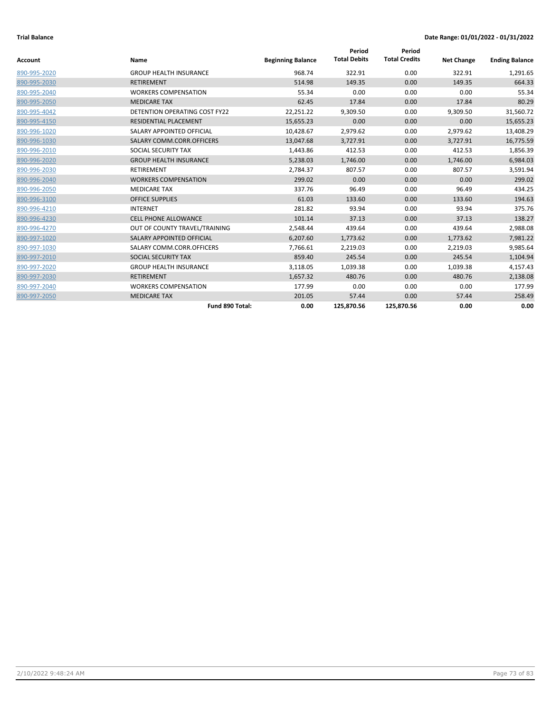| <b>Account</b> | Name                                 | <b>Beginning Balance</b> | Period<br><b>Total Debits</b> | Period<br><b>Total Credits</b> | <b>Net Change</b> | <b>Ending Balance</b> |
|----------------|--------------------------------------|--------------------------|-------------------------------|--------------------------------|-------------------|-----------------------|
| 890-995-2020   | <b>GROUP HEALTH INSURANCE</b>        | 968.74                   | 322.91                        | 0.00                           | 322.91            | 1,291.65              |
| 890-995-2030   | <b>RETIREMENT</b>                    | 514.98                   | 149.35                        | 0.00                           | 149.35            | 664.33                |
| 890-995-2040   | <b>WORKERS COMPENSATION</b>          | 55.34                    | 0.00                          | 0.00                           | 0.00              | 55.34                 |
| 890-995-2050   | <b>MEDICARE TAX</b>                  | 62.45                    | 17.84                         | 0.00                           | 17.84             | 80.29                 |
| 890-995-4042   | <b>DETENTION OPERATING COST FY22</b> | 22,251.22                | 9,309.50                      | 0.00                           | 9,309.50          | 31,560.72             |
| 890-995-4150   | <b>RESIDENTIAL PLACEMENT</b>         | 15,655.23                | 0.00                          | 0.00                           | 0.00              | 15,655.23             |
| 890-996-1020   | SALARY APPOINTED OFFICIAL            | 10,428.67                | 2,979.62                      | 0.00                           | 2,979.62          | 13,408.29             |
| 890-996-1030   | SALARY COMM.CORR.OFFICERS            | 13,047.68                | 3,727.91                      | 0.00                           | 3,727.91          | 16,775.59             |
| 890-996-2010   | SOCIAL SECURITY TAX                  | 1,443.86                 | 412.53                        | 0.00                           | 412.53            | 1,856.39              |
| 890-996-2020   | <b>GROUP HEALTH INSURANCE</b>        | 5,238.03                 | 1,746.00                      | 0.00                           | 1,746.00          | 6,984.03              |
| 890-996-2030   | <b>RETIREMENT</b>                    | 2,784.37                 | 807.57                        | 0.00                           | 807.57            | 3,591.94              |
| 890-996-2040   | <b>WORKERS COMPENSATION</b>          | 299.02                   | 0.00                          | 0.00                           | 0.00              | 299.02                |
| 890-996-2050   | <b>MEDICARE TAX</b>                  | 337.76                   | 96.49                         | 0.00                           | 96.49             | 434.25                |
| 890-996-3100   | <b>OFFICE SUPPLIES</b>               | 61.03                    | 133.60                        | 0.00                           | 133.60            | 194.63                |
| 890-996-4210   | <b>INTERNET</b>                      | 281.82                   | 93.94                         | 0.00                           | 93.94             | 375.76                |
| 890-996-4230   | <b>CELL PHONE ALLOWANCE</b>          | 101.14                   | 37.13                         | 0.00                           | 37.13             | 138.27                |
| 890-996-4270   | OUT OF COUNTY TRAVEL/TRAINING        | 2,548.44                 | 439.64                        | 0.00                           | 439.64            | 2,988.08              |
| 890-997-1020   | SALARY APPOINTED OFFICIAL            | 6,207.60                 | 1,773.62                      | 0.00                           | 1,773.62          | 7,981.22              |
| 890-997-1030   | SALARY COMM.CORR.OFFICERS            | 7,766.61                 | 2,219.03                      | 0.00                           | 2,219.03          | 9,985.64              |
| 890-997-2010   | SOCIAL SECURITY TAX                  | 859.40                   | 245.54                        | 0.00                           | 245.54            | 1,104.94              |
| 890-997-2020   | <b>GROUP HEALTH INSURANCE</b>        | 3,118.05                 | 1,039.38                      | 0.00                           | 1,039.38          | 4,157.43              |
| 890-997-2030   | <b>RETIREMENT</b>                    | 1,657.32                 | 480.76                        | 0.00                           | 480.76            | 2,138.08              |
| 890-997-2040   | <b>WORKERS COMPENSATION</b>          | 177.99                   | 0.00                          | 0.00                           | 0.00              | 177.99                |
| 890-997-2050   | <b>MEDICARE TAX</b>                  | 201.05                   | 57.44                         | 0.00                           | 57.44             | 258.49                |
|                | Fund 890 Total:                      | 0.00                     | 125,870.56                    | 125,870.56                     | 0.00              | 0.00                  |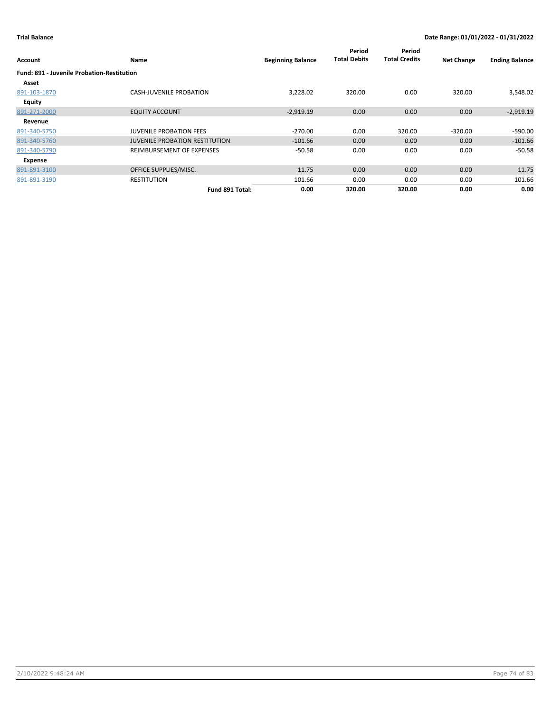| Account                                           | Name                                  | <b>Beginning Balance</b> | Period<br><b>Total Debits</b> | Period<br><b>Total Credits</b> | <b>Net Change</b> | <b>Ending Balance</b> |
|---------------------------------------------------|---------------------------------------|--------------------------|-------------------------------|--------------------------------|-------------------|-----------------------|
| <b>Fund: 891 - Juvenile Probation-Restitution</b> |                                       |                          |                               |                                |                   |                       |
| Asset                                             |                                       |                          |                               |                                |                   |                       |
| 891-103-1870                                      | <b>CASH-JUVENILE PROBATION</b>        | 3,228.02                 | 320.00                        | 0.00                           | 320.00            | 3,548.02              |
| <b>Equity</b>                                     |                                       |                          |                               |                                |                   |                       |
| 891-271-2000                                      | <b>EQUITY ACCOUNT</b>                 | $-2,919.19$              | 0.00                          | 0.00                           | 0.00              | $-2,919.19$           |
| Revenue                                           |                                       |                          |                               |                                |                   |                       |
| 891-340-5750                                      | <b>JUVENILE PROBATION FEES</b>        | $-270.00$                | 0.00                          | 320.00                         | $-320.00$         | $-590.00$             |
| 891-340-5760                                      | <b>JUVENILE PROBATION RESTITUTION</b> | $-101.66$                | 0.00                          | 0.00                           | 0.00              | $-101.66$             |
| 891-340-5790                                      | REIMBURSEMENT OF EXPENSES             | $-50.58$                 | 0.00                          | 0.00                           | 0.00              | $-50.58$              |
| Expense                                           |                                       |                          |                               |                                |                   |                       |
| 891-891-3100                                      | OFFICE SUPPLIES/MISC.                 | 11.75                    | 0.00                          | 0.00                           | 0.00              | 11.75                 |
| 891-891-3190                                      | <b>RESTITUTION</b>                    | 101.66                   | 0.00                          | 0.00                           | 0.00              | 101.66                |
|                                                   | Fund 891 Total:                       | 0.00                     | 320.00                        | 320.00                         | 0.00              | 0.00                  |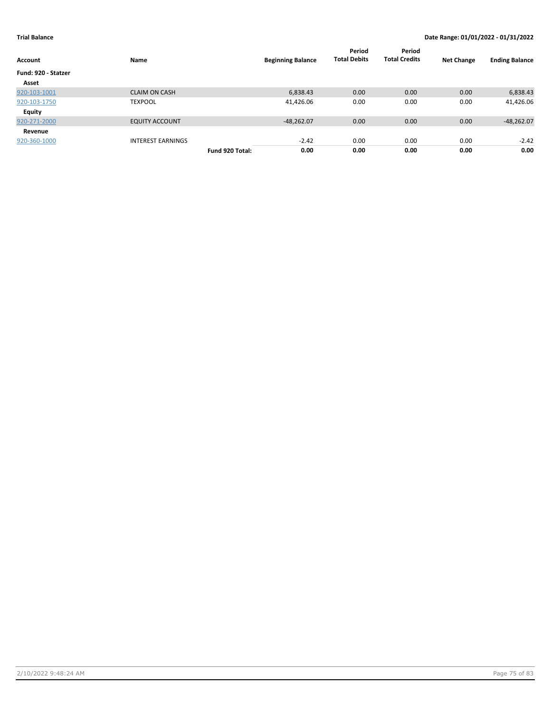| Account             | Name                     |                 | <b>Beginning Balance</b> | Period<br><b>Total Debits</b> | Period<br><b>Total Credits</b> | <b>Net Change</b> | <b>Ending Balance</b> |
|---------------------|--------------------------|-----------------|--------------------------|-------------------------------|--------------------------------|-------------------|-----------------------|
| Fund: 920 - Statzer |                          |                 |                          |                               |                                |                   |                       |
| Asset               |                          |                 |                          |                               |                                |                   |                       |
| 920-103-1001        | <b>CLAIM ON CASH</b>     |                 | 6,838.43                 | 0.00                          | 0.00                           | 0.00              | 6,838.43              |
| 920-103-1750        | <b>TEXPOOL</b>           |                 | 41,426.06                | 0.00                          | 0.00                           | 0.00              | 41,426.06             |
| Equity              |                          |                 |                          |                               |                                |                   |                       |
| 920-271-2000        | <b>EQUITY ACCOUNT</b>    |                 | $-48,262.07$             | 0.00                          | 0.00                           | 0.00              | $-48,262.07$          |
| Revenue             |                          |                 |                          |                               |                                |                   |                       |
| 920-360-1000        | <b>INTEREST EARNINGS</b> |                 | $-2.42$                  | 0.00                          | 0.00                           | 0.00              | $-2.42$               |
|                     |                          | Fund 920 Total: | 0.00                     | 0.00                          | 0.00                           | 0.00              | 0.00                  |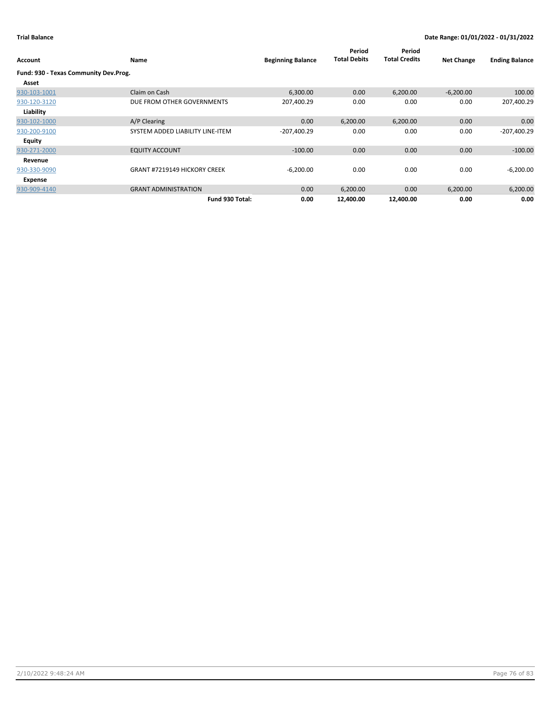| Account                               | Name                                | <b>Beginning Balance</b> | Period<br><b>Total Debits</b> | Period<br><b>Total Credits</b> | <b>Net Change</b> | <b>Ending Balance</b> |
|---------------------------------------|-------------------------------------|--------------------------|-------------------------------|--------------------------------|-------------------|-----------------------|
| Fund: 930 - Texas Community Dev.Prog. |                                     |                          |                               |                                |                   |                       |
| Asset                                 |                                     |                          |                               |                                |                   |                       |
| 930-103-1001                          | Claim on Cash                       | 6,300.00                 | 0.00                          | 6,200.00                       | $-6,200.00$       | 100.00                |
| 930-120-3120                          | DUE FROM OTHER GOVERNMENTS          | 207,400.29               | 0.00                          | 0.00                           | 0.00              | 207,400.29            |
| Liability                             |                                     |                          |                               |                                |                   |                       |
| 930-102-1000                          | A/P Clearing                        | 0.00                     | 6,200.00                      | 6,200.00                       | 0.00              | 0.00                  |
| 930-200-9100                          | SYSTEM ADDED LIABILITY LINE-ITEM    | $-207,400.29$            | 0.00                          | 0.00                           | 0.00              | $-207,400.29$         |
| Equity                                |                                     |                          |                               |                                |                   |                       |
| 930-271-2000                          | <b>EQUITY ACCOUNT</b>               | $-100.00$                | 0.00                          | 0.00                           | 0.00              | $-100.00$             |
| Revenue                               |                                     |                          |                               |                                |                   |                       |
| 930-330-9090                          | <b>GRANT #7219149 HICKORY CREEK</b> | $-6,200.00$              | 0.00                          | 0.00                           | 0.00              | $-6,200.00$           |
| Expense                               |                                     |                          |                               |                                |                   |                       |
| 930-909-4140                          | <b>GRANT ADMINISTRATION</b>         | 0.00                     | 6,200.00                      | 0.00                           | 6,200.00          | 6,200.00              |
|                                       | Fund 930 Total:                     | 0.00                     | 12,400.00                     | 12,400.00                      | 0.00              | 0.00                  |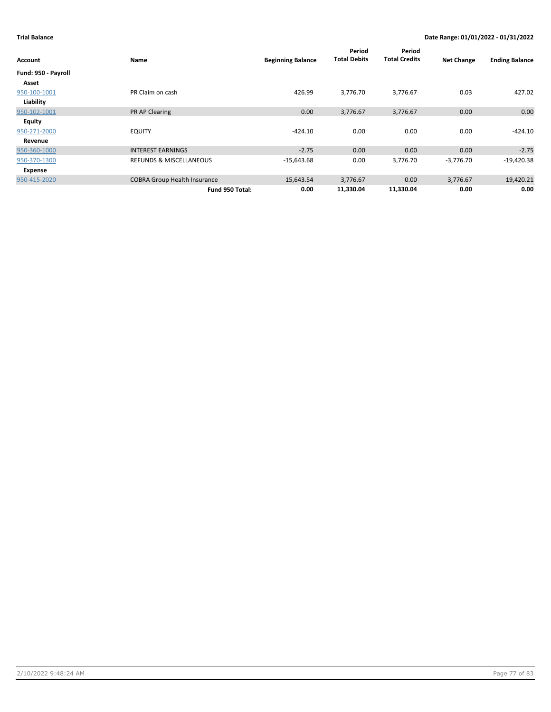| Account             | Name                                | <b>Beginning Balance</b> | Period<br><b>Total Debits</b> | Period<br><b>Total Credits</b> | <b>Net Change</b> | <b>Ending Balance</b> |
|---------------------|-------------------------------------|--------------------------|-------------------------------|--------------------------------|-------------------|-----------------------|
| Fund: 950 - Payroll |                                     |                          |                               |                                |                   |                       |
| Asset               |                                     |                          |                               |                                |                   |                       |
| 950-100-1001        | PR Claim on cash                    | 426.99                   | 3,776.70                      | 3,776.67                       | 0.03              | 427.02                |
| Liability           |                                     |                          |                               |                                |                   |                       |
| 950-102-1001        | PR AP Clearing                      | 0.00                     | 3,776.67                      | 3,776.67                       | 0.00              | 0.00                  |
| Equity              |                                     |                          |                               |                                |                   |                       |
| 950-271-2000        | <b>EQUITY</b>                       | $-424.10$                | 0.00                          | 0.00                           | 0.00              | $-424.10$             |
| Revenue             |                                     |                          |                               |                                |                   |                       |
| 950-360-1000        | <b>INTEREST EARNINGS</b>            | $-2.75$                  | 0.00                          | 0.00                           | 0.00              | $-2.75$               |
| 950-370-1300        | <b>REFUNDS &amp; MISCELLANEOUS</b>  | $-15,643.68$             | 0.00                          | 3,776.70                       | $-3,776.70$       | $-19,420.38$          |
| Expense             |                                     |                          |                               |                                |                   |                       |
| 950-415-2020        | <b>COBRA Group Health Insurance</b> | 15,643.54                | 3,776.67                      | 0.00                           | 3,776.67          | 19,420.21             |
|                     | Fund 950 Total:                     | 0.00                     | 11,330.04                     | 11,330.04                      | 0.00              | 0.00                  |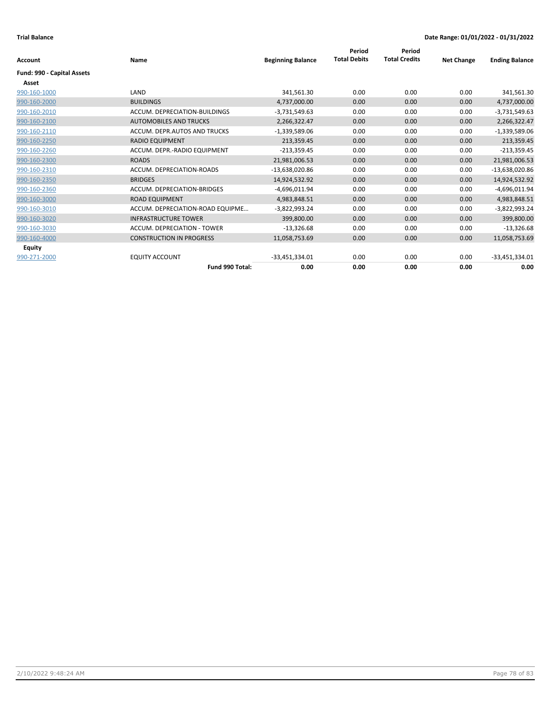|                            |                                  |                          | Period              | Period               |                   |                       |
|----------------------------|----------------------------------|--------------------------|---------------------|----------------------|-------------------|-----------------------|
| <b>Account</b>             | Name                             | <b>Beginning Balance</b> | <b>Total Debits</b> | <b>Total Credits</b> | <b>Net Change</b> | <b>Ending Balance</b> |
| Fund: 990 - Capital Assets |                                  |                          |                     |                      |                   |                       |
| Asset                      |                                  |                          |                     |                      |                   |                       |
| 990-160-1000               | LAND                             | 341,561.30               | 0.00                | 0.00                 | 0.00              | 341,561.30            |
| 990-160-2000               | <b>BUILDINGS</b>                 | 4,737,000.00             | 0.00                | 0.00                 | 0.00              | 4,737,000.00          |
| 990-160-2010               | ACCUM. DEPRECIATION-BUILDINGS    | $-3,731,549.63$          | 0.00                | 0.00                 | 0.00              | $-3,731,549.63$       |
| 990-160-2100               | <b>AUTOMOBILES AND TRUCKS</b>    | 2,266,322.47             | 0.00                | 0.00                 | 0.00              | 2,266,322.47          |
| 990-160-2110               | ACCUM. DEPR.AUTOS AND TRUCKS     | $-1,339,589.06$          | 0.00                | 0.00                 | 0.00              | $-1,339,589.06$       |
| 990-160-2250               | <b>RADIO EQUIPMENT</b>           | 213,359.45               | 0.00                | 0.00                 | 0.00              | 213,359.45            |
| 990-160-2260               | ACCUM. DEPR.-RADIO EQUIPMENT     | $-213,359.45$            | 0.00                | 0.00                 | 0.00              | $-213,359.45$         |
| 990-160-2300               | <b>ROADS</b>                     | 21,981,006.53            | 0.00                | 0.00                 | 0.00              | 21,981,006.53         |
| 990-160-2310               | ACCUM. DEPRECIATION-ROADS        | -13,638,020.86           | 0.00                | 0.00                 | 0.00              | $-13,638,020.86$      |
| 990-160-2350               | <b>BRIDGES</b>                   | 14,924,532.92            | 0.00                | 0.00                 | 0.00              | 14,924,532.92         |
| 990-160-2360               | ACCUM. DEPRECIATION-BRIDGES      | $-4,696,011.94$          | 0.00                | 0.00                 | 0.00              | $-4,696,011.94$       |
| 990-160-3000               | <b>ROAD EQUIPMENT</b>            | 4,983,848.51             | 0.00                | 0.00                 | 0.00              | 4,983,848.51          |
| 990-160-3010               | ACCUM. DEPRECIATION-ROAD EQUIPME | $-3,822,993.24$          | 0.00                | 0.00                 | 0.00              | $-3,822,993.24$       |
| 990-160-3020               | <b>INFRASTRUCTURE TOWER</b>      | 399,800.00               | 0.00                | 0.00                 | 0.00              | 399,800.00            |
| 990-160-3030               | ACCUM. DEPRECIATION - TOWER      | $-13,326.68$             | 0.00                | 0.00                 | 0.00              | $-13,326.68$          |
| 990-160-4000               | <b>CONSTRUCTION IN PROGRESS</b>  | 11,058,753.69            | 0.00                | 0.00                 | 0.00              | 11,058,753.69         |
| Equity                     |                                  |                          |                     |                      |                   |                       |
| 990-271-2000               | <b>EQUITY ACCOUNT</b>            | $-33,451,334.01$         | 0.00                | 0.00                 | 0.00              | $-33,451,334.01$      |
|                            | Fund 990 Total:                  | 0.00                     | 0.00                | 0.00                 | 0.00              | 0.00                  |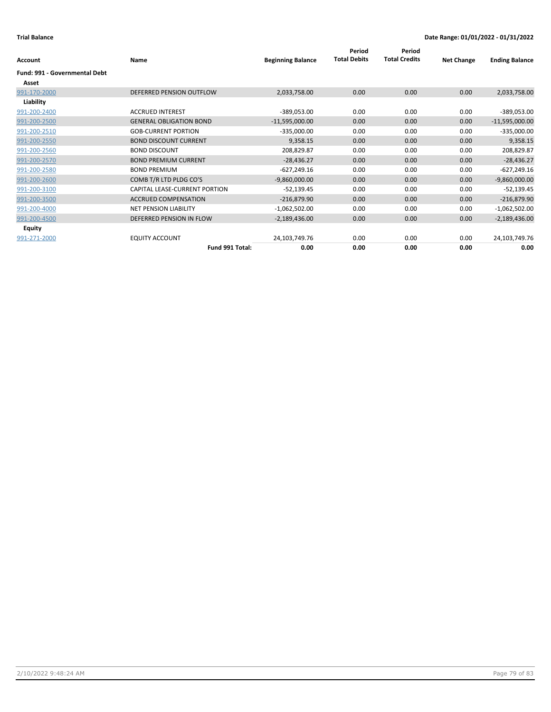| Account                              | Name                           | <b>Beginning Balance</b> | Period<br><b>Total Debits</b> | Period<br><b>Total Credits</b> | <b>Net Change</b> | <b>Ending Balance</b> |
|--------------------------------------|--------------------------------|--------------------------|-------------------------------|--------------------------------|-------------------|-----------------------|
| <b>Fund: 991 - Governmental Debt</b> |                                |                          |                               |                                |                   |                       |
| Asset                                |                                |                          |                               |                                |                   |                       |
| 991-170-2000                         | DEFERRED PENSION OUTFLOW       | 2,033,758.00             | 0.00                          | 0.00                           | 0.00              | 2,033,758.00          |
| Liability                            |                                |                          |                               |                                |                   |                       |
| 991-200-2400                         | <b>ACCRUED INTEREST</b>        | $-389,053.00$            | 0.00                          | 0.00                           | 0.00              | -389,053.00           |
| 991-200-2500                         | <b>GENERAL OBLIGATION BOND</b> | $-11,595,000.00$         | 0.00                          | 0.00                           | 0.00              | $-11,595,000.00$      |
| 991-200-2510                         | <b>GOB-CURRENT PORTION</b>     | $-335,000.00$            | 0.00                          | 0.00                           | 0.00              | $-335,000.00$         |
| 991-200-2550                         | <b>BOND DISCOUNT CURRENT</b>   | 9,358.15                 | 0.00                          | 0.00                           | 0.00              | 9,358.15              |
| 991-200-2560                         | <b>BOND DISCOUNT</b>           | 208,829.87               | 0.00                          | 0.00                           | 0.00              | 208,829.87            |
| 991-200-2570                         | <b>BOND PREMIUM CURRENT</b>    | $-28,436.27$             | 0.00                          | 0.00                           | 0.00              | $-28,436.27$          |
| 991-200-2580                         | <b>BOND PREMIUM</b>            | $-627,249.16$            | 0.00                          | 0.00                           | 0.00              | $-627,249.16$         |
| 991-200-2600                         | COMB T/R LTD PLDG CO'S         | $-9,860,000.00$          | 0.00                          | 0.00                           | 0.00              | $-9,860,000.00$       |
| 991-200-3100                         | CAPITAL LEASE-CURRENT PORTION  | $-52,139.45$             | 0.00                          | 0.00                           | 0.00              | $-52,139.45$          |
| 991-200-3500                         | <b>ACCRUED COMPENSATION</b>    | $-216,879.90$            | 0.00                          | 0.00                           | 0.00              | $-216,879.90$         |
| 991-200-4000                         | <b>NET PENSION LIABILITY</b>   | $-1,062,502.00$          | 0.00                          | 0.00                           | 0.00              | $-1,062,502.00$       |
| 991-200-4500                         | DEFERRED PENSION IN FLOW       | $-2,189,436.00$          | 0.00                          | 0.00                           | 0.00              | $-2,189,436.00$       |
| Equity                               |                                |                          |                               |                                |                   |                       |
| 991-271-2000                         | <b>EQUITY ACCOUNT</b>          | 24,103,749.76            | 0.00                          | 0.00                           | 0.00              | 24,103,749.76         |
|                                      | Fund 991 Total:                | 0.00                     | 0.00                          | 0.00                           | 0.00              | 0.00                  |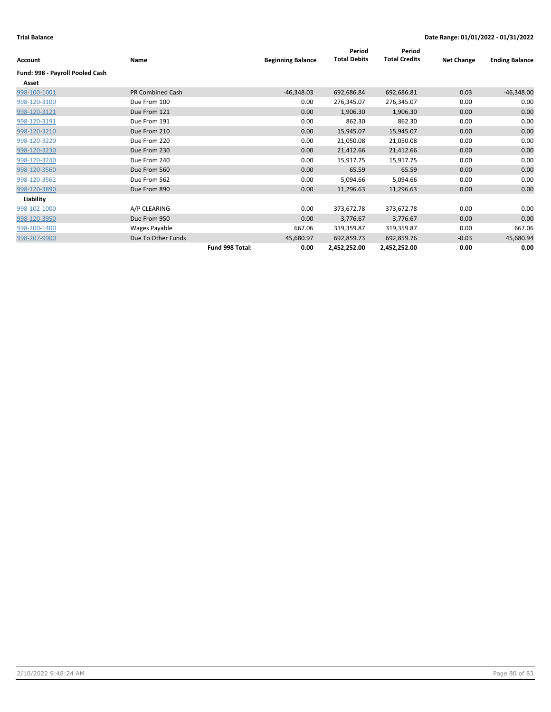| Account                         | Name                    |                 | <b>Beginning Balance</b> | Period<br><b>Total Debits</b> | Period<br><b>Total Credits</b> | <b>Net Change</b> | <b>Ending Balance</b> |
|---------------------------------|-------------------------|-----------------|--------------------------|-------------------------------|--------------------------------|-------------------|-----------------------|
| Fund: 998 - Payroll Pooled Cash |                         |                 |                          |                               |                                |                   |                       |
| Asset                           |                         |                 |                          |                               |                                |                   |                       |
| 998-100-1001                    | <b>PR Combined Cash</b> |                 | $-46,348.03$             | 692,686.84                    | 692,686.81                     | 0.03              | $-46,348.00$          |
| 998-120-3100                    | Due From 100            |                 | 0.00                     | 276,345.07                    | 276,345.07                     | 0.00              | 0.00                  |
| 998-120-3121                    | Due From 121            |                 | 0.00                     | 1,906.30                      | 1,906.30                       | 0.00              | 0.00                  |
| 998-120-3191                    | Due From 191            |                 | 0.00                     | 862.30                        | 862.30                         | 0.00              | 0.00                  |
| 998-120-3210                    | Due From 210            |                 | 0.00                     | 15,945.07                     | 15,945.07                      | 0.00              | 0.00                  |
| 998-120-3220                    | Due From 220            |                 | 0.00                     | 21,050.08                     | 21,050.08                      | 0.00              | 0.00                  |
| 998-120-3230                    | Due From 230            |                 | 0.00                     | 21,412.66                     | 21,412.66                      | 0.00              | 0.00                  |
| 998-120-3240                    | Due From 240            |                 | 0.00                     | 15,917.75                     | 15,917.75                      | 0.00              | 0.00                  |
| 998-120-3560                    | Due From 560            |                 | 0.00                     | 65.59                         | 65.59                          | 0.00              | 0.00                  |
| 998-120-3562                    | Due From 562            |                 | 0.00                     | 5,094.66                      | 5,094.66                       | 0.00              | 0.00                  |
| 998-120-3890                    | Due From 890            |                 | 0.00                     | 11,296.63                     | 11,296.63                      | 0.00              | 0.00                  |
| Liability                       |                         |                 |                          |                               |                                |                   |                       |
| 998-102-1000                    | A/P CLEARING            |                 | 0.00                     | 373,672.78                    | 373,672.78                     | 0.00              | 0.00                  |
| 998-120-3950                    | Due From 950            |                 | 0.00                     | 3,776.67                      | 3,776.67                       | 0.00              | 0.00                  |
| 998-200-1400                    | Wages Payable           |                 | 667.06                   | 319,359.87                    | 319,359.87                     | 0.00              | 667.06                |
| 998-207-9900                    | Due To Other Funds      |                 | 45,680.97                | 692,859.73                    | 692,859.76                     | $-0.03$           | 45,680.94             |
|                                 |                         | Fund 998 Total: | 0.00                     | 2,452,252.00                  | 2,452,252.00                   | 0.00              | 0.00                  |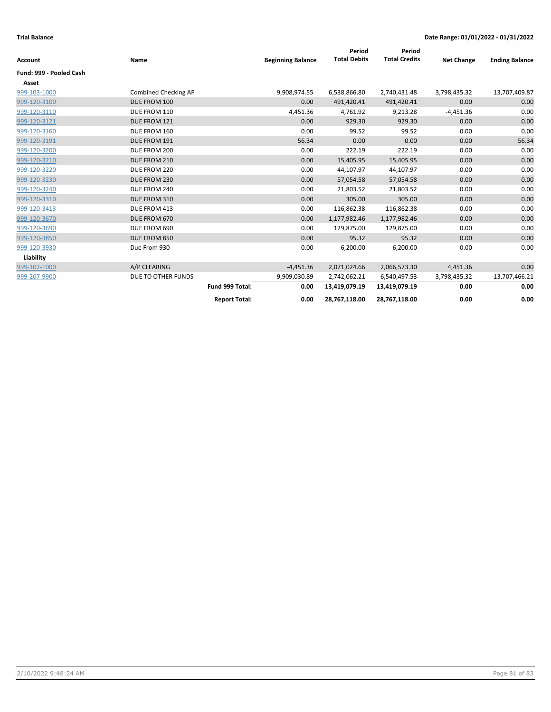| <b>Account</b>          | Name                 |                      | <b>Beginning Balance</b> | Period<br><b>Total Debits</b> | Period<br><b>Total Credits</b> | <b>Net Change</b> | <b>Ending Balance</b> |
|-------------------------|----------------------|----------------------|--------------------------|-------------------------------|--------------------------------|-------------------|-----------------------|
| Fund: 999 - Pooled Cash |                      |                      |                          |                               |                                |                   |                       |
| Asset                   |                      |                      |                          |                               |                                |                   |                       |
| 999-103-1000            | Combined Checking AP |                      | 9,908,974.55             | 6,538,866.80                  | 2,740,431.48                   | 3,798,435.32      | 13,707,409.87         |
| 999-120-3100            | DUE FROM 100         |                      | 0.00                     | 491,420.41                    | 491,420.41                     | 0.00              | 0.00                  |
| 999-120-3110            | DUE FROM 110         |                      | 4,451.36                 | 4,761.92                      | 9,213.28                       | $-4,451.36$       | 0.00                  |
| 999-120-3121            | DUE FROM 121         |                      | 0.00                     | 929.30                        | 929.30                         | 0.00              | 0.00                  |
| 999-120-3160            | DUE FROM 160         |                      | 0.00                     | 99.52                         | 99.52                          | 0.00              | 0.00                  |
| 999-120-3191            | DUE FROM 191         |                      | 56.34                    | 0.00                          | 0.00                           | 0.00              | 56.34                 |
| 999-120-3200            | DUE FROM 200         |                      | 0.00                     | 222.19                        | 222.19                         | 0.00              | 0.00                  |
| 999-120-3210            | DUE FROM 210         |                      | 0.00                     | 15,405.95                     | 15,405.95                      | 0.00              | 0.00                  |
| 999-120-3220            | DUE FROM 220         |                      | 0.00                     | 44,107.97                     | 44,107.97                      | 0.00              | 0.00                  |
| 999-120-3230            | DUE FROM 230         |                      | 0.00                     | 57,054.58                     | 57,054.58                      | 0.00              | 0.00                  |
| 999-120-3240            | DUE FROM 240         |                      | 0.00                     | 21,803.52                     | 21,803.52                      | 0.00              | 0.00                  |
| 999-120-3310            | DUE FROM 310         |                      | 0.00                     | 305.00                        | 305.00                         | 0.00              | 0.00                  |
| 999-120-3413            | DUE FROM 413         |                      | 0.00                     | 116,862.38                    | 116,862.38                     | 0.00              | 0.00                  |
| 999-120-3670            | DUE FROM 670         |                      | 0.00                     | 1,177,982.46                  | 1,177,982.46                   | 0.00              | 0.00                  |
| 999-120-3690            | DUE FROM 690         |                      | 0.00                     | 129,875.00                    | 129,875.00                     | 0.00              | 0.00                  |
| 999-120-3850            | DUE FROM 850         |                      | 0.00                     | 95.32                         | 95.32                          | 0.00              | 0.00                  |
| 999-120-3930            | Due From 930         |                      | 0.00                     | 6,200.00                      | 6,200.00                       | 0.00              | 0.00                  |
| Liability               |                      |                      |                          |                               |                                |                   |                       |
| 999-102-1000            | A/P CLEARING         |                      | $-4,451.36$              | 2,071,024.66                  | 2,066,573.30                   | 4,451.36          | 0.00                  |
| 999-207-9900            | DUE TO OTHER FUNDS   |                      | -9,909,030.89            | 2,742,062.21                  | 6,540,497.53                   | -3,798,435.32     | $-13,707,466.21$      |
|                         |                      | Fund 999 Total:      | 0.00                     | 13,419,079.19                 | 13,419,079.19                  | 0.00              | 0.00                  |
|                         |                      | <b>Report Total:</b> | 0.00                     | 28,767,118.00                 | 28,767,118.00                  | 0.00              | 0.00                  |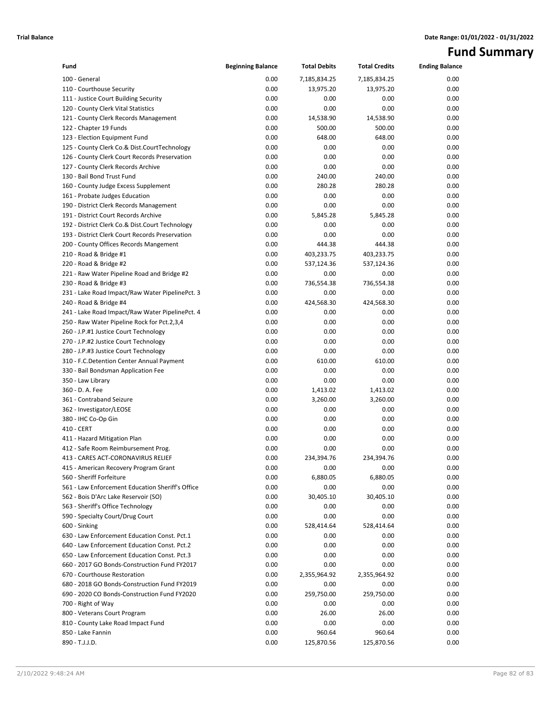# **Fund Summary**

| Fund                                                                         | <b>Beginning Balance</b> | <b>Total Debits</b> | <b>Total Credits</b> | <b>Ending Balance</b> |
|------------------------------------------------------------------------------|--------------------------|---------------------|----------------------|-----------------------|
| 100 - General                                                                | 0.00                     | 7,185,834.25        | 7,185,834.25         | 0.00                  |
| 110 - Courthouse Security                                                    | 0.00                     | 13,975.20           | 13,975.20            | 0.00                  |
| 111 - Justice Court Building Security                                        | 0.00                     | 0.00                | 0.00                 | 0.00                  |
| 120 - County Clerk Vital Statistics                                          | 0.00                     | 0.00                | 0.00                 | 0.00                  |
| 121 - County Clerk Records Management                                        | 0.00                     | 14,538.90           | 14,538.90            | 0.00                  |
| 122 - Chapter 19 Funds                                                       | 0.00                     | 500.00              | 500.00               | 0.00                  |
| 123 - Election Equipment Fund                                                | 0.00                     | 648.00              | 648.00               | 0.00                  |
| 125 - County Clerk Co.& Dist.CourtTechnology                                 | 0.00                     | 0.00                | 0.00                 | 0.00                  |
| 126 - County Clerk Court Records Preservation                                | 0.00                     | 0.00                | 0.00                 | 0.00                  |
| 127 - County Clerk Records Archive                                           | 0.00                     | 0.00                | 0.00                 | 0.00                  |
| 130 - Bail Bond Trust Fund                                                   | 0.00                     | 240.00              | 240.00               | 0.00                  |
| 160 - County Judge Excess Supplement                                         | 0.00                     | 280.28              | 280.28               | 0.00                  |
| 161 - Probate Judges Education                                               | 0.00                     | 0.00                | 0.00                 | 0.00                  |
| 190 - District Clerk Records Management                                      | 0.00                     | 0.00                | 0.00                 | 0.00                  |
| 191 - District Court Records Archive                                         | 0.00                     | 5,845.28            | 5,845.28             | 0.00                  |
| 192 - District Clerk Co.& Dist.Court Technology                              | 0.00                     | 0.00                | 0.00                 | 0.00                  |
| 193 - District Clerk Court Records Preservation                              | 0.00                     | 0.00                | 0.00                 | 0.00                  |
| 200 - County Offices Records Mangement                                       | 0.00                     | 444.38              | 444.38               | 0.00                  |
| 210 - Road & Bridge #1                                                       | 0.00                     | 403,233.75          | 403,233.75           | 0.00                  |
| 220 - Road & Bridge #2                                                       | 0.00                     | 537,124.36          | 537,124.36           | 0.00                  |
| 221 - Raw Water Pipeline Road and Bridge #2                                  | 0.00                     | 0.00                | 0.00                 | 0.00                  |
| 230 - Road & Bridge #3                                                       | 0.00                     | 736,554.38          | 736,554.38           | 0.00                  |
| 231 - Lake Road Impact/Raw Water PipelinePct. 3                              | 0.00                     | 0.00                | 0.00                 | 0.00                  |
| 240 - Road & Bridge #4                                                       | 0.00                     | 424,568.30          | 424,568.30           | 0.00                  |
| 241 - Lake Road Impact/Raw Water PipelinePct. 4                              | 0.00                     | 0.00                | 0.00                 | 0.00                  |
| 250 - Raw Water Pipeline Rock for Pct.2,3,4                                  | 0.00                     | 0.00                | 0.00                 | 0.00                  |
| 260 - J.P.#1 Justice Court Technology                                        | 0.00                     | 0.00                | 0.00                 | 0.00                  |
| 270 - J.P.#2 Justice Court Technology                                        | 0.00                     | 0.00                | 0.00                 | 0.00                  |
| 280 - J.P.#3 Justice Court Technology                                        | 0.00                     | 0.00                | 0.00                 | 0.00                  |
| 310 - F.C.Detention Center Annual Payment                                    | 0.00                     | 610.00              | 610.00               | 0.00                  |
| 330 - Bail Bondsman Application Fee                                          | 0.00                     | 0.00                | 0.00                 | 0.00                  |
| 350 - Law Library                                                            | 0.00                     | 0.00                | 0.00                 | 0.00                  |
| 360 - D. A. Fee                                                              | 0.00                     | 1,413.02            | 1,413.02             | 0.00                  |
| 361 - Contraband Seizure                                                     | 0.00                     | 3,260.00            | 3,260.00             | 0.00                  |
| 362 - Investigator/LEOSE                                                     | 0.00                     | 0.00                | 0.00                 | 0.00                  |
| 380 - IHC Co-Op Gin                                                          | 0.00                     | 0.00                | 0.00                 | 0.00                  |
| 410 - CERT                                                                   | 0.00                     | 0.00                | 0.00                 | 0.00                  |
| 411 - Hazard Mitigation Plan                                                 | 0.00                     | 0.00                | 0.00                 | 0.00                  |
| 412 - Safe Room Reimbursement Prog.                                          | 0.00                     | 0.00                | 0.00                 | 0.00                  |
| 413 - CARES ACT-CORONAVIRUS RELIEF                                           | 0.00                     | 234,394.76          | 234,394.76           | 0.00                  |
| 415 - American Recovery Program Grant                                        | 0.00                     | 0.00                | 0.00                 | 0.00                  |
| 560 - Sheriff Forfeiture<br>561 - Law Enforcement Education Sheriff's Office | 0.00<br>0.00             | 6,880.05            | 6,880.05             | 0.00                  |
| 562 - Bois D'Arc Lake Reservoir (SO)                                         | 0.00                     | 0.00<br>30,405.10   | 0.00<br>30,405.10    | 0.00<br>0.00          |
| 563 - Sheriff's Office Technology                                            | 0.00                     | 0.00                | 0.00                 | 0.00                  |
| 590 - Specialty Court/Drug Court                                             | 0.00                     | 0.00                | 0.00                 | 0.00                  |
| 600 - Sinking                                                                | 0.00                     | 528,414.64          | 528,414.64           | 0.00                  |
| 630 - Law Enforcement Education Const. Pct.1                                 | 0.00                     | 0.00                | 0.00                 | 0.00                  |
| 640 - Law Enforcement Education Const. Pct.2                                 | 0.00                     | 0.00                | 0.00                 | 0.00                  |
| 650 - Law Enforcement Education Const. Pct.3                                 | 0.00                     | 0.00                | 0.00                 | 0.00                  |
| 660 - 2017 GO Bonds-Construction Fund FY2017                                 | 0.00                     | 0.00                | 0.00                 | 0.00                  |
| 670 - Courthouse Restoration                                                 | 0.00                     | 2,355,964.92        | 2,355,964.92         | 0.00                  |
| 680 - 2018 GO Bonds-Construction Fund FY2019                                 | 0.00                     | 0.00                | 0.00                 | 0.00                  |
| 690 - 2020 CO Bonds-Construction Fund FY2020                                 | 0.00                     | 259,750.00          | 259,750.00           | 0.00                  |
| 700 - Right of Way                                                           | 0.00                     | 0.00                | 0.00                 | 0.00                  |
| 800 - Veterans Court Program                                                 | 0.00                     | 26.00               | 26.00                | 0.00                  |
| 810 - County Lake Road Impact Fund                                           | 0.00                     | 0.00                | 0.00                 | 0.00                  |
| 850 - Lake Fannin                                                            | 0.00                     | 960.64              | 960.64               | 0.00                  |
| 890 - T.J.J.D.                                                               | 0.00                     | 125,870.56          | 125,870.56           | 0.00                  |